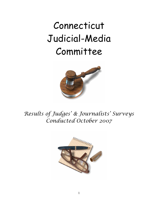# Connecticut Judicial-Media Committee



*Results of Judges' & Journalists' Surveys Conducted October 2007* 

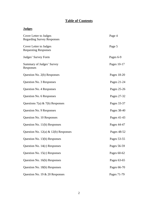## **Table of Contents**

## **Judges**

| Cover Letter to Judges<br><b>Regarding Survey Responses</b> | Page 4      |
|-------------------------------------------------------------|-------------|
| Cover Letter to Judges<br><b>Requesting Responses</b>       | Page 5      |
| Judges' Survey Form                                         | Pages 6-9   |
| Summary of Judges' Survey<br>Responses                      | Pages 10-17 |
| Question No. 2(b) Responses                                 | Pages 18-20 |
| Question No. 3 Responses                                    | Pages 21-24 |
| Question No. 4 Responses                                    | Pages 25-26 |
| <b>Question No. 6 Responses</b>                             | Pages 27-32 |
| Questions $7(a)$ & $7(b)$ Responses                         | Pages 33-37 |
| <b>Question No. 9 Responses</b>                             | Pages 38-40 |
| Question No. 10 Responses                                   | Pages 41-43 |
| Question No. 11(b) Responses                                | Pages 44-47 |
| Question No. $12(a) \& 12(b)$ Responses                     | Pages 48-52 |
| Question No. 13(b) Responses                                | Pages 53-55 |
| Question No. 14(c) Responses                                | Pages 56-59 |
| Question No. 15(c) Responses                                | Pages 60-62 |
| Question No. 16(b) Responses                                | Pages 63-65 |
| Question No. 18(b) Responses                                | Pages 66-70 |
| Question No. 19 & 20 Responses                              | Pages 71-79 |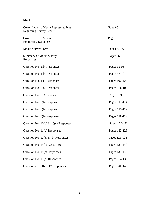## **Media**

| <b>Cover Letter to Media Representatives</b><br><b>Regarding Survey Results</b> | Page 80       |
|---------------------------------------------------------------------------------|---------------|
| Cover Letter to Media<br><b>Requesting Responses</b>                            | Page 81       |
| Media Survey Form                                                               | Pages 82-85   |
| <b>Summary of Media Survey</b><br>Responses                                     | Pages 86-91   |
| Question No. 2(b) Responses                                                     | Pages 92-96   |
| Question No. 4(b) Responses                                                     | Pages 97-101  |
| Question No. 4(c) Responses                                                     | Pages 102-105 |
| Question No. 5(b) Responses                                                     | Pages 106-108 |
| Question No. 6 Responses                                                        | Pages 109-111 |
| Question No. 7(b) Responses                                                     | Pages 112-114 |
| Question No. 8(b) Responses                                                     | Pages 115-117 |
| Question No. 9(b) Responses                                                     | Pages 118-119 |
| Question No. $10(b)$ & $10(c)$ Responses                                        | Pages 120-122 |
| Question No. 11(b) Responses                                                    | Pages 123-125 |
| Question No. $12(a)$ & (b) Responses                                            | Pages 126-128 |
| Question No. 13(c) Responses                                                    | Pages 129-130 |
| Question No. 14(c) Responses                                                    | Pages 131-133 |
| Question No. 15(b) Responses                                                    | Pages 134-139 |
| Questions No. 16 & 17 Responses                                                 | Pages 140-146 |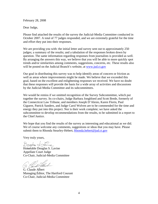February 28, 2008

Dear Judge,

Please find attached the results of the survey the Judicial-Media Committee conducted in October 2007. A total of 77 judges responded, and we are extremely grateful for the time and effort they put into their responses.

We are providing you with: the initial letter and survey sent out to approximately 250 judges; a summary of the results; and a tabulation of the responses broken down by question. The same information regarding responses from journalists is provided as well. By arranging the answers this way, we believe that you will be able to more quickly spot trends and/or similarities among comments, suggestions, concerns, etc. These results also will be posted on the Judicial Branch's website, at www.jud.ct.gov

Our goal in distributing this survey was to help identify areas of concern or friction as well as areas where improvements might be made. We believe that we exceeded this goal, based on the excellent and enlightening responses we received. We have no doubt that these responses will provide the basis for a wide array of activities and discussions by the Judicial-Media Committee and its subcommittees.

We would be remiss if we omitted recognition of the Survey Subcommittee, which put together the survey. Its co-chairs, Judge Barbara Jongbloed and Scott Brede, formerly of the Connecticut Law Tribune, and members Joseph D'Alesio, Karen Florin, Paul Giguere, Patrick Sanders, and Judge Carol Wolven are to be commended for the time and energy they put into this project. Nor is their work complete; we have asked the subcommittee to develop recommendations from the results, to be submitted in a report to the Chief Justice.

We hope that you find the results of the survey as interesting and educational as we did. We of course welcome any comments, suggestions or ideas that you may have. Please submit them to Rhonda Stearley-Hebert, Rhonda.hebert@jud.ct.gov

Very truly yours,

Douglas I Lame

Honorable Douglas S. Lavine Appellate Court Judge Co-Chair, Judicial-Media Committee

G. Claude Albert Managing Editor, The Hartford Courant Co-Chair, Judicial-Media Committee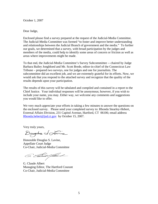October 1, 2007

Dear Judge,

Enclosed please find a survey prepared at the request of the Judicial-Media Committee. The Judicial-Media Committee was formed "to foster and improve better understanding and relationships between the Judicial Branch of government and the media." To further our goals, we determined that a survey, with broad participation by the judges and members of the media, could help to identify some areas of concern or friction as well as areas where improvements might be made.

To that end, the Judicial-Media Committee's Survey Subcommittee -- chaired by Judge Barbara Bailey Jongbloed and Mr. Scott Brede, editor-in-chief of the Connecticut Law Tribune – prepared two surveys, one for judges and one for journalists. The subcommittee did an excellent job, and we are extremely grateful for its efforts. Now, we would ask that you respond to the attached survey and recognize that the quality of the results depends upon your participation.

The results of this survey will be tabulated and compiled and contained in a report to the Chief Justice. Your individual responses will be anonymous; however, if you wish to include your name, you may. Either way, we welcome any comments and suggestions you would like to offer.

We very much appreciate your efforts in taking a few minutes to answer the questions on the enclosed survey. Please send your completed survey to: Rhonda Stearley-Hebert, External Affairs Division, 231 Capitol Avenue, Hartford, CT 06106; email address [Rhonda.hebert@jud.ct.gov](mailto:Rhonda.hebert@jud.ct.gov) by October 15, 2007.

Very truly yours,

Douglas Samie

Appellate Court Judge Co-Chair, Judicial-Media Committee

6. Enst fait

G. Claude Albert Managing Editor, The Hartford Courant Co-Chair, Judicial-Media Committee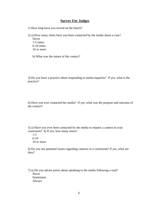### **Survey For Judges**

1) How long have you served on the bench?

2) a) How many times have you been contacted by the media about a case? Never 1-5 times 6-10 times 10 or more

b) What was the nature of the contact?

3) Do you have a practice about responding to media inquiries? If yes, what is the practice?

4) Have you ever contacted the media? If yes, what was the purpose and outcome of the contact?

5) a) Have you ever been contacted by the media to request a camera in your courtroom? b) If yes, how many times?

 1-5 6-10 10 or more

6) Do you see potential issues regarding cameras in a courtroom? If yes, what are they?

7) a) Do you advise jurors about speaking to the media following a trial? Never Sometimes Always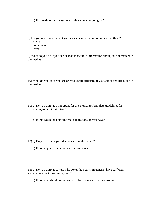b) If sometimes or always, what advisement do you give?

8) Do you read stories about your cases or watch news reports about them? Never Sometimes **Often** 

9) What do you do if you see or read inaccurate information about judicial matters in the media?

10) What do you do if you see or read unfair criticism of yourself or another judge in the media?

11) a) Do you think it's important for the Branch to formulate guidelines for responding to unfair criticism?

b) If this would be helpful, what suggestions do you have?

12) a) Do you explain your decisions from the bench?

b) If you explain, under what circumstances?

13) a) Do you think reporters who cover the courts, in general, have sufficient knowledge about the court system?

b) If no, what should reporters do to learn more about the system?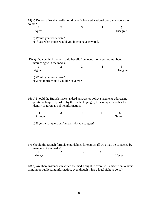| 14) a) Do you think the media could benefit from educational programs about the<br>courts?                  |                                                                                                                          |   |                |               |
|-------------------------------------------------------------------------------------------------------------|--------------------------------------------------------------------------------------------------------------------------|---|----------------|---------------|
| 1<br>Agree                                                                                                  | $\overline{2}$                                                                                                           | 3 | $\overline{4}$ | 5<br>Disagree |
| b) Would you participate?                                                                                   | c) If yes, what topics would you like to have covered?                                                                   |   |                |               |
| 15) a) Do you think judges could benefit from educational programs about<br>interacting with the media?     |                                                                                                                          |   |                |               |
| 1<br>Agree                                                                                                  | 2                                                                                                                        | 3 | $\overline{4}$ | 5<br>Disagree |
| b) Would you participate?                                                                                   | c) What topics would you like covered?                                                                                   |   |                |               |
| 16) a) Should the Branch have standard answers or policy statements addressing                              | questions frequently asked by the media to judges, for example, whether the<br>identity of jurors is public information? |   |                |               |
| 1<br>Always                                                                                                 | 2                                                                                                                        | 3 | 4              | 5<br>Never    |
|                                                                                                             | b) If yes, what questions/answers do you suggest?                                                                        |   |                |               |
| 17) Should the Branch formulate guidelines for court staff who may be contacted by<br>members of the media? |                                                                                                                          |   |                |               |
| $\mathbf{1}$<br>Always                                                                                      | $\overline{2}$                                                                                                           | 3 | 4              | 5<br>Never    |

18) a) Are there instances in which the media ought to exercise its discretion to avoid printing or publicizing information, even though it has a legal right to do so?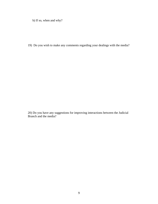b) If so, when and why?

19) Do you wish to make any comments regarding your dealings with the media?

20) Do you have any suggestions for improving interactions between the Judicial Branch and the media?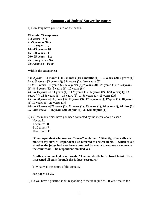#### **Summary of Judges' Survey Responses**

1) How long have you served on the bench?

**Of a total 77 responses: 0-2 years – Six 2+-5 years – Nine 5+-10 years – 17 10+-15 years – 18 15+-20 years – 11 20+-25 years – Six 25+plus years – Six No response – Four** 

**Within the categories:** 

*0 to 2 years* **– [1 month (1); 5 months (1); 6 months (1); 1 ½ years, (2); 2 years (1)]**  *2+ to 5 years* **– [3 years (1); 3 ½ years (2); four years (6)]**  *5+ to 10 years* **– [6 years (2); 6 ½ years (2);7 years (3); 7½ years (1); 7 2/3 years (1); 8 ½ years (1); 9 years (1); 10 years (6) ]**  *10+ to 15 years –* **[ 11 years (1); 11 ½ years (1); 12 years (2); 12.8 years( 1); 13 years (4); 13 ½ years (1); 14 years (5); 14 ½ years (1); 15 years (2)]**  *15+ to 20 years –* **[16 years (3); 17 years (3); 17 ½ years (1); 17-plus (1); 18 years (1) 19 years (1); 20 years (1)]**  *20+ to 25 years* **– [21 years (2); 22 years (1); 23 years (1); 24 years (1); 24 plus (1)]**  *25+ and above* **– [26 years (2); 29 plus (1); 30 (2); 30 plus (1)]** 

2) a) How many times have you been contacted by the media about a case? Never: **21**  1-5 times: **38**  6-10 times**: 7**  10 or more: **11** 

\***One respondent who marked "never" explained: "Directly, often calls are made to my clerk." Respondent also referred to answer in No. 5, which asked whether the judge had ever been contacted by media to request a camera in the courtroom. The respondent marked yes.** 

**Another who marked never wrote: "I received calls but refused to take them. I screened all calls through the judges' secretary."**

b) What was the nature of the contact?

**See pages 18-20.** 

3) Do you have a practice about responding to media inquiries? If yes, what is the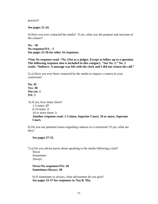practice?

#### **See pages 21-24.**

4) Have you ever contacted the media? If yes, what was the purpose and outcome of the contact?

**No – 58 No response/NA – 3 See pages 25-26 for other 16 responses.** 

**\*One No response read: "No. (Not as a judge). Except as follow up to a question. The following response also is included in this category: "See No. 2." No. 2 reads: "Indirect. A message was left with the clerk and I did not return the call."** 

5) a) Have you ever been contacted by the media to request a camera in your courtroom?

**No: 45 Yes: 30 Not yet: 1 NA: 1** 

 b) If yes, how many times? 1-5 times: **27**  6-10 times: **1**  10 or more times: **1 Another response read: 1-5 times, Superior Court; 10 or more, Supreme Court.** 

6) Do you see potential issues regarding cameras in a courtroom? If yes, what are they?

**See pages 27-32.** 

7) a) Do you advise jurors about speaking to the media following a trial? Never Sometimes Always

**Never/No responses/NA: 28 Sometimes/Always: 49** 

 b) If sometimes or always, what advisement do you give? **See pages 33-37 for responses to 7(a) & 7(b).**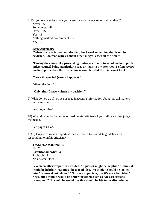8) Do you read stories about your cases or watch news reports about them? Never  $-5$  Sometimes – **41** Often – **25**   $Yes - 2$  Nothing marked/no comment – **3**   $NA - 1$ 

#### *Some comments:*

**"When the case is over and decided, lest I read something that is not in evidence. I do read articles about other judges' cases all the time."** 

 **"During the course of a proceeding, I always attempt to avoid media reports unless counsel bring particular issues or items to my attention. I often review media reports after the proceeding is completed at the trial court level."** 

 **"Yes – if reported (rarely happens) ."** 

 **"After the fact."** 

#### **"Only after I have written my decision."**

9) What do you do if you see or read inaccurate information about judicial matters in the media?

**See pages 38-40.** 

10) What do you do if you see or read unfair criticism of yourself or another judge in the media?

#### **See pages 41-43.**

11) a) Do you think it's important for the Branch to formulate guidelines for responding to unfair criticism?

 **Seventeen other responses included: "I guess it might be helpful," "I think it would be helpful," "Sounds like a good idea," "I think it should be looked into," "General guidelines," "Not very important, but it's not a bad idea," "Yes, but I think it would be better for others such as bar associations to respond," "It could be useful but this should be left to the discretion of** 

**Yes/Sure/Absolutely: 47 No: 7 Possibly/somewhat: 3 Probably: 1 No answer: Two**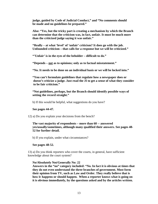**judge, guided by Code of Judicial Conduct," and "No comments should be made and no guidelines be prepared."** 

**Also: "Yes, but the tricky part is creating a mechanism by which the Branch can determine that the criticism was, in fact, unfair. It must be much more than the criticized judge saying it was unfair."** 

 **"Really – at what 'level' of 'unfair' criticism? It does go with the job. Unfounded criticism – that calls for a response but we will be criticized."** 

 **"'Unfair' is in the eyes of the beholder – difficult to do."** 

 **"Depends – not as to opinions; only as to factual misstatement."** 

 **"No. It needs to be done on an individual basis or we will be locked into."** 

 **"You can't formulate guidelines that regulate how a newspaper does or doesn't criticize a judge. Just read the JI to get a sense of what they consider to be fair criticism."** 

 **"Not guidelines, perhaps, but the Branch should identify possible ways of setting the record straight."** 

b) If this would be helpful, what suggestions do you have?

**See pages 44-47.** 

12) a) Do you explain your decisions from the bench?

**The vast majority of respondents – more than 60 -- answered yes/usually/sometimes, although many qualified their answers. See pages 48- 52 for further detail.** 

b) If you explain, under what circumstances?

**See pages 48-52.** 

13) a) Do you think reporters who cover the courts, in general, have sufficient knowledge about the court system?

**No/Absolutely Not/Generally No: 22** 

 **Answers in the "no" category included: "No. In fact it is obvious at times that they do not even understand the three branches of government. Most form their opinion from TV, such as Law and Order. They really believe that is how it happens or should happen. When a reporter knows what is going on it is obvious immediately, by the questions asked and by the articles written.**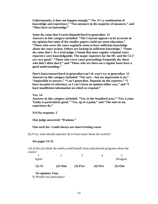**Unfortunately, it does not happen enough," "No. It's a combination of knowledge and experience," "Not anymore in the majority of instances," and "Most have no knowledge."** 

 **Some do, some don't/varies/depends/hard to generalize: 21 Answers in this category included: "The Courant appears to be accurate in my opinion but some of the smaller papers could use some education," "Those who cover the court regularly seem to have sufficient knowledge about the court system. Others are lacking in sufficient knowledge," "Some do, some don't. As a trial judge, I found that most regular criminal court reporters were knowledgeable. The major reporters for the HC and the CLT are very good," "Those who cover court proceedings frequently do; those who don't often don't," and "Those who are there on a regular basis have a good understanding."** 

 **Don't know/unsure/hard to generalize/can't & won't try to generalize: 15 Answers in this category included: "Not sure – but my impression is no," "Impossible to answer," "Can't generalize. Depends on the reporter," "I have no point of reference, so I can't form an opinion either way," and "I have insufficient information on which to respond."** 

#### **Yes: 14**

 **Answers in this category included: "Yes, in the Stamford area," "Yes, Lynne Tuohy is particularly good," "Yes, up to a point," and "The ones in my experience do."** 

 **NA/No response: 2** 

 **One judge answered: "B minus."** 

#### **One each for: Could always use more/Getting worse**

(b) If no, what should reporters do to learn more about the system?

#### **See pages 53-55.**

14) a) Do you think the media could benefit from educational programs about the courts?

| Agree  |            |            | Δ          | Disagree  |
|--------|------------|------------|------------|-----------|
| (1) 53 | $(2)$ Nine | $(3)$ Five | $(4)$ Five | $(5)$ One |

#### **No opinion: Four**

b) Would you participate?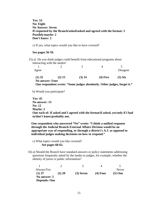**Yes: 53 No: Eight No Answer: Seven If requested by the Branch/asked/asked and agreed with the format: 5 Possibly/maybe: 2 Don't know: 2** 

c) If yes, what topics would you like to have covered?

#### **See pages 56-59.**

 15) a) Do you think judges could benefit from educational programs about interacting with the media?

| -<br>Agree                       |          |          |            | Disagree  |
|----------------------------------|----------|----------|------------|-----------|
| (1) 32<br><b>No answer: Four</b> | $(2)$ 15 | $(3)$ 14 | $(4)$ Five | $(5)$ Six |

 **One respondent wrote: "Some judges absolutely. Other judges, forget it."** 

b) Would you participate?

**Yes: 45 No answer: 13 No: 12 Maybe: 2 One each of: If asked and I agreed with the format/if asked, yes/only if I had to/don't know/probably not.** 

**One respondent who answered "No" wrote: "I think a unified response through the Judicial Branch External Affairs Division would be an appropriate way of responding, or through a district's A.J. as opposed to individual judges making decisions on how to respond."** 

- c) What topics would you like covered?  **See pages 60-62.**
- 16) a) Should the Branch have standard answers or policy statements addressing questions frequently asked by the media to judges, for example, whether the identity of jurors is public information?

1 2 3 4 5 Always/Yes Never **(1) 37 (2) 20 (3) Seven (4) Four (5) One No answer: 5 Depends: One**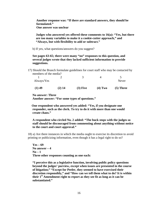**Another response was: "If there are standard answers, they should be formulated." One answer was unclear** 

**Judges who answered yes offered these comments to 16(a): "Yes, but there are too many variables to make it a cookie-cutter approach," and "Always, but with flexibility to add or subtract."** 

b) If yes, what questions/answers do you suggest?

**See pages 63-65; there were many "no" responses to this question, and several judges wrote that they lacked sufficient information to provide suggestions.** 

17) Should the Branch formulate guidelines for court staff who may be contacted by members of the media?

| $(1)$ 49   | $(2)$ 14 | $(3)$ Five | $(4)$ Two | $(5)$ Three |
|------------|----------|------------|-----------|-------------|
| Always/Yes |          |            |           | Never       |

 **No answer: Three** 

 **Another answer: "For some types of questions."** 

 **One respondent who answered yes added: "Yes, if you designate one responder, such as the clerk. To try to do it with more than one would create chaos."** 

 **A respondent who circled No. 2 added: "The buck stops with the judges so staff should be discouraged from commenting about anything without notice to the court and court approval."** 

18) a) Are there instances in which the media ought to exercise its discretion to avoid printing or publicizing information, even though it has a legal right to do so?

**Yes – 69 No answer – 4 No – 1 Three other responses counting as one each:** 

**"I perceive this as a legislative function, involving public policy questions beyond the judges' purview, except when issues are presented in the course of litigation;" "Except for Peeler, they seemed to have exercised their discretion responsibly," and "How can we tell them what to do? It is within their 1st Amendment right to report as they see fit as long as it can be substantiated."**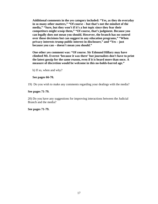**Additional comments in the yes category included: "Yes, as they do everyday in so many other matters," "Of course – but that's not the mindset of the media," "Sure, but they won't if it's a hot topic since they fear their competitors might scoop them," "Of course, that's judgment. Because you can legally does not mean you should. However, the branch has no control over those decisions but can suggest in any education programs," "When privacy interests trump public interest in disclosure," and "Yes – just because you can – doesn't mean you should."** 

**One other yes comment was: "Of course. Sir Edmund Hillary may have climbed Mt. Everest 'because it was there' but journalists don't have to print the latest gossip for the same reason, even if it is heard more than once. A measure of discretion would be welcome in this no-holds-barred age."** 

b) If so, when and why?

**See pages 66-70.** 

19) Do you wish to make any comments regarding your dealings with the media?

#### **See pages 71-79.**

20) Do you have any suggestions for improving interactions between the Judicial Branch and the media?

**See pages 71-79.**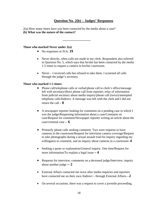## **Question No. 2(b) – Judges' Responses**

2(a) How many times have you been contacted by the media about a case? **(b) What was the nature of the contact?** 

 **\_\_\_\_\_\_\_\_\_\_\_\_\_\_\_\_\_\_** 

#### **Those who marked Never under 2(a)**

- No responses or N/A: **19**
- Never directly, often calls are made to my clerk. Respondent also referred to Question No. 5, which says that he/she has been contacted by the media 1-5 times to request a camera in his/her courtroom.
- Never I received calls but refused to take them. I screened all calls through the judge's secretary.

#### **Those who marked 1-5 times:**

- Phone call/telephone calls or verbal/phone call to clerk's office/message left with secretary/direct phone call from reporter; relay of information from judicial secretary about media inquiry/phone call (twice)/attempted telephone calls/Indirect. A message was left with the clerk and I did not return the call  $-$  **8**
- A newspaper reporter looking for comments on a pending case in which I was the judge/Requesting information about a case/Comment on case/Request for comment/Newspaper reporter writing an article about the case/criminal case -- **6**
- Primarily phone calls seeking comment. Two were requests to have cameras in the courtroom/Request for television camera coverage/Request to take photographs during a sexual assault trial/An inquiry regarding my willingness to comment, and an inquiry about cameras in a courtroom: **4**
- Seeking a quote or explanation/General inquiry. One time/Request for more information/To explain a legal issue **– 4**
- Requests for interview; comments on a deceased judge/Interview; inquiry about another judge **-- 2**
- External Affairs contacted me twice after media inquiries and reporters have contacted me on their own./Indirect – through External Affairs—**2**
- On several occasions, there was a request to cover a juvenile proceeding,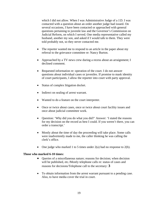which I did not allow. When I was Administrative Judge of a J.D. I was contacted with a question about an order another judge had issued. On several occasions, I have been contacted or approached with general questions pertaining to juvenile law and the Governor's Commission on Judicial Reform, on which I served. One media representative called my husband, another my son, and asked if I would talk to them. They were told probably not, so they never contacted me.

- The reporter wanted me to respond to an article in the paper about my referral to the grievance committee re: Nancy Burton.
- Approached by a TV news crew during a recess about an arraignment; I declined comment.
- Requested information re: operation of the court. I do not answer questions about individual cases or juveniles. If promise to mask identity of court participants, I allow the reporter into court with party approval.
- Status of complex litigation docket.
- Indirect on sealing of arrest warrant.
- Wanted to do a feature on the court interpreter.
- Once or twice about cases, once or twice about court facility issues and once about judicial committee work.
- Question: 'Why did you do what you did?' Answer: 'I stated the reasons for my decision on the record as best I could. If you weren't there, you can order a transcript.'
- Mostly about the time of day the proceeding will take place. Some calls were inadvertently made to me, the caller thinking he was calling the clerk's office.
- One judge who marked 1 to 5 times under  $2(a)$  had no response to  $2(b)$ .

#### **Those who marked 6-10 times:**

- Queries of a miscellaneous nature; reasons for decision; when decision will be published, etc./Mostly telephone calls re: status of cases and reasons for decisions/Telephone call to the secretary: **3**
- To obtain information from the arrest warrant pursuant to a pending case. Also, to have media cover the trial in court.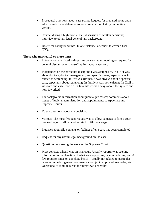- Procedural questions about case status. Request for prepared notes upon which verdict was delivered to ease preparation of story recounting verdict.
- Contact during a high profile trial; discussion of written decisions; interview to obtain legal general law background.
- Desire for background info. In one instance, a request to cover a trial (TV).

#### **Those who marked 10 or more times:**

- Information, clarification/Inquiries concerning scheduling or request for general discussion on a case/Inquires about cases **-- 3**
- It depended on the particular discipline I was assigned to. In GA it was about dockets, docket management, and specific cases, especially as it related to sentencing. In Part A Criminal, it was always about a specific case, especially about sentencing. In family it was non-existent. In Civil it was rare and case specific. In Juvenile it was always about the system and how it worked.
- For background information about judicial processes; comments about issues of judicial administration and appointments to Appellate and Supreme Courts.
- To ask questions about my decision.
- Various. The most frequent request was to allow cameras to film a court proceeding or to allow another kind of film coverage.
- Inquiries about file contents or feelings after a case has been completed
- Request for any useful legal background on the case.
- Questions concerning the work of the Supreme Court.
- Most contacts when I was on trial court. Usually reporter was seeking information or explanation of what was happening, case scheduling, etc. A few requests since on appellate bench – usually not related to particular cases of mine but general comments about judicial procedures, roles, etc. Occasionally some requests for interviews generally.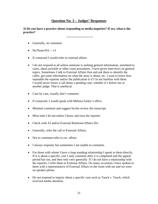## **Question No. 3 – Judges' Responses**

#### **3) Do you have a practice about responding to media inquiries? If yes, what is the practice?**

- Generally, no comment.
- $No/None/NA 13$
- If contacted I would refer to external affairs.

 **\_\_\_\_\_\_\_\_\_\_\_\_\_\_\_\_\_** 

- I do not respond at all unless someone is seeking general information, unrelated to cases, about juvenile or other court procedures. I have given interviews on general topics. Sometimes I talk to External Affairs first and ask them to identify the caller, get some information on what the story is about, etc. I want to know how reputable the reporter and/or the publication is if I'm not familiar with them. I would never return a call about a pending case, whether it's before me or another judge. That is unethical.
- Case by case, usually don't comment.
- If contacted, I would speak with Melissa Farley's office.
- Minimal comment and suggest he/she review the transcript.
- Most time I do not unless I know and trust the reporter.
- Check with AJ and/or External Relations/Affairs Div.
- Generally, refer the call to External Affairs.
- Not to comment-refer to ext. affairs
- I always respond, but sometimes I am unable to comment.
- For those with whom I have a long standing relationship I speak to them directly. If it is about a specific case I only comment after it is completed and the appeal period has run, and then only very generally. If I do not have a relationship with the reporter, I refer them to External Affairs. On many occasions I have spoken to them with a representative of External Affairs in the room with me and we were on speaker phone.
- Do not respond to inquiry about a specific case such as Tauck v. Tauck, which received media attention.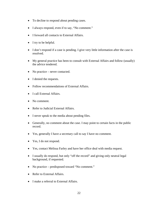- To decline to respond about pending cases.
- I always respond, even if to say, "No comment."
- I forward all contacts to External Affairs.
- I try to be helpful.
- I don't respond if a case is pending. I give very little information after the case is resolved.
- My general practice has been to consult with External Affairs and follow (usually) the advice tendered.
- No practice never contacted.
- I denied the requests.
- Follow recommendations of External Affairs.
- I call External Affairs.
- No comment.
- Refer to Judicial External Affairs.
- I never speak to the media about pending files.
- Generally, no comment about the case. I may point to certain facts in the public record.
- Yes, generally I have a secretary call to say I have no comment.
- Yes, I do not respond.
- Yes, contact Melissa Farley and have her office deal with media request.
- I usually do respond, but only "off the record" and giving only neutral legal background, if requested.
- No practice predisposed toward "No comment."
- Refer to External Affairs.
- I make a referral to External Affairs.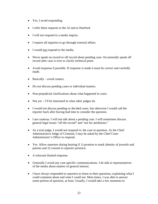- Yes, I avoid responding.
- I refer these requests to the AJ and to Hartford.
- I will not respond to a media inquiry.
- I require all inquiries to go through external affairs.
- I would not respond to the media.
- Never speak on record or off record about pending case. Occasionally speak off record after case is over to clarify technical point.
- Avoid response if possible. If response is made it must be correct and carefully made.
- Basically avoid contact.
- Do not discuss pending cases or individual matters.
- Non-prejudicial clarifications about what happened in court.
- Not yet I'll be interested in what other judges do.
- I would not discuss pending or decided cases, but otherwise I would call the reporter back after having had time to consider the question.
- I am cautious. I will not talk about a pending case. I will sometimes discuss general legal issues "off the record" and "not for attribution."
- As a trial judge, I would not respond re: the case in question. As the Chief Administrative Judge of Criminal, I may be asked by the Chief Court Administrator's Office to respond.
- Yes. Allow reporters during hearing if 1) promise to mask identity of juvenile and parents and 2) consent to reporter presence.
- A reluctant limited response.
- Generally I avoid any case specific communications. I do talk to representatives of the media about matters of general interest.
- I have always responded to reporters to listen to their questions, explaining what I could comment about and what I could not. Most times, I was able to answer some portion of question, at least. Usually, I would take a few moments to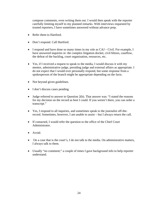compose comments, even writing them out. I would then speak with the reporter carefully limiting myself to my planned remarks. With interviews requested by trusted reporters, I have sometimes answered without advance prep.

- Refer them to Hartford.
- Don't respond. Call Hartford.
- I respond and have done so many times in my role as CAJ Civil. For example, I have answered inquiries re: the complex litigation docket, civil blitzes, caseflow, the defeat of the backlog, court organization, resources, etc.
- Yes, if I received a request to speak to the media, I would discuss it with my mentor, administrative judge, presiding judge and external affairs as appropriate. I do not expect that I would ever personally respond, but some response from a spokesperson of the branch might be appropriate depending on the facts.
- Not beyond given guidelines.
- I don't discuss cases pending.
- Judge referred to answer to Question 2(b). That answer was: "I stated the reasons for my decision on the record as best I could. If you weren't there, you can order a transcript."
- Yes, I respond to all inquiries, and sometimes speak to the journalist off-therecord. Sometimes, however, I am unable to assist – but I always return the call.
- If contacted, I would refer the question to the office of the Chief Court Administrator.
- Avoid.
- On a case that is the court's, I do not talk to the media. On administrative matters, I always talk to them.
- Usually "no comment;" a couple of times I gave background info to help reporter understand.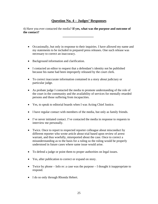## **Question No. 4 – Judges' Responses**

4) Have you ever contacted the media? **If yes, what was the purpose and outcome of the contact?** 

- Occasionally, but only in response to their inquiries. I have allowed my name and my statements to be included in prepared press releases. One such release was necessary to correct an inaccuracy.
- Background information and clarification.

 **\_\_\_\_\_\_\_\_\_\_\_\_\_\_\_\_\_\_\_\_** 

- I contacted an editor to request that a defendant's identity not be published because his name had been improperly released by the court clerk.
- To correct inaccurate information contained in a story about judiciary or particular judge.
- As probate judge I contacted the media to promote understanding of the role of the court in the community and the availability of services for mentally retarded persons and those suffering from incapacities.
- Yes, to speak to editorial boards when I was Acting Chief Justice.
- I have regular contact with members of the media, but only as family friends.
- I've never initiated contact. I've contacted the media in response to requests to interview me personally.
- Twice. Once to report to respected reporter colleague about misconduct by different reporter who wrote article about trial based upon review of arrest warrant, and thus woefully, misreported about the case. Once to correct a misunderstanding as to the basis for a ruling so the ruling would be properly understood in future cases where same issue would arise.
- To defend a judge or point them to proper authorities on legal issues.
- Yes, after publication to correct or expand on story.
- Twice by phone Info re: a case was the purpose  $-$  I thought it inappropriate to respond.
- I do so only through Rhonda Hebert.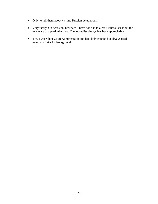- Only to tell them about visiting Russian delegations.
- Very rarely. On occasion, however, I have done so to alert 2 journalists about the existence of a particular case. The journalist always has been appreciative.
- Yes. I was Chief Court Administrator and had daily contact but always used external affairs for background.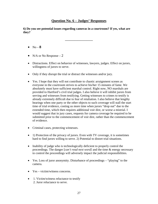## **Question No. 6 – Judges' Responses**

**6) Do you see potential issues regarding cameras in a courtroom? If yes, what are they?** 

 $\bullet$  No –  $\bullet$ 

• N/A or No Response  $-2$ 

 **\_\_\_\_\_\_\_\_\_\_\_\_\_\_\_\_\_\_** 

- Distractions. Effect on behavior of witnesses, lawyers, judges. Effect on jurors, willingness of jurors to serve.
- Only if they disrupt the trial or distract the witnesses and/or jury.
- Yes. I hope that they will not contribute to chaotic arraignment scenes as everyone in the courtroom strives to achieve his/her 15 minutes of fame. We absolutely must have sufficient marshal control. Right now, NO marshals are provided to Hartford's civil trial judges. I also believe it will inhibit jurors from serving and witnesses from testifying. Getting witnesses to crimes to testify is already extremely difficult due to fear of retaliation. I also believe that lengthy hearings when one party or the other objects to such coverage will stall the start time of trial evidence, costing us more time when jurors "drop out" due to the extended time, which then requires additional voir dire, or worse a mistrial. I would suggest that in jury cases, requests for camera coverage be required to be submitted prior to the commencement of voir dire, rather than the commencement of evidence.
- Criminal cases, protecting witnesses.
- 1) Protection of the privacy of jurors. Even with TV coverage, it is sometimes hard to find jurors willing to serve. 2) Potential to distort trial situations.
- Inability of judge who is technologically deficient to properly control the proceedings. The danger [*can't read next word]* and the time & energy necessary to control the proceedings will adversely impact the judicial responsibilities.
- Yes. Loss of juror anonymity. Disturbance of proceedings "playing" to the camera.
- Yes victim/witness concerns.
- 1. Victim/witness reluctance to testify 2. Juror reluctance to serve.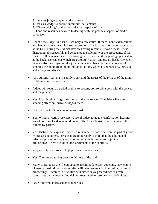3. Lawyers/judges playing to the camera.

4. Use as a wedge to coerce unfair civil settlements.

5. "Cherry picking" of the most salacious aspects of trials.

6. Time and resources devoted to dealing with the practical aspects of media coverage.

- Beyond the Judge Ito fiasco, I see only a few issues. If there is one video camera as a feed to all who want it, I see no problem. If it is a bunch of them, as occurred at the LOB during the Judicial Review hearing recently, it was a mess. It was distracting, disrespectful, and demeaned the solemnity of the proceeding. If the issue is still cameras, I can see allowing more than one if the photographers stand at the back, use cameras which are absolutely silent, and use no flash. However, I have an absolute objection if a jury is impaneled because there is no way of stopping the photographing of individual jurors, which is unnecessary, intrusive and a huge security risk.
- I am currently serving in Family Court and the issues of the privacy of the minor children would be an issue.
- Judges will require a period of time to become comfortable both with the concept and the practice.
- Yes, I fear it will change the culture of the courtroom. Televisions have an amazing effect on *[answer stopped there]*
- Not that shouldn't be able to be resolved.
- Yes. Witness, victim, jury safety, use of video at judge's confirmation hearings, use of portion of video to get dramatic effect for television, and playing to the camera by parties.
- Yes. Distraction, expense, increased reluctance to participate on the part of jurors, witnesses and others. Perhaps more importantly, I think that the editing and selection processes may yield unrepresentative impressions of judicial proceedings. There are, of course, arguments to the contrary.
- Yes, security for jurors in high profile criminal cases.
- Yes. The camera taking over the fairness of the trial.
- Many courthouses are ill-equipped to accommodate such coverage. New claims of error, constitutional or otherwise, will be unnecessarily injected into criminal proceedings. Technical difficulties will either delay proceedings or create complaints by the media if no delays are granted to resolve such difficulties.
- Issues are well addressed by extant rules.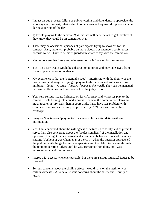- Impact on due process, failure of public, victims and defendants to appreciate the whole system, context, relationship to other cases as they would if present in court during a portion of the day.
- 1) People playing to the camera; 2) Witnesses will be reluctant to get involved if they know they could be on camera for trial.
- There may be occasional episodes of participants trying to show off for the cameras. Also, there will probably be more sidebars or chambers conferences because we will have to be more guarded in what we say with the cameras on.
- Yes. A concern that jurors and witnesses not be influenced by the cameras.
- Yes In a jury trial it would be a distraction to jurors and may take away from focus of presentation of evidence.
- My experience is that the "potential issues" interfering with the dignity of the proceedings and lawyers or judges playing to the camera and witnesses being inhibited – do not ??occur?? *[unsure if occur is the word].* They can be managed by firm but flexible courtroom control by the judge in court.
- Yes, very serious issues. Influence on jury. Attorney and witnesses play to the camera. Trials turning into a media circus. I believe the potential problems are much greater in jury trials than in court trials. I also have less problem with complete coverage such as may be provided by CTN than with sound bite coverage.
- Lawyers & witnesses "playing to" the camera. Juror intimidation/witness intimidation.
- Yes. I am concerned about the willingness of witnesses to testify and of jurors to serve. I am also concerned about the "professionalism" of the installation and operation. I thought the late arrival and subsequent behavior of one of the news stations (I believe it was Channel 8) at the CJI – when the operator approached the podium while Judge Lavery was speaking and then Mr. Davis went through the room to question judges until he was prevented from doing so – was unprofessional and discourteous.
- I agree with access, whenever possible, but there are serious logistical issues to be resolved.
- Serious concerns about the chilling effect it would have on the testimony of certain witnesses. Also have serious concerns about the safety and security of jurors.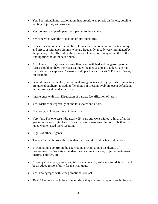- Yes. Sensationalizing, exploitation, inappropriate emphasis on factors, possible tainting of jurors, witnesses, etc.
- Yes, counsel and participants will pander to the camera.
- My concern is with the protection of juror identities.
- In cases where violence is involved, I think there is potential for the testimony and affect of witnesses/victims, who are frequently already very intimidated by the process, to be affected by the presence of cameras. It may affect the truthfinding function of the fact finder.
- Absolutely. In drug cases, we are often faced with bad and dangerous people. Juries should not have their faces all over the media, and as a judge, I am not crazy about the exposure. Cameras could put lives at risk – CT Post and Peeler, for example.
- Several issues, particularly at criminal arraignments and in jury trials. Eliminating prejudicial publicity, including file photos of presumptively innocent defendants in jumpsuits and handcuffs, is key.
- Interference with trial. Distraction of parties. Identification of jurors.
- Yes. Distraction especially of and to lawyers and jurors.
- Not really, so long as it is not disruptive.
- Very few. The one case I did nearly 25 years ago went without a hitch after the ground rules were established. Sensitive cases involving children or battered or raped women need more restraint.
- Rights of other litigants.
- The conflict with protecting the identity of certain victims in criminal trials.
- 1) Maintaining control in the courtroom. 2) Maintaining the dignity of proceedings. 3) Protecting the identities in some instances, of jurors, witnesses, victims, children, etc.
- Attorneys' behavior, jurors' identities and concerns, witness intimidation. It will be an added responsibility for the trial judge.
- Yes. Photographs with strong emotional contact.
- 46b-15 hearings should be excluded since they are family types cases in the main.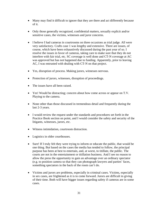- Many may find it difficult to ignore that they are there and act differently because of it.
- Only those generally recognized, confidential matters, sexually explicit and/or sensitive cases, the victims, witnesses and juror concerns.
- I believe I had cameras in courtrooms on three occasions as trial judge. All were very satisfactory. Crafts case 1 was lengthy and extensive. There are issues, of course, which have been exhaustively discussed during the past year of so. I resolve the issues in favor of cameras, taking care to make sure that they do not interfere with fair trial, etc. SC coverage is well done and CT-N coverage at AC was approved but has not happened due to funding. Apparently, prior to leaving AC, I was entrusted with dealing with CT-N on that project.
- Yes, disruption of process. Making jurors, witnesses nervous.
- Protection of jurors, witnesses, disruption of proceedings.
- The issues have all been raised.
- Yes! Would be distracting; concern about how come across or appear on T.V. Playing to the camera.
- None other than those discussed in tremendous detail and frequently during the last 2-3 years.
- I would review the request under the standards and procedures set forth in the Practice Book section on point, and I would consider the safety and security of the litigants, witnesses, jurors, etc.
- Witness intimidation, courtroom distraction.
- Logistics in older courthouses.
- Sure! If I truly felt they were trying to inform or educate the public, that would be one thing. But based on the cases the media has tended to follow, the principal purpose has been at best to entertain, and, at worst, to titillate, the public. The courts are not in the entertainment or titillation business. And I see no reason to allow the press the opportunity to gain an advantage over an ordinary spectator (e.g. to position camera so that they can photograph lawyers and parties' faces, something spectators in the back of the room can't do.
- Victims and jurors are problems, especially in criminal cases. Victims, especially in sex cases, are frightened as it is to come forward. Jurors are difficult in giving of their time. Both will have bigger issues regarding safety if cameras are in some cases.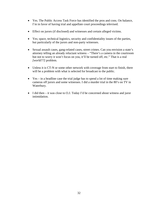- Yes. The Public Access Task Force has identified the pros and cons. On balance, I'm in favor of having trial and appellate court proceedings televised.
- Effect on jurors (if disclosed) and witnesses and certain alleged victims.
- Yes; space, technical logistics, security and confidentiality issues of the parties, but particularly of the jurors and non-party witnesses.
- Sexual assault cases, gang-related cases, street crimes. Can you envision a state's attorney telling an already reluctant witness – "There's a camera in the courtroom but not to worry it won't focus on you, it'll be turned off, etc." That is a real *[world??]* problem.
- Unless it is CT-N or some other network with coverage from start to finish, there will be a problem with what is selected for broadcast to the public.
- Yes in a headline case the trial judge has to spend a lot of time making sure cameras off jurors and some witnesses. I did a murder trial in the 80's on TV in Waterbury.
- I did then it was close to O.J. Today I'd be concerned about witness and juror intimidation.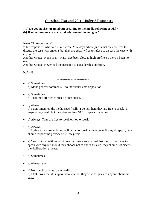## **Questions 7(a) and 7(b) – Judges' Responses**

#### **7(a) Do you advise jurors about speaking to the media following a trial? (b) If sometimes or always, what advisement do you give?**

Never/No responses: **20**

\*One respondent who said never wrote: "I always advise jurors that they are free to discuss the case with anyone, but they are equally free to refuse to discuss the case with anyone."

Another wrote: "None of my trials have been close to high profile, so there's been no need."

Another wrote: "Never had the occasion to consider this question."

 **\_\_\_\_\_\_\_\_\_\_\_\_\_\_\_\_\_\_\_\_** 

N/A --**8** 

#### **\*\*\*\*\*\*\*\*\*\*\*\*\*\*\*\*\*\*\*\*\*\***

- a) Sometimes. b) Make general comments – no individual vote or position.
- a) Sometimes. b) That they are free to speak or not speak.
- a) Always. b) I don't mention the media specifically, I do tell them they are free to speak to anyone they wish, but they also are free NOT to speak to anyone.
- a) Always. They are free to speak or not to speak.
- a) Always.

b) I advise they are under no obligation to speak with anyone. If they do speak, they should respect the privacy of fellow jurors.

- a) Yes. Not just with regard to media. Jurors are advised that they do not have to speak with anyone should they choose not to and if they do, they should not discuss the deliberation process.
- a) Sometimes.
- a) Always, yes.
- a) Not specifically as to the media. b) I tell jurors that it is up to them whether they wish to speak to anyone about the case.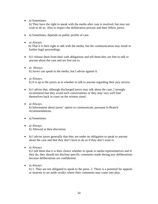• a) Sometimes.

b) They have the right to speak with the media after case is resolved, but may not wish to do so. Also to respect the deliberation process and their fellow jurors.

- a) Sometimes, depends on public profile of case.
- a) Always.

 b) That it is their right to talk with the media, but the communication may result in further legal proceedings.

- b) I release them from their oath obligations and tell them they are free to talk to anyone about the case and are free not to.
- a) Always. b) Jurors can speak to the media, but I advise against it.
- a) Always. b) It is up to the jurors as to whether to talk to anyone regarding their jury service.
- b) I advise that, although discharged jurors may talk about the case, I strongly recommend that they avoid such conversations or they may very well find themselves back in court on the witness stand.
- a) Always. b) Information about jurors' option to communicate, pursuant to Branch recommendations.
- a) Sometimes.
- a) Always. b) Allowed at their discretion.
- b) I advise jurors generally that they are under no obligation to speak to anyone about the case and that they don't have to do so if they don't want to.
- a) Always.

b) I tell them that it is their choice whether to speak to media representatives and if they do, they should not disclose specific comments made during jury deliberations because deliberations are confidential.

• a) Always.

b) 1. They are not obligated to speak to the press. 2. There is a potential for appeals or motions to set aside verdict where their comments may come into play.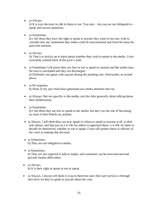• a) Always.

b) It is your decision to talk to them or not. You may – but you are not obligated to – speak and answer questions.

• a) Sometimes.

b) I tell them they have the right to speak to anyone they want to but may wish to consider that any statements they make could be misconstrued and form the basis for post-trial motions.

• a) Always.

 b) That it is strictly up to them about whether they wish to speak to the media. I also invariably remind them of the juror's oath.

- a) Sometimes I tell jurors they are free or not to speak to counsel and the media once the trial is concluded and they are discharged. b) Definitely not speak with anyone during the pending trial. Afterwards, as recited above.
- a) No response. b) None of my jury trials have generated any media attention thus far.
- a) Always. But not specific to the media, just the risks generally about talking about their deliberations.
- a) Sometimes.

b) I tell them they are free to speak to the media, but they run the risk of becoming an issue if their beliefs are printed.

- a) Always. I tell them they can now speak or refuse to speak to anyone at all, at their sole option, and that just as it is OK for others to approach them, it is OK for them to decide for themselves whether or not to speak. Court will protect them as officers of the court in making that decision.
- a) Sometimes. b) They are not obligated to media.
- a) Sometimes. b) They are not required to talk to media, and comments can be misconstrued and provide further difficulties.
- a) Always. b) It is their right to speak or not to speak.
- a) Always. I always tell them it is up to them but once their jury service is through they have no duty to speak to anyone about the case.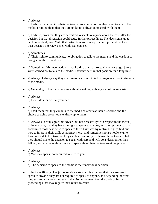• a) Always.

b) I advise them that it is their decision as to whether or not they want to talk to the media. I remind them that they are under no obligation to speak with them.

- b) I advise jurors that they are permitted to speak to anyone about the case after the decision but that discussion could cause further proceedings. The decision is up to each individual juror. With that instruction given in open court, jurors do not give post decision interviews even with trial counsel.
- a) Sometimes.

 b) Their right to communicate, no obligation to talk to the media, and the wisdom of doing so in the present case.

- a) Sometimes. My recollection is that I did so advise jurors. Many years ago, jurors were warned not to talk to the media. I haven't been in that position for a long time.
- a) Always. I always say they are free to talk or not to talk to anyone without reference to the media.
- a) Generally, in that I advise jurors about speaking with anyone following a trial.
- a) Always. b) Don't do it or do it at your peril.
- a) Always.

b) I tell them that they can talk to the media or others at their discretion and the choice of doing so or not is entirely up to them.

- a) Always (I always give this advice, but not necessarily with respect to the media.) b) In any case, that they have the right to speak to anyone, and the right not to; that sometimes those who wish to speak to them have worthy motives, e.g. to find out how to improve their skills as attorneys, etc.; and sometimes not so noble, e.g. to ferret out a detail or two that they can later use to try to change the outcome. That they should make the decision to speak with care and with consideration for their fellow jurors, who might not wish to speak about their decision-making process.
- a) Always b) You may speak, not required to – up to you.
- a) Always. b) The decision to speak to the media is their individual decision.
- b) Not specifically: The jurors receive a standard instruction that they are free to speak to anyone; they are not required to speak to anyone, and depending on what they say and to whom they say it, the discussion may form the basis of further proceedings that may require their return to court.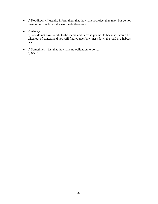- a) Not directly. I usually inform them that they have a choice, they may, but do not have to but should not discuss the deliberations.
- a) Always.

b) You do not have to talk to the media and I advise you not to because it could be taken out of context and you will find yourself a witness down the road in a habeas case.

• a) Sometimes – just that they have no obligation to do so. b) See A.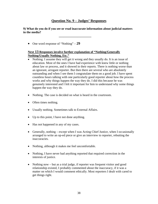#### **Question No. 9 – Judges' Responses**

**9) What do you do if you see or read inaccurate information about judicial matters in the media?** 

• One word response of "Nothing" – **29** 

 **\_\_\_\_\_\_\_\_\_\_\_\_\_\_\_\_\_\_\_\_\_** 

#### **Next 13 Responses involve further explanation of "Nothing/Generally Nothing/Usually Nothing, Etc."**

- Nothing. I assume they will get it wrong and they usually do. It is an issue of education. Most of the ones I have had experience with knew little or nothing about law or process, and it showed in their reports. There is nothing worse than an ignorant, arrogant reporter. But then there are several who are absolutely outstanding and when I see them I congratulate them on a good job. I have spent countless hours talking with one particularly good reporter about how the process works and why things happen the way they do. I did this because he was genuinely interested and I felt it important for him to understand why some things happen the way they do.
- Nothing. The case is decided on what is heard in the courtroom.
- Often times nothing.
- Usually nothing. Sometimes talk to External Affairs.
- Up to this point, I have not done anything.
- Has not happened in any of my cases.
- Generally, nothing except when I was Acting Chief Justice, when I occasionally arranged to write an op-ed piece or give an interview to reporter, rebutting the inaccuracies.
- Nothing, although it makes me feel uncomfortable.
- Nothing, I have never had anything reported that required correction in the interests of justice.
- Nothing now but as a trial judge, if reporter was frequent visitor and good relationship existed, I probably commented about the inaccuracy, if it was a matter on which I would comment ethically. Most reporters I dealt with cared to get things right.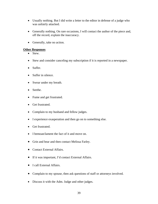- Usually nothing. But I did write a letter to the editor in defense of a judge who was unfairly attacked.
- Generally nothing. On rare occasions, I will contact the author of the piece and, off the record, explain the inaccuracy.
- Generally, take no action.

#### **Other Responses**

- Stew.
- Stew and consider canceling my subscription if it is reported in a newspaper.
- Suffer.
- Suffer in silence.
- Swear under my breath.
- Seethe.
- Fume and get frustrated.
- Get frustrated.
- Complain to my husband and fellow judges.
- I experience exasperation and then go on to something else.
- Get frustrated.
- I bemoan/lament the fact of it and move on.
- Grin and bear and then contact Melissa Farley.
- Contact External Affairs.
- If it was important, I'd contact External Affairs.
- I call External Affairs.
- Complain to my spouse, then ask questions of staff or attorneys involved.
- Discuss it with the Adm. Judge and other judges.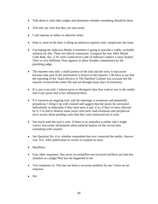- Talk about it with other judges and determine whether something should be done.
- Tell only my wife that they are inaccurate.
- I call reporter or editor or editorial writer.
- Note it, most of the time. Calling an unknown reporter only complicates the issue.
- I'm hoping the Judiciary-Media Committee is going to provide a viable, workable solution for this. There are ethical constraints. Compare the new ABA Model Code Rule, Sec. 2.10, with Connecticut Code of Judicial Conduct, Canon 3(a)(6). They're very different. Ours appears to allow broader commentary by the presiding judge.
- The reporter sees only a small portion of the trial and the story is inaccurate because only part of the information is known to the reporter. I do have to say that the reporting of the Tauck divorce in The Hartford Courant was accurate but the reporter reviewed the entire file and sat through many days of testimony.
- If a case is on trial, I inform jurors to disregard what they read or saw in the media and if any jurors feel it has influenced them.
- If it concerns an ongoing trial, and the reportage is erroneous and potentially prejudicial, I bring it up with counsel and suggest that the jurors be canvassed individually to determine if they have seen it and, if so, if they've been affected by it. I've had to dismiss some jurors who have read erroneous and prejudicial news stories about pending cases that they were instructed not to read.
- Not much until the trial is over. If there is no prejudice to either side I might correct inaccurate information about judicial matters on the record after consulting with counsel.
- See Question No. 4 re: whether respondent has ever contacted the media. Answer was: Yes. After publication to correct or expand on story.
- Headlines.
- Four other responses: Has never occurred/Has not occurred yet/Have not had that situation as a judge/That has not happened to me.
- Two responses of: This has not been a recurrent problem for me/ I have no set response.
- NA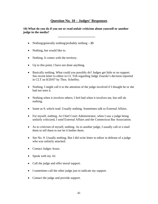#### **Question No. 10 – Judges' Responses**

**10) What do you do if you see or read unfair criticism about yourself or another judge in the media?** 

• Nothing/generally nothing/probably nothing – **25** 

 **\_\_\_\_\_\_\_\_\_\_\_\_\_\_\_\_\_\_\_\_\_\_\_\_** 

- Nothing, but would like to.
- Nothing. It comes with the territory.
- Up to this point, I have not done anything.
- Basically nothing. What could you possibly do? Judges get little or no support. See recent letter to editor in CL Trib regarding Judge Zoarski's decision reported in CLT on 8/20/07 by Thos. Scheffey.
- Nothing. I might call it to the attention of the judge involved if I thought he or she had not seen it.
- Nothing when it involves others; I feel bad when it involves me, but still do nothing.
- Same as 9, which read: Usually nothing. Sometimes talk to External Affairs.
- For myself, nothing. As Chief Court Administrator, when I saw a judge being unfairly criticized, I used External Affairs and the Connecticut Bar Association.
- As to criticism of myself, nothing. As to another judge, I usually call or e-mail them to tell them to not let it bother them.
- See No. 9: Usually nothing. But I did write letter to editor in defense of a judge who was unfairly attacked.
- Contact Judges Assoc.
- Speak with my AJ.
- Call the judge and offer moral support.
- I sometimes call the other judge just to indicate my support.
- Contact the judge and provide support.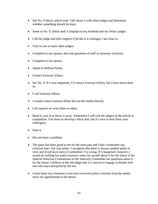- See No. 9 above, which read: Talk about it with other judges and determine whether something should be done.
- Same as No. 9, which read: Complain to my husband and my fellow judges.
- Call the judge and offer support if he/she is a colleague I am close to.
- Vent to one or more other judges.
- Complain to my spouse, then ask questions of staff or attorneys involved.
- Complain to my spouse.
- Speak to Melissa Farley.
- Contact External Affairs.
- See No. 9: If it was important, I'd contact External Affairs, but I have never done so.
- I call External Affairs.
- I would contact external affairs but not the media directly.
- Call reporter or write letter to editor.
- Read it, save it or throw it away. Sometimes I will call the subject of the article to sympathize. You learn to develop a thick skin, but it's nice to hear from your colleagues.
- Note it.
- Has not been a problem.
- The press has been good to me for the most part and I don't remember any criticism that I felt was unfair. I recognize that there is always another point of view and (Lord have mercy!) sometimes I'm wrong. If it happened, however, I would do nothing but make extensive notes for myself about it for the future if the Judicial Selection Commission or the Judiciary Committee has questions about it for the future. I believe in the old adage that it is unwise to engage in debate with one who buys newsprint by the ton.
- I have been very fortunate to not have received unfair criticism from the media since my appointment to the bench.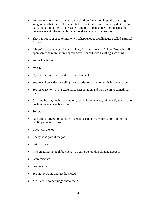- I try not to show those articles to my children. I mention in public speaking assignments that the public is entitled to react unfavorably to any judicial or juror decision but in fairness to the system and the litigants, they should acquaint themselves with the actual facts before drawing any conclusions.
- That has not happened to me. When it happened to a colleague, I called External Affairs.
- It hasn't happened yet. If/when it does, I'm not sure what I'll do. Probably call upon someone more knowledgeable/experienced with handling such things.
- Suffer in silence.
- Swear.
- Myself has not happened. Others I lament.
- Seethe and consider canceling the subscription, if the report is in a newspaper.
- See response to No. 9: I experience exasperation and then go on to something else.
- Grin and bear it, hoping that others, particularly lawyers, will clarify the situation. Such moments have been rare.
- Suffer.
- I am afraid judges do too little to defend each other, which is horrible for the public perception of us.
- Goes with the job.
- Accept it as part of the job.
- Get frustrated.
- It's sometimes a tough business, you can't be too thin skinned about it.
- I commiserate.
- Seethe a lot.
- See No. 9: Fume and get frustrated.
- N/A. Yet. Another judge answered N/A.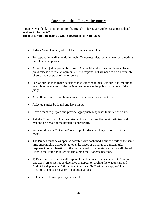## **Question 11(b) – Judges' Responses**

11(a) Do you think it's important for the Branch to formulate guidelines about judicial matters in the media?

**(b) If this would be helpful, what suggestions do you have?** 

• Judges Assoc Comm., which I had set up as Pres. of Assoc.

 **\_\_\_\_\_\_\_\_\_\_\_\_\_\_\_\_\_\_\_\_\_\_\_\_\_\_\_\_\_** 

- To respond immediately, definitively. To correct mistakes, mistaken assumptions, mistaken perceptions.
- A prominent judge, preferably the CCA, should hold a press conference, issue a press release or write an opinion letter to respond, but we need to do a better job of ensuring coverage of the response.
- Part of our job is to make decisions that someone thinks is unfair. It is important to explain the context of the decision and educate the public in the role of the judges.
- A public relations committee who will accurately report the facts.
- Affected parties be found and have input.
- Have a team to prepare and provide appropriate responses to unfair criticism.
- Ask the Chief Court Administrator's office to review the unfair criticism and respond on behalf of the branch if appropriate.
- We should have a "hit squad" made up of judges and lawyers to correct the record.
- The Branch must be as open as possible with each media outlet, while at the same time encouraging that outlet to open its pages or cameras to a meaningful response to or explanation of the item alleged to be unfair, such as a well placed letter to the editor or an article explaining the Branch's position.
- 1) Determine whether it will respond to factual inaccuracies only or to "unfair criticism;" 2) Must not be defensive or appear to circling the wagons around "judicial independence" if that is not an issue; 3) Must be prompt; 4) Should continue to enlist assistance of bar associations.
- Reference to transcripts may be useful.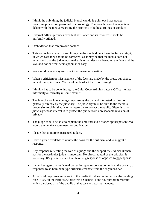- I think the only thing the judicial branch can do is point out inaccuracies regarding procedure, personnel or chronology. The branch cannot engage in a debate with the media regarding the propriety of judicial rulings or conduct.
- External Affairs provides excellent assistance and its resources should be uniformly utilized.
- Ombudsman that can provide contact.
- This varies from case to case. It may be the media do not have the facts straight, in which case they should be corrected. Or it may be that the media does not understand that the judge must make his or her decision based on the facts and the law, and not on what seems popular or easy.
- We should have a way to correct inaccurate information.
- When a criticism or misstatement of the facts are made by the press, our silence indicates acquiescence. We should at least set the record straight.
- I think it has to be done through the Chief Court Administrator's Office either informally or formally in some manner.
- The branch should encourage response by the bar and interested parties not generally directly by the judiciary. The judiciary must be alert to the media's propensity to claim that its only interest is to protect the public. Often, it is the judiciary whose interest is to protect the public from unreasonable invasion of privacy.
- The judge should be able to explain the unfairness to a branch spokesperson who would then make a statement for publication.
- I leave that to more experienced judges.
- Have a group available to review the basis for the criticism and to suggest a response.
- Any response reiterating the role of a judge and the support the Judicial Branch has for the particular judge is important. No direct rebuttal of the criticism is necessary. It's just important that there be a response as opposed to no response.
- I would suggest that a) factual correction type responses come from the branch; b) responses to ad hominem type criticism emanate from the organized bar.
- An official response can be sent to the media if it does not impact on the pending case. Also, on the Petit case, there was a Channel 4 one hour program recently, which disclosed all of the details of that case and was outrageous.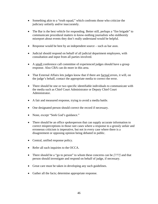- Something akin to a "truth squad," which confronts those who criticize the judiciary unfairly and/or inaccurately.
- The Bar is the best vehicle for responding. Better still, perhaps a "fire brigade" to communicate procedural matters to know-nothing journalists who stubbornly misreport about events they don't really understand would be helpful.
- Response would be best by an independent source such as bar assn.
- Judicial should respond on behalf of all judicial department employees, with consultation and input from all parties involved.
- A small conference call committee of experienced judges should have a group response. Also CBA can do more in this area.
- That External Affairs lets judges know that if there are factual errors, it will, on the judge's behalf, contact the appropriate media to correct the error.
- There should be one or two specific identifiable individuals to communicate with the media such as Chief Court Administrator or Deputy Chief Court Administrator.
- A fair and measured response, trying to avoid a media battle.
- One designated person should correct the record if necessary.
- None, except "Seek God's guidance."
- There should be an office spokesperson that can supply accurate information to correct misperceptions in those rare cases where a response to a grossly unfair and erroneous criticism is imperative, but not in every case where there is a disagreement or opposing opinion being debated in public.
- Central, unified response policy.
- Refer all such inquiries to the OCCA.
- There should be a "go to person" to whom these concerns can be *[???]* and that person should investigate and respond on behalf of judge, if necessary.
- Great care must be taken in developing any such guidelines.
- Gather all the facts; determine appropriate response.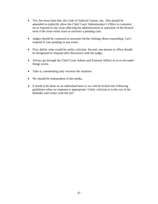- Yes, but more than that, the Code of Judicial Canons, Sec. 3(6) should be amended to explicitly allow the Chief Court Administrator's Office to comment on or respond to any issue affecting the administration or operation of the Branch even if the issue arises from or involves a pending case.
- Judges should be contacted to ascertain his/her feelings about responding. Can't respond if case pending in any event.
- First, define what would be unfair criticism. Second, one person or office should be designated to respond after discussion with the judge.
- Always go through the Chief Court Admin and External Affairs so as to not make things worse.
- Take it; commenting only worsens the situation.
- We should be independent of the media.
- It needs to be done on an individual basis or we will be locked into following guidelines when no response is appropriate. Unfair criticism is in the eye of the beholder and comes with the turf.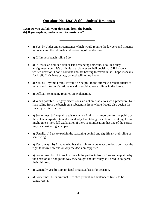# **Questions No. 12(a) & (b) – Judges' Responses**

**12(a) Do you explain your decisions from the bench? (b) If you explain, under what circumstances?** 

 **\_\_\_\_\_\_\_\_\_\_\_\_\_\_\_\_\_\_\_\_\_\_\_** 

- a) Yes. b) Under any circumstance which would require the lawyers and litigants to understand the rationale and reasoning of the decision.
- a) If I issue a bench ruling I do.
- a) If I issue an oral decision or I'm sentencing someone, I do. In a busy arraignment court, it's difficult to explain every bail decision. b) If I issue a written decision, I don't convene another hearing to "explain" it. I hope it speaks for itself. If it's inarticulate, counsel will let me know.
- a) Yes. b) Anytime I think it would be helpful to the attorneys or their clients to understand the court's rationale and to avoid adverse rulings in the future.
- a) Difficult sentencing requires an explanation.
- a) When possible. Lengthy discussions are not amenable to such a procedure. b) If I am ruling from the bench on a substantive issue where I could also decide the issue by written memo.
- a) Sometimes. b) I explain decisions when I think it's important for the public or the defendant/parties to understand why I am taking the action I'm taking. I also might give a more full explanation if there is an indication that one of the parties may be considering an appeal.
- a) Usually. b) I try to explain the reasoning behind any significant oral ruling or sentencing.
- a) Yes, always. b) Anyone who has the right to know what the decision is has the right to know how and/or why the decision happened.
- a) Sometimes. b) If I think I can reach the parties in front of me and explain why the decision did not go the way they sought and how they still need to co-parent their children.
- a) Generally yes. b) Explain legal or factual basis for decision.
- a) Sometimes. b) In criminal, if victim present and sentence is likely to be controversial.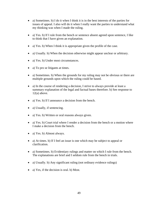- a) Sometimes. b) I do it when I think it is in the best interests of the parties for issues of appeal. I also will do it when I really want the parties to understand what my thinking was when I made the ruling.
- a) Yes. b) If I rule from the bench or sentence absent agreed upon sentence, I like to think that I have given an explanation.
- a) Yes. b) When I think it is appropriate given the profile of the case.
- a) Usually. b) When the decision otherwise might appear unclear or arbitrary.
- a) Yes. b) Under most circumstances.
- a) To pro se litigants at times.
- a) Sometimes. b) When the grounds for my ruling may not be obvious or there are multiple grounds upon which the ruling could be based.
- a) In the course of rendering a decision, I strive to always provide at least a summary explanation of the legal and factual bases therefore. b) See response to  $12(a)$  above.
- a) Yes. b) If I announce a decision from the bench.
- a) Usually, if sentencing.
- a) Yes. b) Written or oral reasons always given.
- a) Yes. b) Court trial where I render a decision from the bench or a motion where I make a decision from the bench.
- a) Yes. b) Almost always.
- a) At times. b) If I feel an issue is one which may be subject to appeal or clarification.
- a) Sometimes. b) Evidentiary rulings and matter on which I rule from the bench. The explanations are brief and I seldom rule from the bench in trials.
- a) Usually. b) Any significant ruling (not ordinary evidence rulings)
- a) Yes, if the decision is oral. b) Most.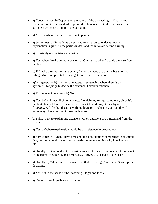- a) Generally, yes. b) Depends on the nature of the proceedings  $-$  if rendering a decision, I recite the standard of proof, the elements required to be proven and sufficient evidence to support the decision.
- a) Yes. b) Whenever the reason is not apparent.
- a) Sometimes. b) Sometimes on evidentiary or short calendar rulings an explanation is given so the parties understand the rationale behind a ruling.
- a) Invariably my decisions are written.
- a) Yes, when I make an oral decision. b) Obviously, when I decide the case from the bench.
- b) If I make a ruling from the bench, I almost always explain the basis for the ruling. More complicated rulings get more of an explanation.
- a)Yes, generally. b) In criminal matters, in sentencing where there is an agreement for judge to decide the sentence, I explain rationale.
- a) To the extent necessary. b) NA.
- a) Yes. b) In almost all circumstances, I explain my rulings completely since it's the best chance I have to make sense of what I am doing, at least by my *[litigants???]* If either disagree with my logic or conclusions, at least they'll know why I have reached those conclusions.
- b) I always try to explain my decisions. Often decisions are written and from the bench.
- a) Yes. b) Where explanation would be of assistance in proceedings.
- a) Sometimes. b) When I have time and decision involves some specific or unique fact, reason or condition – to assist parties in understanding why I decided as I did.
- a) Usually. b) It is good P.R. in most cases and if done in the manner of the recent white paper by Judges Leben  $(x)$  Burke. It gives solace even to the loser.
- a) Usually. b) When I wish to make clear that I'm being [?*consistent?]* with prior decisions.
- a) Yes, but in the sense of the reasoning legal and factual.
- a) Yes I'm an Appellate Court Judge.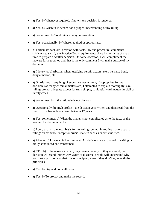- a) Yes. b) Whenever required, if no written decision is rendered.
- a) Yes. b) Where it is needed for a proper understanding of my ruling.
- a) Sometimes. b) To eliminate delay in resolution.
- a) Yes, occasionally. b) Where required or appropriate.
- b) I articulate each oral decision with facts, law and procedural comments sufficient to satisfy the Practice Book requirements since it takes a lot of extra time to prepare a written decision. On some occasion, I will compliment the lawyers for a good job and that is the only comment I will make outside of my decision.
- a) I do try to. b) Always, when justifying certain action taken, i.e. raise bond, deny a motion, etc.
- a) On trial court, anything of substance was written, if appropriate for oral decision, (as many criminal matters are) I attempted to explain thoroughly. Oral rulings are not adequate except for truly simple, straightforward matters in civil or family cases.
- a) Sometimes. b) If the rationale is not obvious.
- a) Occasionally. b) High profile the decision gets written and then read from the Bench. This has only occurred twice in 12 years.
- a) Yes, sometimes. b) When the matter is not complicated as to the facts or the law and the decision is clear.
- b) I only explain the legal basis for my rulings but not in routine matters such as rulings on evidence except for crucial matters such as expert evidence.
- a) Always. b) I have a civil assignment. All decisions are explained in writing or orally announced and transcribed.
- a) YES! b) If the reasons are bad, they have a remedy; if they are good, the decision will stand. Either way, agree or disagree, people will understand why you took a position and that it was principled, even if they don't agree with the principles.
- a) Yes. b) I try and do in all cases.
- a) Yes. b) To protect and make the record.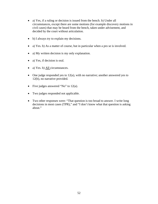- a) Yes, if a ruling or decision is issued from the bench. b) Under all circumstances, except there are some motions (for example discovery motions in civil cases) that may be heard from the bench, taken under advisement, and decided by the court without articulation.
- b) I always try to explain my decisions.
- a) Yes. b) As a matter of course, but in particular when a pro se is involved.
- a) My written decision is my only explanation.
- a) Yes, if decision is oral.
- a) Yes. b) All circumstances.
- One judge responded yes to 12(a), with no narrative; another answered yes to 12(b), no narrative provided.
- Five judges answered "No" to 12(a).
- Two judges responded not applicable.
- Two other responses were: "That question is too broad to answer. I write long decisions in most cases (TPR)," and "I don't know what that question is asking about."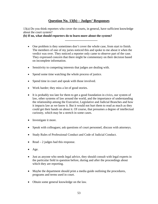## **Question No. 13(b) – Judges' Responses**

13(a) Do you think reporters who cover the courts, in general, have sufficient knowledge about the court system?

**(b) If no, what should reporters do to learn more about the system?** 

 **\_\_\_\_\_\_\_\_\_\_\_\_\_\_\_\_\_\_\_\_\_** 

- One problem is they sometimes don't cover the whole case, from start to finish. The members of one of my juries noticed this and spoke to me about it when the verdict was over. They noticed a reporter only came to observe part of the case. They expressed concern that there might be commentary on their decision based on incomplete information.
- Sensitivity to competing interests that judges are dealing with.
- Spend some time watching the whole process of justice.
- Spend time in court and speak with those involved.
- Work harder; they miss a lot of good stories.
- It is probably too late for them to get a good foundation in civics, our system of law, other systems of law around the world, and the importance of understanding the relationship among the Executive, Legislative and Judicial Branches and how it impacts law as we know it. But it would not hurt them to read as much as they could get their hands on about it. Of course, that presumes a degree of intellectual curiosity, which may be a stretch in some cases.
- Investigate it more.
- Speak with colleagues; ask questions of court personnel, discuss with attorneys.
- Study Rules of Professional Conduct and Code of Judicial Conduct.
- Read  $-2$  judges had this response.
- $\bullet$  Age.
- Just as anyone who needs legal advice, they should consult with legal experts in the particular field in question before, during and after the proceedings about which they are reporting.
- Maybe the department should print a media guide outlining the procedures, programs and terms used in court.
- Obtain some general knowledge on the law.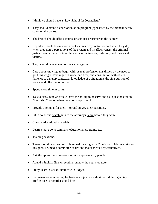- I think we should have a "Law School for Journalists."
- They should attend a court orientation program (sponsored by the branch) before covering the courts.
- The branch should offer a course or seminar or primer on the subject.
- Reporters should know more about victims, why victims report when they do, when they don't, perceptions of the system and its effectiveness, the criminal justice system, the effects of the media on witnesses, testimony and juries and victims.
- They should have a legal or civics background.
- Care about knowing, to begin with. A real professional is driven by the need to get things right. This requires work, and time, and consultation with others. Patience to develop contextual knowledge of a situation is the sine qua non of honest and effective reporters.
- Spend more time in court.
- Take a class; read an article; have the ability to observe and ask questions for an "internship" period when they don't report on it.
- Provide a seminar for them or/and survey their questions.
- Sit in court and watch; talk to the attorneys; learn before they write.
- Consult educational materials.
- Learn; study; go to seminars, educational programs, etc.
- Training sessions.
- There should be an annual or biannual meeting with Chief Court Administrator or designee, i.e. media committee chairs and major media representatives.
- Ask the appropriate questions or hire experience*[d]* people.
- Attend a Judicial Branch seminar on how the courts operate.
- Study, learn, discuss, interact with judges.
- Be present on a more regular basis not just for a short period during a high profile case to record a sound-bite.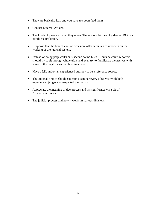- They are basically lazy and you have to spoon feed them.
- Contact External Affairs.
- The kinds of pleas and what they mean. The responsibilities of judge vs. DOC vs. parole vs. probation.
- I suppose that the branch can, on occasion, offer seminars to reporters on the working of the judicial system.
- Instead of doing perp walks or 5-second sound bites ... outside court, reporters should try to sit through whole trials and even try to familiarize themselves with some of the legal issues involved in a case.
- Have a J.D. and/or an experienced attorney to be a reference source.
- The Judicial Branch should sponsor a seminar every other year with both experienced judges and respected journalists.
- Appreciate the meaning of due process and its significance vis a vis  $1<sup>st</sup>$ Amendment issues.
- The judicial process and how it works in various divisions.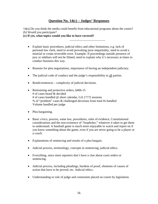## **Question No. 14(c) – Judges' Responses**

14(a) Do you think the media could benefit from educational programs about the courts? (b) Would you participate?

**(c) If yes, what topics would you like to have covered?** 

 $\frac{1}{2}$  , and the contract of the contract of the contract of the contract of the contract of the contract of the contract of the contract of the contract of the contract of the contract of the contract of the contract

- Explain basic procedures, judicial ethics and other limitations, e.g. lack of personal law clerk, need to avoid provoking juror impartiality, need to avoid a mistrial or create reversible error. Example: If proceedings outside presence of jury or sidebars will not be filmed, need to explain why it's necessary at times to conduct business this way.
- Reasons for plea negotiations, importance of having an independent judiciary.
- The judicial code of conduct and the judge's responsibility to all parties.
- Bonds/sentences complexity of judicial decisions.
- Restraining and protective orders, §46b-15 # of cases heard & decided # of cases handled @ short calendar, GA *[???]* sessions % of "problem" cases & challenged decisions from total #s handled Volume handled per judge
- Plea bargaining.
- Basic civics, process, some law, procedures, rules of evidence, Constitutional considerations and the non-existence of "loopholes," whatever it takes to get them to understand. A baseball game is much more enjoyable to watch and report on if you know something about the game, even if you are never going to be a player or a coach.
- Explanations of sentencing and results of a plea bargain.
- Judicial process, terminology, concepts in sentencing; judicial ethics.
- Everything, since most reporters don't have a clue about court orders or sentencing.
- Judicial process, including pleadings, burdens of proof, elements of causes of action that have to be proved, etc. Judicial ethics.
- Understanding or role of judge and constraints placed on courts by legislation.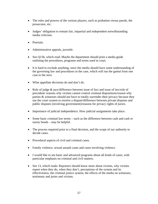- The roles and powers of the various players, such as probation versus parole, the prosecutor, etc.
- Judges' obligation to remain fair, impartial and independent notwithstanding media criticism.
- Pretrials.
- Administrative appeals, juvenile.
- See O13b, which read: Maybe the department should print a media guide outlining the procedures, programs and terms used in court.
- It is hard to exclude anything, since the media should have some understanding of the governing law and procedures in the case, which will run the gamut from one case to the next.
- What appellate decisions do and don't do.
- Role of judge  $\&$  jury/difference between issue of fact and issue of law/role of precedent/ reasons why victims cannot control criminal dispositions/reason why parties & witnesses should not have to totally surrender their privacy because they use the court system to resolve a dispute/difference between private disputes and public disputes (involving government)/reasons for privacy rights of jurors.
- Importance of judicial independence. How judicial assignments take place.
- Some basic criminal law terms such as the difference between cash and cash or surety bonds – may be helpful.
- The process required prior to a final decision, and the scope of our authority to decide cases.
- Procedural aspects of civil and criminal cases.
- Family violence, sexual assault cases and cases involving violence.
- I would like to see basic and advanced programs about all kinds of cases, with particular emphasis on criminal and civil matters.
- See 13, which reads: Reporters should know more about victims, why victims report when they do, when they don't, perceptions of the system and its effectiveness, the criminal justice system, the effects of the media on witnesses, testimony and juries and victims.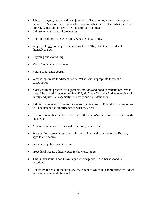- Ethics lawyers, judges and, yes, journalists. The attorney-client privilege and the reporter's source privilege – what they are, what they protect, what they don't protect. Constitutional law. The limits of judicial power.
- Bail, sentencing, pretrial procedures.
- Court procedures the whys and *[???]* the judge's role.
- Why should we do the job of educating them? They don't care to educate themselves now.
- Anything and everything.
- Many. Too many to list here.
- Nature of juvenile courts.
- What is legitimate for dissemination. What is not appropriate for public consumption.
- Mostly criminal process, arraignments, motions and bond considerations. What does "The plaintiff seeks more than \$15,000" mean? (Civil) And an overview of family and juvenile, especially sensitivity and confidentiality.
- Judicial procedures, discretion, some substantive law ... Enough so that reporters will understand the significance of what they hear.
- I'm not sure at this juncture. I'd leave to those who've had more experience with the media.
- No matter what you do they will cover only what sells.
- Practice Book procedures, timetables, organizational structure of the Branch, appellate remedies.
- Privacy vs. public need to know.
- Procedural issues. Ethical codes for lawyers, judges.
- This is their issue. I don't have a particular agenda. I'd rather respond to questions.
- Generally, the role of the judiciary, the extent to which it is appropriate for judges to communicate with the media.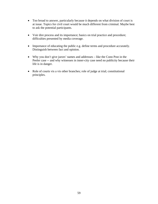- Too broad to answer, particularly because it depends on what division of court is at issue. Topics for civil court would be much different from criminal. Maybe best to ask the potential participants.
- Voir dire process and its importance; basics on trial practice and procedure; difficulties presented by media coverage.
- Importance of educating the public e.g. define terms and procedure accurately. Distinguish between fact and opinion.
- Why you don't give jurors' names and addresses like the Conn Post in the Peeler case -- and why witnesses in inner-city case need no publicity because their life is in danger.
- Role of courts vis a vis other branches; role of judge at trial; constitutional principles.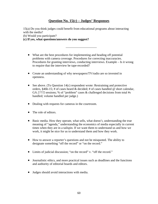## **Question No. 15(c) – Judges' Responses**

15(a) Do you think judges could benefit from educational programs about interacting with the media?

(b) Would you participate?

**(c) If yes, what questions/answers do you suggest?** 

\_\_\_\_\_\_\_\_\_\_\_\_\_\_\_\_\_\_\_\_

- What are the best procedures for implementing and heading off potential problems with camera coverage. Procedures for correcting inaccuracies. Procedures for granting interviews, conducting interviews. Example – Is it wrong to require that the interview be tape-recorded?
- Create an understanding of why newspapers/TV/radio are so invested in openness.
- See above. (To Question 14(c) respondent wrote: Restraining and protective orders, §46b-15; # of cases heard & decided; # of cases handled @ short calendar, GA [???] sessions; % of "problem" cases & challenged decisions from total #s handled; volume handled per judge.)
- Dealing with requests for cameras in the courtroom.
- The role of editors.
- Basic media. How they operate, what sells, what doesn't, understanding the true meaning of "agenda," understanding the economics of media especially in current times when they are in a tailspin. If we want them to understand us and how we work, it might be nice for us to understand them and how they work.
- How to answer a reporter's questions and not be misquoted. The ability to designate something "off the record" or "on the record."
- Limits of judicial discussion; "on the record" v. "off the record."
- Journalistic ethics, and more practical issues such as deadlines and the functions and authority of editorial boards and editors.
- Judges should avoid interactions with media.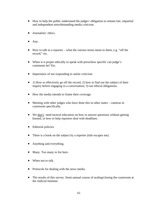- How to help the public understand the judges' obligation to remain fair, impartial and independent notwithstanding media criticism.
- Journalists' ethics.
- Any.
- How to talk to a reporter what the various terms mean to them, e.g. "off the record," etc.
- When is it proper ethically to speak with press/how specific can judge's comments be? Etc.
- Importance of not responding to unfair criticism.
- $\bullet$  1) How to effectively go off the record; 2) how to find out the subject of their inquiry before engaging in a conversation; 3) our ethical obligations.
- How the media intends to frame their coverage.
- Meeting with other judges who have done this in other states cameras in courtroom specifically.
- We don't need tactical education on how to answer questions without getting burned, or how to help reporters deal with deadlines.
- Editorial policies.
- There is a book on the subject by a reporter (title escapes me).
- Anything and everything.
- Many. Too many to list here.
- When not to talk.
- Protocols for dealing with the news media.
- The results of this survey. Semi-annual course of sealing/closing the courtroom at the Judicial Institute.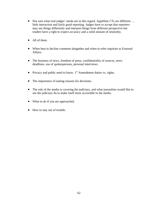- Not sure what trial judges' needs are in this regard. Appellate CTs are different ... little interaction and fairly good reporting. Judges have to accept that reporters may see things differently and interpret things from different perspective but readers have a right to expect accuracy and a solid amount of neutrality.
- All of them.
- When best to decline comment altogether and when to refer inquiries to External Affairs.
- The business of news, freedom of press, confidentiality of sources, news deadlines, use of spokespersons, personal interviews.
- Privacy and public need to know.  $1<sup>st</sup>$  Amendment duties vs. rights.
- The importance of stating reasons for decisions.
- The role of the media is covering the judiciary, and what journalists would like to see the judiciary do to make itself more accessible to the media.
- What to do if you are approached.
- How to stay out of trouble.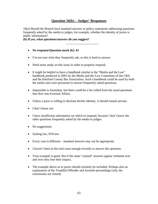## **Question 16(b) – Judges' Responses**

16(a) Should the Branch have standard answers or policy statements addressing questions frequently asked by the media to judges, for example, whether the identity of jurors is public information?

#### **(b) If yes, what questions/answers do you suggest?**

 $\frac{1}{2}$  , and the set of the set of the set of the set of the set of the set of the set of the set of the set of the set of the set of the set of the set of the set of the set of the set of the set of the set of the set

- **No response/Question mark (b): 42**
- I'm not sure what they frequently ask, so this is hard to answer.
- Need more study on this issue in order to properly respond.
- It might be helpful to have a handbook similar to the "Media and the Law" handbook produced in 2001 by the Media and the Law Committee of the CBA and the Hartford County Bar Association. Such a handbook could be used by both the media and court personnel to answer frequently asked questions.
- Impossible to formulate, but there could be a list culled from the usual questions that flow into External Affairs.
- Unless a juror is willing to disclose his/her identity, it should remain private.
- I don't know yet.
- I have insufficient information on which to respond, because I don't know the other questions frequently asked by the media to judges.
- No suggestions.
- Sealing law, FOI law.
- Every case is different standard answers may not be appropriate.
- I haven't been in the trial court enough recently to answer this question.
- Your example is good. But if the same "canned" answers appear verbatim over and over they lose their impact.
- The example above as to jurors should certainly be included. Perhaps also an explanation of the Youthful Offender and Juvenile proceedings (why the courtrooms are closed)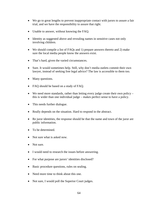- We go to great lengths to prevent inappropriate contact with jurors to assure a fair trial, and we have the responsibility to assure that right.
- Unable to answer, without knowing the FAQ.
- Identity as suggested above and revealing names in sensitive cases not only involving children.
- We should compile a list of FAQs and 1) prepare answers thereto and 2) make sure the local media people know the answers exist.
- That's hard, given the varied circumstances.
- Sure. It would sometimes help. Still, why don't media outlets commit their own lawyer, instead of seeking free legal advice? The law is accessible to them too.
- Many questions.
- FAQ should be based on a study of FAQ.
- We need more standards, rather than letting every judge create their own policy this is wider than one individual judge – makes perfect sense to have a policy.
- This needs further dialogue.
- Really depends on the situation. Hard to respond in the abstract.
- Re juror identities, the response should be that the name and town of the juror are public information.
- To be determined.
- Not sure what is asked now.
- Not sure.
- I would need to research the issues before answering.
- For what purpose are jurors' identities disclosed?
- Basic procedure questions, rules on sealing.
- Need more time to think about this one.
- Not sure, I would poll the Superior Court judges.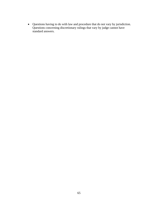• Questions having to do with law and procedure that do not vary by jurisdiction. Questions concerning discretionary rulings that vary by judge cannot have standard answers.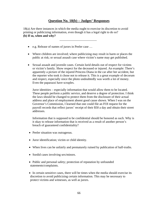#### **Question No. 18(b) – Judges' Responses**

18(a) Are there instances in which the media ought to exercise its discretion to avoid printing or publicizing information, even though it has a legal right to do so? **(b) If so, when and why?** 

• e.g. Release of names of jurors in Peeler case …

 $\mathcal{L}_\text{max}$  , which is a set of the set of the set of the set of the set of the set of the set of the set of the set of the set of the set of the set of the set of the set of the set of the set of the set of the set of

- Where children are involved; where publicizing may result in harm or places the public at risk; or sexual assault case where victim's name may get published.
- Sexual assault and juvenile cases. Certain lurid details out of respect for victims or victim's family. Show respect for the deceased or injured. An example: There's apparently a picture of the injured Princess Diana in the car after her accident, but the reporter who took it chose not to release it. This is a great example of decorum and respect, especially since the photo undoubtedly was worth a lot of money. Even the paparazzi have scruples.

 Juror identities – especially information that would allow them to be located. These people perform a public service, and deserve a degree of protection. I think the laws should be changed to protect them from the disclosure of their actual address and place of employment absent good cause shown. When I was on the Governor's Commission, I learned that one could file an FOI request for the payroll records that reflect jurors' receipt of their \$50 a day and obtain their street addresses.

 Information that is supposed to be confidential should be honored as such. Why is it okay to release information that is received as a result of another person's breach of guaranteed confidentiality?

- Peeler situation was outrageous.
- Juror identification; victim or child identity.
- When lives can be unfairly and prematurely ruined by publication of half-truths.
- Sordid cases involving sex/minors.
- Public and personal safety; protection of reputation by unfounded statements/complaints.
- In certain sensitive cases, there will be times when the media should exercise its discretion to avoid publicizing certain information. This may be necessary to protect victims and witnesses, as well as jurors.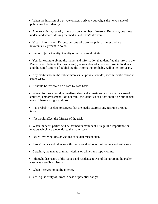- When the invasion of a private citizen's privacy outweighs the news value of publishing their identity.
- Age, sensitivity, security, there can be a number of reasons. But again, one must understand what is driving the media, and it isn't altruism.
- Victim information. Respect persons who are not public figures and are involuntarily present in court.
- Issues of juror identity, identity of sexual assault victims.
- Yes, for example giving the names and information that identified the jurors in the Peeler case. I believe that this cause *[d]* a great deal of stress for those individuals and the ramifications of publishing the information probably will be felt for years.
- Any matters not in the public interests i.e. private suicides, victim identification in some cases.
- It should be reviewed on a case by case basis.
- When disclosure could jeopardize safety and sometimes (such as in the case of children) embarrassment. I do not think the identities of jurors should be publicized, even if there is a right to do so.
- It is probably useless to suggest that the media exercise any restraint or good taste.
- If it would affect the fairness of the trial.
- When innocent parties will be harmed in matters of little public importance or matters which are tangential to the main story.
- Issues involving kids or victims of sexual misconduct.
- Jurors' names and addresses, the names and addresses of victims and witnesses.
- Certainly, the names of minor victims of crimes and rape victims.
- I thought disclosure of the names and residence towns of the jurors in the Peeler case was a terrible mistake.
- When it serves no public interest.
- Yes, e.g. identity of jurors in case of potential danger.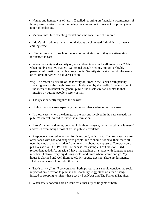- Names and hometowns of jurors. Detailed reporting on financial circumstances of family cases, custody cases. For safety reasons and out of respect for privacy in a non-public dispute.
- Medical info. Info affecting mental and emotional state of children.
- I don't think witness names should always be circulated. I think it may have a chilling effect.
- If injury may occur, such as the location of victims, or if they are attempting to influence the case.
- When the safety and security of jurors, litigants or court staff are at issue.\* Also, when highly sensitive matters (e.g. sexual assault victims, minors) or highly personal information is involved (e.g. Social Security #s, bank account info, name of children of parties in a divorce action.
- \*e.g. The recent disclosure of the identity of jurors in the Peeler death penalty hearing was an absolutely irresponsible decision by the media. If the mission of the media is to benefit the general public, the disclosure ran counter to that mission by putting people's safety at risk.
- The question really supplies the answer.
- Highly unusual cases especially murder or other violent or sexual cases.
- In those cases where the damage to the persons involved in the case exceeds the public's interest in/need to know the information.
- Jurors' names, addresses, personal info about lawyers, judges, victims, witnesses' addresses even though most of this is publicly available.
- Respondent referred to answer for Question 6, which read: "In drug cases we are often faced with bad and dangerous people. Juries should not have their faces all over the media, and as a judge, I am not crazy about the exposure. Cameras could put lives at risk – CT Post and Peeler case, for example. For Question 18(b), respondent added: As an aside, I have had dealings as a judge with dangerous gang members. I always vary my driving routes and times when I come and go. My house is alarmed and well illuminated. My spouse does not share my last name. That is how serious I consider this risk.
- That's a *[long? lay?]* conversation. Perhaps journalists should consider the social impact of any decision to publish and should try to set standards for a change instead of stooping to mirror those set by Fox News and The National Enquirer.
- When safety concerns are an issue for either jury or litigants or both.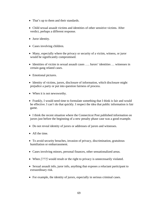- That's up to them and their standards.
- Child sexual assault victims and identities of other sensitive victims. After verdict, perhaps a different response.
- Juror identity.
- Cases involving children.
- Many, especially where the privacy or security of a victim, witness, or juror would be significantly compromised.
- Identities of victim in sexual assault cases .... Jurors' identities ... witnesses in certain gang related cases.
- Emotional pictures.
- Identity of victims, jurors, disclosure of information, which disclosure might prejudice a party or put into question fairness of process.
- When it is not newsworthy.
- Frankly, I would need time to formulate something that I think is fair and would be effective. I can't do that quickly. I respect the idea that public information is fair game.
- I think the recent situation where the Connecticut Post published information on jurors just before the beginning of a new penalty phase case was a good example.
- Do not reveal identity of jurors or addresses of jurors and witnesses.
- All the time.
- To avoid security breaches, invasion of privacy, discrimination, gratuitous humiliation or embarrassment.
- Cases involving minors, personal finances, other sensationalized areas.
- When [???] would result or the right to privacy is unnecessarily violated.
- Sexual assault info, juror info, anything that exposes a reluctant participant to extraordinary risk.
- For example, the identity of jurors, especially in serious criminal cases.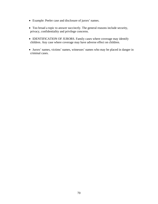- Example: Peeler case and disclosure of jurors' names.
- Too broad a topic to answer succinctly. The general reasons include security, privacy, confidentiality and privilege concerns.
- IDENTIFICATION OF JURORS. Family cases where coverage may identify children. Any case where coverage may have adverse effect on children.
- Jurors' names, victims' names, witnesses' names who may be placed in danger in criminal cases.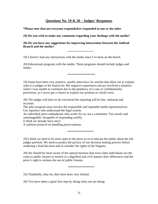#### **Questions No. 19 & 20 – Judges' Responses**

**\*Please note that not everyone responded/or responded to one or the other** 

**19) Do you wish to make any comments regarding your dealings with the media?** 

**20) Do you have any suggestions for improving interactions between the Judicial Branch and the media?** 

19) I haven't had any interactions with the media since I've been on the bench.

 **\_\_\_\_\_\_\_\_\_\_\_\_\_\_\_\_\_** 

20) Educational programs with the media: These programs should include judges and media.

\*\*\*\*\*\*\*\*\*\*\*\*\*\*\*\*\*\*

19) Some have been very positive, usually interviews for articles that allow me to explain what it is judges or the branch do. My negative experiences always involved a situation where I was unable to comment due to the pendency of a case or confidentiality provisions, so I never got a chance to explain my position or clarify error.

20) The judges will have to be convinced the reporting will be fair, unbiased and accurate.

The pilot program must involve the responsible and reputable media representatives. Use reporters who understand the legal system.

An individual press ombudsman who works for us, not a committee. Too unruly and unmanageable. Incapable of responding swiftly.

(I think we already have one!)

A uniform protocol on handling press/cameras.

\*\*\*\*\*\*\*\*\*\*\*\*\*\*\*\*\*

19) I think we need to be more open to the press so as to educate the public about the job judges perform. We need to protect the privacy of our decision making process before rendering a final decision and to consider the rights of the litigants.

20) We should be more aware of the natural tensions that exist when individuals use the court (a public forum) to resolve in a dignified and civil manner their differences and the press's right to witness the use of public forums.

\*\*\*\*\*\*\*\*\*\*\*\*\*\*\*\*\*

19) Thankfully, thus far, they have been very limited.

20) You have taken a giant first step by doing what you are doing.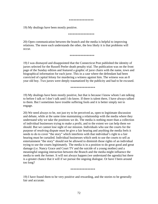\*\*\*\*\*\*\*\*\*\*\*\*\*\*\*\*

19) My dealings have been mostly positive.

#### \*\*\*\*\*\*\*\*\*\*\*\*\*\*\*\*\*

20) Open communication between the branch and the media is helpful to improving relations. The more each understands the other, the less likely it is that problems will occur.

\*\*\*\*\*\*\*\*\*\*\*\*\*\*\*\*

19) I was dismayed and disappointed that the Connecticut Post published the identity of jurors selected for the Russell Peeler death penalty trial. The publication was on the front page of the Sunday edition and featured a graphic of juror chairs with the name, town and biographical information for each juror. This in a case where the defendant had been convicted of capital felony for murdering a witness against him. The witness was an 8 year old boy. Two jurors were deeply traumatized by the publicity and had to be excused.

\*\*\*\*\*\*\*\*\*\*\*\*\*\*\*\*

19) My dealings have been mostly positive, but that is because I know whom I am talking to before I talk or I don't talk until I do know. If there is talent there, I have always talked to them. But I sometimes have trouble suffering fools and it is better simply not to engage.

20) We need always to be, not just try to be perceived as, open to legitimate discussion and debate, while at the same time maintaining a relationship with the media where they understand why we take the positions we do. The media is nothing more than a collection of individual businesses trying to make a profit, and to the extent we can help them we should. But we cannot lose sight of our mission. Individuals who use the courts for the purpose of resolving dispute must be give a fair hearing and anything the media feels it needs to do to cover "the story" which interferes with that individual's right to a fair hearing must be curtailed. Individual businesses which seek to use the courts to sell as entertainment "the story" should not be allowed to diminish those rights of an individual trying to use the courts legitimately. The media is in a position to do great good and great damage (i.e. Nancy Grace and Court TV and the suicide of a young mother) and a meaningful ongoing interaction between the Branch and the media might influence the media to seek the former. It will not always happen (we understand the agenda) but there is a greater chance that it will if we pursue the ongoing dialogue. Or have I been around too long?

#### \*\*\*\*\*\*\*\*\*\*\*\*\*\*

19) I have found them to be very positive and rewarding, and the stories to be generally fair and accurate.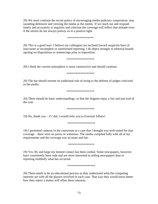20) We must continue the recent policy of encouraging media-judiciary cooperation; stop sounding defensive and viewing the media as the enemy. If we reach out and respond timely and accurately to inquiries and criticism the coverage will reflect that attitude even if the stories do not always portray us in a positive light.

#### \*\*\*\*\*\*\*\*\*\*\*\*\*\*\*\*\*

20) This is a good start. I believe my colleagues are inclined toward suspicion born of inaccurate or incomplete or uninformed reporting. I do object strongly to editorial boards opining on dispositions or sentencings prior to imposition.

#### \*\*\*\*\*\*\*\*\*\*\*\*\*\*\*\*\*\*

20) I think the current atmosphere is most constructive and should continue.

\*\*\*\*\*\*\*\*\*\*\*\*\*\*\*\*\*\*

20) The bar should resume its traditional role of rising to the defense of judges criticized in the media.

\*\*\*\*\*\*\*\*\*\*\*\*\*\*\*\*\*\*

20) There should be basic understandings, so that the litigants enjoy a fair and just trial of the case.

\*\*\*\*\*\*\*\*\*\*\*\*\*\*\*\*\*\*

19) No, thank you – if I did, I would refer you to External Affairs!

\*\*\*\*\*\*\*\*\*\*\*\*\*\*\*\*\*\*

19) I permitted cameras in the courtroom in a case that I thought was well-suited for that coverage – there were no jurors or witnesses. The media complied fully with all of my requirements and the coverage was accurate and fair.

\*\*\*\*\*\*\*\*\*\*\*\*\*\*\*\*\*

19) Yes. By and large my limited contact has been cordial. Some newspapers, however, have consistently been rude and are more interested in selling newspapers than in reporting truthfully what has occurred.

\*\*\*\*\*\*\*\*\*\*\*\*\*\*\*\*\*\*

20) There needs to be an educational process so they understand what the competing interests are with all the players involved in each case. That way they would know better how they report a matter will offset those interests.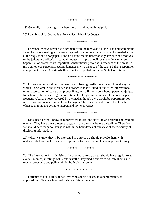#### \*\*\*\*\*\*\*\*\*\*\*\*\*\*\*\*\*\*

19) Generally, my dealings have been cordial and mutually helpful.

20) Law School for Journalists. Journalism School for Judges.

\*\*\*\*\*\*\*\*\*\*\*\*\*\*\*\*\*\*\*

19) I personally have never had a problem with the media as a judge. The only complaint I ever had about sealing a file was an appeal by a non media party when I unsealed a file at the request of a newspaper. I do think some media unreasonably attribute bad motives to the judges and editorially paint all judges as stupid or evil for the actions of a few. Separation of powers is an important Constitutional power as is freedom of the press. In my opinion our personal freedom demands a wise balance of the two. I believe separation is important in State Courts whether or not it is spelled out in the State Constitution.

\*\*\*\*\*\*\*\*\*\*\*\*\*\*\*\*\*\*\*

20) I think the branch should be proactive in issuing media pieces about how the system works. For example, the local bar and branch in many jurisdictions offer informational tours, observation of courtroom proceedings, and talks with courthouse personnel/judges for school children, esp. high school students taking civics courses. These tours happen frequently, but are never covered by the media, though there would be opportunity for interesting comments from feckless teenagers. The branch could inform local media when such tours are going to happen and invite coverage.

\*\*\*\*\*\*\*\*\*\*\*\*\*\*\*\*\*\*\*

19) Most people who I know as reporters try to get "the story" in an accurate and credible manner. They have great pressure to get an accurate story before a deadline. Therefore, we should help them do their jobs within the boundaries of our view of the propriety of disclosing information.

20) When we know they'll be interested in a story, we should provide them with materials that will make it as easy as possible to file an accurate and appropriate story.

#### \*\*\*\*\*\*\*\*\*\*\*\*\*\*\*\*\*\*\*

20) The External Affairs Division, if it does not already do so, should have regular (e.g. every 6 months) meetings with editors/staff of key media outlets to educate them as to regular procedure and policy within the Judicial system.

\*\*\*\*\*\*\*\*\*\*\*\*\*\*\*\*\*\*

19) I attempt to avoid all dealings involving specific cases. If general matters or applications of law are involved, this is a different matter.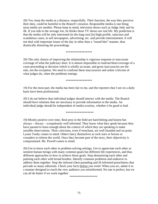20) Yes, keep the media at a distance, respectfully. Their function, the way they perceive their duty, could be harmful to the Branch's mission. Responsible media is one thing; most media are another. Please keep in mind, television shows such as Judge Judy and its ilk. If you talk to the average Joe, he thinks those TV shows are real life. My prediction is that the media will be only interested (in the long run) [in] high profile, salacious and scandalous cases, to sell newspapers, advertising, etc. and provide entertainment. It will not deal with important issues of the day in other than a "sound bite" manner, thus drastically distorting the proceedings.

#### \*\*\*\*\*\*\*\*\*\*\*\*\*\*\*\*\*

20) The only chance of improving the relationship is vigorous response to inaccurate coverage of what the judiciary does. It is almost impossible to read/see/hear/coverage of a court proceeding or decision which is wholly accurate, and gross inaccuracies are the rule, not the exception. We need to confront these inaccuracies and unfair criticism of what judges do, when the problems emerge.

#### \*\*\*\*\*\*\*\*\*\*\*\*\*\*\*\*\*

19) For the most part, the media has been fair to me, and the reporters that I see on a daily basis have been professional.

20) I do not believe that individual judges should interact with the media. The Branch should have relations that are necessary to provide information to the media. An individual judge should be independent of media scrutiny, whether it be good or bad.

#### \*\*\*\*\*\*\*\*\*\*\*\*\*\*\*\*\*\*

19) Mostly positive over time. Real pros in the field are hard-hitting and honest but always – always – scrupulously well informed. They know what they speak because they have paused to learn enough about the context of which they are speaking to make sensible observations. Their criticisms, even if trenchant, are well founded and on point. Lynne Tuohy comes to mind. Others fancy themselves as rock stars or heroes or crusaders to reform the world. Once they become part of the story, their objectivity is compromised. Mr. Powell comes to mind.

20) Get to know each other in problem-solving settings. Get to appreciate each other as sentient human beings with many common goals but different life experiences, and thus different approaches to how to achieve those goals. Stop demonizing each other and painting each other with broad brushes. Identify common problems and endeavor to address them together. Stop the infernal chest-pounding and ill-informed preachiness that pervade so many editorials. Check your facts before you write! When you err, admit it in a manner designed to reach the very audience you misinformed. No one is perfect, but we can all do better if we work together.

\*\*\*\*\*\*\*\*\*\*\*\*\*\*\*\*\*\*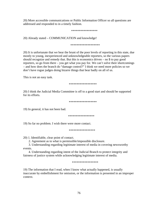20) More accessible communications or Public Information Officer so all questions are addressed and responded to in a timely fashion.

\*\*\*\*\*\*\*\*\*\*\*\*\*\*\*\*\*

20) Already stated – COMMUNICATION and knowledge!

\*\*\*\*\*\*\*\*\*\*\*\*\*\*\*\*\*\*\*

20) It is unfortunate that we bear the brunt of the poor levels of reporting in this state, due mostly to young, inexperienced and unknowledgeable reporters, so the various papers should recognize and remedy that. But this is economics driven  $-$  no  $\$  to pay good reporters, so go from there – you get what you pay for. We can't solve their shortcomings – and how does the branch do "damage control?" I think we need more policies so we don't have rogue judges doing bizarre things that bear badly on all of us.

This is not an easy task.

\*\*\*\*\*\*\*\*\*\*\*\*\*\*\*\*\*\*

20) I think the Judicial Media Committee is off to a good start and should be supported for its efforts.

\*\*\*\*\*\*\*\*\*\*\*\*\*\*\*\*\*\*

19) In general, it has not been bad.

\*\*\*\*\*\*\*\*\*\*\*\*\*\*\*\*\*

19) So far no problem. I wish there were more contact.

\*\*\*\*\*\*\*\*\*\*\*\*\*\*\*\*\*

20) 1. Identifiable, clear point of contact.

2. Agreement as to what is permissible/impossible disclosure.

 3. Understanding regarding legitimate interest of media in covering newsworthy events.

 4. Understanding regarding intent of the Judicial Branch to protect integrity and fairness of justice system while acknowledging legitimate interest of media.

\*\*\*\*\*\*\*\*\*\*\*\*\*\*\*\*\*

19) The information that I read, when I know what actually happened, is usually inaccurate by embellishment for omission, or the information is presented in an improper context.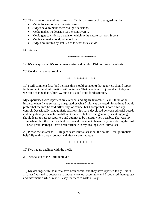20) The nature of the entities makes it difficult to make specific suggestions. i.e.

- Media focuses on controversial cases.
- Judges have to make these "tough" decisions.
- Media makes no decision re: the controversy.
- Media gets to criticize a decision which by its nature has pros & cons.
- Media can make good judge look bad.
- Judges are limited by statutes as to what they can do.

Etc. etc. etc.

\*\*\*\*\*\*\*\*\*\*\*\*\*\*\*\*\*\*

19) It's always risky. It's sometimes useful and helpful. Risk vs. reward analysis.

20) Conduct an annual seminar.

\*\*\*\*\*\*\*\*\*\*\*\*\*\*\*\*\*\*

19) I will comment first (and perhaps this should go above) that reporters should report facts and not blend information with opinions. That is endemic in journalism today and we can't change that culture … but it is a good topic for discussion.

My experiences with reporters are excellent and highly favorable. I can't think of an instance when I was seriously misquoted or what I said was distorted. Sometimes I would prefer that the info be said differently, of course, but I accept that is not within my control. Occasionally, antagonistic relationships have developed between editorial boards and the judiciary – which is a different matter. I believe that generally speaking judges should learn to respect reporters and attempt to be helpful when possible. That was my view when I left the trial bench at least – and I have not changed my view during the past 15 or so years. Perhaps I have been fortunate in my dealings with journalists.

20) Please see answer to 19. Help educate journalists about the courts. Treat journalists helpfully within proper bounds and after careful thought.

\*\*\*\*\*\*\*\*\*\*\*\*\*\*\*\*\*

19) I've had no dealings with the media.

20) Yes, take it to the Lord in prayer.

\*\*\*\*\*\*\*\*\*\*\*\*\*\*\*\*\*\*

19) My dealings with the media have been cordial and they have reported fairly. But in all areas I wanted to cooperate to get our story out accurately and I spoon fed them quotes and information which made it easy for them to write a story.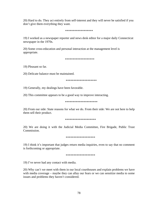20) Hard to do. They act entirely from self-interest and they will never be satisfied if you don't give them everything they want.

#### *\*\*\*\*\*\*\*\*\*\*\*\*\*\*\*\*\*\**

19) I worked as a newspaper reporter and news desk editor for a major daily Connecticut newspaper in the 1970s.

20) Some cross-education and personal interaction at the management level is appropriate.

\*\*\*\*\*\*\*\*\*\*\*\*\*\*\*\*\*\*\*

19) Pleasant so far.

20) Delicate balance must be maintained.

\*\*\*\*\*\*\*\*\*\*\*\*\*\*\*\*\*\*\*\*

19) Generally, my dealings have been favorable.

20) This committee appears to be a good way to improve interacting.

\*\*\*\*\*\*\*\*\*\*\*\*\*\*\*\*\*\*\*\*\*

20) From our side: State reasons for what we do. From their side: We are not here to help them sell their product.

\*\*\*\*\*\*\*\*\*\*\*\*\*\*\*\*\*\*\*\*

20) We are doing it with the Judicial Media Committee, Fire Brigade, Public Trust Commission.

\*\*\*\*\*\*\*\*\*\*\*\*\*\*\*\*\*\*\*

19) I think it's important that judges return media inquiries, even to say that no comment is forthcoming or appropriate.

\*\*\*\*\*\*\*\*\*\*\*\*\*\*\*\*\*\*\*

19) I've never had any contact with media.

20) Why can't we meet with them in our local courthouses and explain problems we have with media coverage – maybe they can allay our fears or we can sensitize media to some issues and problems they haven't considered.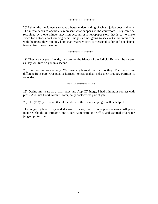\*\*\*\*\*\*\*\*\*\*\*\*\*\*\*\*\*\*

20) I think the media needs to have a better understanding of what a judge does and why. The media needs to accurately represent what happens in the courtroom. They can't be restrained by a one minute television account or a newspaper story that is cut to make space for a story about dancing bears. Judges are not going to seek out more interaction with the press, they can only hope that whatever story is presented is fair and not slanted in one direction or the other.

#### \*\*\*\*\*\*\*\*\*\*\*\*\*\*\*\*

19) They are not your friends; they are not the friends of the Judicial Branch – be careful as they will turn on you in a second.

20) Stop getting so chummy. We have a job to do and so do they. Their goals are different from ours. Our goal is fairness. Sensationalism sells their product. Fairness is secondary.

#### \*\*\*\*\*\*\*\*\*\*\*\*\*\*\*\*\*\*

19) During my years as a trial judge and App CT Judge, I had minimum contact with press. As Chief Court Administrator, daily contact was part of job.

20) The *[???]* type committee of members of the press and judges will be helpful.

The judges' job is to try and dispose of cases, not to issue press releases. All press inquiries should go through Chief Court Administrator's Office and external affairs for judges' protection.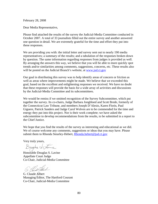February 28, 2008

Dear Media Representative,

Please find attached the results of the survey the Judicial-Media Committee conducted in October 2007. A total of 33 journalists filled out the entire survey and another answered one question in detail. We are extremely grateful for the time and effort they put into these responses.

We are providing you with: the initial letter and survey sent out to nearly 190 media representatives; a summary of the results; and a tabulation of the responses broken down by question. The same information regarding responses from judges is provided as well. By arranging the answers this way, we believe that you will be able to more quickly spot trends and/or similarities among comments, suggestions, concerns, etc. These results also will be posted on the Judicial Branch's website, at www.jud.ct.gov

Our goal in distributing this survey was to help identify areas of concern or friction as well as areas where improvements might be made. We believe that we exceeded this goal, based on the excellent and enlightening responses we received. We have no doubt that these responses will provide the basis for a wide array of activities and discussions by the Judicial-Media Committee and its subcommittees.

We would be remiss if we omitted recognition of the Survey Subcommittee, which put together the survey. Its co-chairs, Judge Barbara Jongbloed and Scott Brede, formerly of the Connecticut Law Tribune, and members Joseph D'Alesio, Karen Florin, Paul Giguere, Patrick Sanders and Judge Carol Wolven are to be commended for the time and energy they put into this project. Nor is their work complete; we have asked the subcommittee to develop recommendations from the results, to be submitted in a report to the Chief Justice.

We hope that you find the results of the survey as interesting and educational as we did. We of course welcome any comments, suggestions or ideas that you may have. Please submit them to Rhonda Stearley-Hebert, Rhonda.hebert@jud.ct.gov

Very truly yours,

Honorable Douglas S. Lavine Appellate Court Judge Co-Chair, Judicial-Media Committee

Caudet flech

G. Claude Albert Managing Editor, The Hartford Courant Co-Chair, Judicial-Media Committee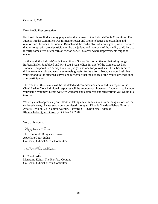October 1, 2007

Dear Media Representative,

Enclosed please find a survey prepared at the request of the Judicial-Media Committee. The Judicial-Media Committee was formed to foster and promote better understanding and relationships between the Judicial Branch and the media. To further our goals, we determined that a survey, with broad participation by the judges and members of the media, could help to identify some areas of concern or friction as well as areas where improvements might be made.

To that end, the Judicial-Media Committee's Survey Subcommittee -- chaired by Judge Barbara Bailey Jongbloed and Mr. Scott Brede, editor-in-chief of the Connecticut Law Tribune – prepared two surveys, one for judges and one for journalists. The subcommittee did an excellent job, and we are extremely grateful for its efforts. Now, we would ask that you respond to the attached survey and recognize that the quality of the results depends upon your participation.

The results of this survey will be tabulated and compiled and contained in a report to the Chief Justice. Your individual responses will be anonymous; however, if you wish to include your name, you may. Either way, we welcome any comments and suggestions you would like to offer.

We very much appreciate your efforts in taking a few minutes to answer the questions on the enclosed survey. Please send your completed survey to: Rhonda Stearley-Hebert, External Affairs Division, 231 Capitol Avenue, Hartford, CT 06106; email address Rhonda.hebert@jud.ct.gov by October 15, 2007.

Very truly yours,

Douglas I Jamie

The Honorable Douglas S. Lavine, Appellate Court Judge Co-Chair, Judicial-Media Committee

6. Alet filed

G. Claude Albert Managing Editor, The Hartford Courant Co-Chair, Judicial-Media Committee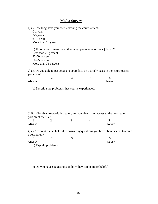## **Media Survey**

1) a) How long have you been covering the court system?

 0-1 year 2-5 years 6-10 years More than 10 years

b) If not your primary beat, then what percentage of your job is it? Less than 25 percent 25-50 percent 50-75 percent More than 75 percent

2) a) Are you able to get access to court files on a timely basis in the courthouse(s) you cover?

| Always |  | Never |
|--------|--|-------|

b) Describe the problems that you've experienced.

3) For files that are partially sealed, are you able to get access to the non-sealed portion of the file?

| Always |  | Never |
|--------|--|-------|

4) a) Are court clerks helpful in answering questions you have about access to court information?

| Always |                     |  | Never |
|--------|---------------------|--|-------|
|        | b) Evoloin problems |  |       |

b) Explain problems.

c) Do you have suggestions on how they can be more helpful?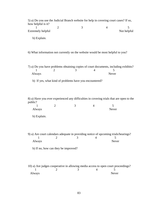5) a) Do you use the Judicial Branch website for help in covering court cases? If so, how helpful is it? 1 2 3 4 5 Extremely helpful Not helpful Not helpful b) Explain. 6) What information not currently on the website would be most helpful to you? 7) a) Do you have problems obtaining copies of court documents, including exhibits? 1 2 3 4 5 Always Never b) If yes, what kind of problems have you encountered? 8) a) Have you ever experienced any difficulties in covering trials that are open to the public? 1 2 3 4 5 Always Never b) Explain. 9) a) Are court calendars adequate in providing notice of upcoming trials/hearings? 1 2 3 4 5 Always Never b) If no, how can they be improved? 10) a) Are judges cooperative in allowing media access to open court proceedings? 1 2 3 4 5 Always Never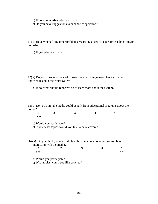b) If not cooperative, please explain.

c) Do you have suggestions to enhance cooperation?

11) a) Have you had any other problems regarding access to court proceedings and/or records?

b) If yes, please explain.

12) a) Do you think reporters who cover the courts, in general, have sufficient knowledge about the court system?

b) If no, what should reporters do to learn more about the system?

13) a) Do you think the media could benefit from educational programs about the courts?

|     | ≺ | ∼              |
|-----|---|----------------|
| Yes |   | N <sub>o</sub> |

b) Would you participate?

c) If yes, what topics would you like to have covered?

 14) a) Do you think judges could benefit from educational programs about interacting with the media? 1 2 3 4 5 Yes No

b) Would you participate?

c) What topics would you like covered?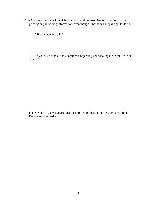15)a) Are there instances in which the media ought to exercise its discretion to avoid printing or publicizing information, even though it has it has a legal right to do so?

b) If so, when and why?

16) Do you wish to make any comments regarding your dealings with the Judicial Branch?

 17) Do you have any suggestions for improving interactions between the Judicial Branch and the media?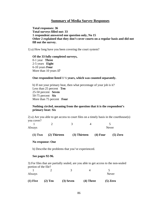## **Summary of Media Survey Responses**

 **Total responses: 36 Total surveys filled out: 33 1 respondent answered one question only, No 15 Other 2 explained that they don't cover courts on a regular basis and did not fill out the survey.**

1) a) How long have you been covering the court system?

**Of the 33 fully completed surveys,**  0-1 year **Three**  2-5 years **Eight**  6-10 years **Four**  More than 10 years **17** 

### **One respondent listed 1 ½ years, which was counted separately.**

b) If not your primary beat, then what percentage of your job is it? Less than 25 percent **Ten** 25-50 percent **Seven**  50-75 percent **Six**  More than 75 percent **Four** 

## **Nothing circled, meaning from the question that it is the respondent's primary beat: Six**

2) a) Are you able to get access to court files on a timely basis in the courthouse(s) you cover?

| Always |  | Never |
|--------|--|-------|

**(1) Two (2) Thirteen (3) Thirteen (4) Four (5) Zero** 

### **No response: One**

b) Describe the problems that you've experienced.

#### **See pages 92-96.**

3) For files that are partially sealed, are you able to get access to the non-sealed portion of the file?

| $(1)$ Five | $(2)$ Ten | $(3)$ Seven | $(4)$ Three | $(5)$ Zero |
|------------|-----------|-------------|-------------|------------|
| Always     |           |             |             | Never      |
|            |           |             |             |            |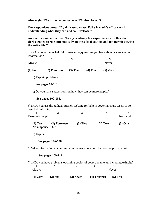**Also, eight N/As or no responses; one N/A also circled 3.** 

**One respondent wrote: "Again, case-by-case. Folks in clerk's office vary in understanding what they can and can't release."** 

**Another respondent wrote: "In my relatively few experiences with this, the clerks tended to rule automatically on the side of caution and not permit viewing the entire file."** 

4) a) Are court clerks helpful in answering questions you have about access to court information?

|        | . . | ັ     |
|--------|-----|-------|
| Always |     | Never |
|        |     |       |

**(1) Four (2) Fourteen (3) Ten (4) Five (5) Zero** 

b) Explain problems.

```
 See pages 97-101.
```
c) Do you have suggestions on how they can be more helpful?

### **See pages 102-105.**

5) a) Do you use the Judicial Branch website for help in covering court cases? If so, how helpful is it?

| Extremely helpful |  | Not helpful |
|-------------------|--|-------------|

**(1) Ten (2) Fourteen (3) Five (4) Two (5) One No response: One** 

b) Explain.

## **See pages 106-108.**

6) What information not currently on the website would be most helpful to you?

## **See pages 109-111.**

7) a) Do you have problems obtaining copies of court documents, including exhibits? 1 2 3 4 5 Always Never

| $(2)$ Six<br>$(1)$ Zero | $(3)$ Seven | (4) Thirteen | $(5)$ Five |
|-------------------------|-------------|--------------|------------|
|-------------------------|-------------|--------------|------------|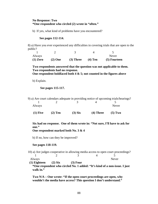## **No Response: Two \*One respondent who circled (2) wrote in "often."**

b) If yes, what kind of problems have you encountered?

### **See pages 112-114.**

8) a) Have you ever experienced any difficulties in covering trials that are open to the public?

1 2 3 4 5 Always Never **(1) Zero (2) One (3) Three (4) Ten (5) Fourteen** 

 **Two respondents answered that the question was not applicable to them. Two respondents had no response.** 

 **One respondent boldfaced both 4 & 5; not counted in the figures above** 

b) Explain.

**See pages 115-117.** 

9) a) Are court calendars adequate in providing notice of upcoming trials/hearings? 1 2 3 4 5

| Always     |           |           |             | <b>Never</b> |
|------------|-----------|-----------|-------------|--------------|
| $(1)$ Five | $(2)$ Ten | $(3)$ Six | $(4)$ Three | $(5)$ Two    |

 **Six had no response. One of them wrote in: "Not sure, I'll have to ask for one."** 

 **One respondent marked both No. 3 & 4** 

b) If no, how can they be improved?

### **See pages 118-119.**

10) a) Are judges cooperative in allowing media access to open court proceedings? 1 2 3 4 5 Always Never **(1) Eighteen (2) Six (3) Four** 

 **\*One respondent who circled No. 1 added: "It's kind of a non-issue. I just walk in."** 

 **Two N/A – One wrote: "If the open court proceedings are open, why wouldn't the media have access? This question I don't understand."**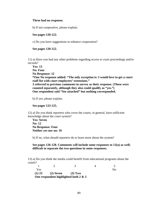## **Three had no response.**

b) If not cooperative, please explain.

### **See pages 120-122.**

c) Do you have suggestions to enhance cooperation?

**See pages 120-122.** 

11) a) Have you had any other problems regarding access to court proceedings and/or records?

**Yes: 13 No: Four No Response: 12 \*One No response added: "The only exception is: I would love to get a court staff list with court employees' extensions." 3 referred to previous comments in survey as their response. (These were counted separately, although they also could qualify as "yes.") One respondent said "See attached" but nothing corresponded.** 

b) If yes, please explain.

**See pages 123-125.** 

12) a) Do you think reporters who cover the courts, in general, have sufficient knowledge about the court system?

**Yes: Seven No: 12 No Response: Four Neither yes nor no: 10** 

b) If no, what should reporters do to learn more about the system?

**See pages 126-128. Comments will include some responses to 12(a) as well; difficult to separate the two questions in some responses.** 

13) a) Do you think the media could benefit from educational programs about the courts?

1 2 3 4 5 Yes No **(1) 23 (2) Seven (3) Two One respondent highlighted both 2 & 3**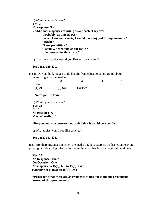```
 b) Would you participate? 
Yes: 25 
 No response: Two 
 6 additional responses counting as one each. They are: 
        "Probably, as time allows." 
        "When I covered courts, I would have enjoyed this opportunity." 
        "Maybe." 
        "Time permitting." 
        "Possibly, depending on the topic." 
        "If editors allow time for it."
```
c) If yes, what topics would you like to have covered?

#### **See pages 129-130.**

 14) a) Do you think judges could benefit from educational programs about interacting with the media?

| Yes    |           |           | No |
|--------|-----------|-----------|----|
| (1) 21 | $(2)$ Six | $(3)$ Two |    |

## **No response: Four**

b) Would you participate? **Yes: 23 No: 1 No Response: 6 Maybe/possibly: 3** 

#### **\*Respondent who answered no added that it would be a conflict.**

c) What topics would you like covered?

### **See pages 131-133.**

 15)a) Are there instances in which the media ought to exercise its discretion to avoid printing or publicizing information, even though it has it has a legal right to do so?

**Yes: 23 No Response: Three On Occasion: One No response to 15(a), but to 15(b): Five Narrative responses to 15(a): Two** 

 **\*Please note that there are 34 responses to this question; one respondent answered this question only.**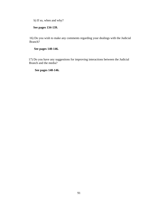b) If so, when and why?

## **See pages 134-139.**

16) Do you wish to make any comments regarding your dealings with the Judicial Branch?

**See pages 140-146.** 

 17) Do you have any suggestions for improving interactions between the Judicial Branch and the media?

**See pages 140-146.**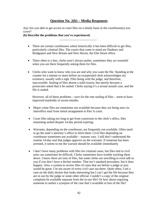# **Question No. 2(b) – Media Responses**

2(a) Are you able to get access to court files on a timely basis in the courthouse(s) you cover?

**(b) Describe the problems that you've experienced.** 

\_\_\_\_\_\_\_\_\_\_\_\_\_\_\_\_\_\_\_\_\_\_\_\_

- There are certain courthouses where historically it has been difficult to get files, particularly criminal files. The courts that come to mind are Danbury and Bridgeport and New Britain and New Haven, the Elm Street office.
- There often is a line, clerks aren't always polite, sometimes they act resentful when you are there frequently asking them for files.
- Clerks who want to know who you are and why you want the file. Standing at the counter for a minute or more before an exasperated clerk acknowledges my existence, usually with a sigh. Files being with the judge, and therefore, inaccessible. Sealing of files absent a solid reason, but merely because a prosecutor asked that it be sealed. Clerks saying it's a sexual assault case, and the file is sealed.

 However, all of these problems – save for the rote sealing of files – seem to have improved markedly in recent months.

- Major crime files are sometimes not available because they are being sent via interoffice mail from initial arraignment to Part A court.
- Court files taking too long to get from courtroom to the clerk's office, files remaining sealed despite 14-day period expiring.
- Warrants, depending on the courthouse, are frequently not available. Often need to go the state's attorney's office to fetch them. Civil files depending on courthouse sometimes not available – reasons vary. I still don't understand the routine 14-day seal that judges approve on the warrants. If someone has been arrested, it seems to me the warrant should be available immediately.
- I don't have many problems with files for criminal cases, but files tied to civil suits can sometimes be difficult. Clerks sometimes have trouble tracking them down. I know there are tons of files, but some clerks are unwilling to even talk to you if you don't have a docket number. That isn't standard procedure, but it does happen. Also, a system to review files of cases that are before a judge or jury would be great. I'm not aware of every civil case out there. Quite often, I see a case on the daily docket that looks interesting but I can't get the file because they are in use by the judge or some other official. Couldn't a copy of the original complaint be available separate from the in-use file? Or how about requiring someone to author a synopsis of the case that's available in lieu of the file?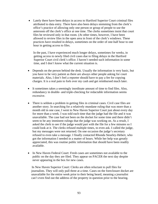• Lately there have been delays in access to Hartford Superior Court criminal files attributed to data entry. There have also been delays stemming from the clerk's office's practice of allowing only one person or group of people to use the anteroom off the clerk's office at one time. The clerks sometimes insist that court files be reviewed only in that room. (At other times, however, I have been allowed to review files in the open area in front of the clerk's windows. These practices have resulted in delays, sometimes on the order of one-half hour to one hour in getting access to files.

 In the past, I have experienced much longer delays, sometimes for weeks, in getting access to newly filed civil cases due to filing delays in the Hartford Superior Court civil clerk's office. I haven't needed such information in some time, and I don't know what the current situation is.

- Depends on the person behind the desk. Usually the information is very basic, but you have to be very patient as there are always other people asking for court materials. Also, I don't feel a reporter should have to pay a fee for copying charges. It is a real pain to fork over my cash and get reimbursed much later.
- It sometimes takes a seemingly inordinate amount of time to find files. Also, redundancy in double- and triple-checking for redactable information seems excessive.
- There is seldom a problem in getting files in criminal cases. Civil case files are another story. In searching for a relatively mundane ruling that was more than a month old in one case, I went to New Haven Superior Court just about every day for more than a week. I was told each time that the judge had the file and it was unavailable. The case had not been on the docket for some time and there didn't seem to be any imminent rulings that the judge was working on. As a result, I asked the clerk to see if the judge would part with the file for a few minutes so I could look at it. The clerks refused multiple times, to even ask. I called the judge, but my messages were not returned. On one occasion the judge's secretary refused to even take a message. I finally contacted Rhonda Stearley-Hebert, who got the information I needed in a matter of hours. While her help was greatly appreciated, this was routine public information that should have been readily available.
- In New Haven Federal Court: Fresh cases are sometimes not available to the public on the day they are filed. They appear on PACER the next day despite never appearing in the box for new cases.

 In New Haven Superior Court: Clerks are often reluctant to pull files for journalists. They will only pull three at a time. Cases on the foreclosure docket are unavailable for the entire week prior to their being heard, meaning a journalist can't even find out the address of the property in question prior to the hearing.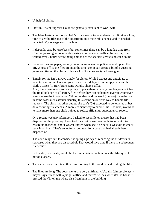- Unhelpful clerks.
- Staff in Bristol Superior Court are generally excellent to work with.
- The Manchester courthouse clerk's office seems to be understaffed. It takes a long time to get the files out of the courtroom, into the clerk's hands, and, if needed, redacted. My average wait: one hour.
- It depends, case-by-case basis but sometimes there can be a long lag time from Court adjourning to documents making it to the clerk's office. In one jury trial I waited over 2 hours before being able to see the specific verdicts on each count.
- Because files are paper, we rely on knowing when the police have dropped them off. Whose office the files are in at the time, etc. It can create a bit of a guessing game and ties up the clerks. Files are lost if names are typed wrong, etc.
- Timely for me isn't always timely for clerks. While I expect and anticipate to have to wait in line like everyone, sometimes delays occur simply because the clerk's office (in Hartford) seems awfully short-staffed. Also, there now seems to be a policy in place there whereby one lawyer/clerk has the final look-see of all Part A files before they can be handed over to whomever wants to see the information. While I understand the need (the law) for redaction in some cases (sex assaults, usually) this seems an onerous way to handle file requests. The clerk has other duties; she can't *[be]* expected to be tethered at her desk awaiting file checks. A more efficient way to handle this, I believe, would be to have more than one clerk trained to redact affidavits/ supplemental reports

On a recent weekday afternoon, I asked to see a file on a case that had been disposed of the prior day. I was told the clerk wasn't available to look at it to ensure its redaction, and it wasn't known when she'd be back. I was told to check back in an hour. That's an awfully long wait for a case that had already been disposed of.

The court may want to consider adopting a policy of redacting the affidavits in sex cases when they are disposed of. That would save time if there is a subsequent file request.

Better still, obviously, would be the immediate redaction once the 14-day seal period elapses.

- The clerks sometimes take their time coming to the window and finding the files.
- The lines are long. The court clerks are very unfriendly. Usually (almost always!) they'll say a file is with a judge's office and there's no idea when it'll be back; if pressed they'll tell me where else I can hunt in the building.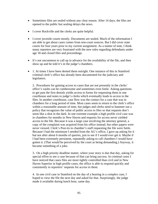- Sometimes files are sealed without any clear reason. After 14 days, the files are opened to the public but sealing delays the news.
- I cover Rockville and the clerks are quite helpful.
- I cover juvenile courts mostly. Documents are sealed. Much of the information I am able to get about cases comes from non-court sources. But I did cover state courts for four years prior to my current assignment. As a matter of note, I think many reporters are very frustrated with the new rules regarding defendants under age 18 and closed files and proceedings.
- It's not uncommon to call up in advance for the availability of the file, and then show up and be told it's in the judge's chambers.
- 1. At times I have been denied them outright. One instance of this in Stamford criminal clerk's office has already been documented for the judiciary and legislators.

2. Procedures for gaining access to cases that are not presently in the clerks' office's vaults can be cumbersome and sometimes even futile. Asking questions to get past the first denials yields access to forms for requesting them in one courthouse and notes to judge's clerks which eventually leads to access to the files. In another courthouse, case flow was the contact for a case that was in chambers for a long period of time. Most cases seem to return to the clerk's office within a reasonable amount of time, but judges and clerks need to hammer out a policy that recognizes the value of public access to files so that requests don't seem like a shot in the dark. In one extreme example a high profile civil case was in chambers for months in New Haven and requests for access never yielded access to the file. Because it was a large case involving the attorney general, a copy of the complaint was acquired from his office instead, but other papers were never viewed. Clerk's Post-its to chamber's staff requesting the file were futile. Because I had the minimum I needed from the AG's office, I gave up asking for it but not after about 6 months of queries, just to see if I would ever get it. Maybe if I had been extremely persistent, repeatedly asking to call chambers I would have gotten it. (That would be perceived by the court as being demanding.) Anyway, it became something of a joke.

3. On a high priority deadline matter, where your story is due that day, asking for special effort to see a case because of that can bring success. In criminal cases I have noticed that cases files are more tightly controlled than civil and in New Haven Superior in high profile cases, the office is able to respond quickly and consistently to reporters' requests for access to them.

4. In one civil case in Stamford on the day of a hearing in a complex case, I hoped to view the file the next day and asked for that. Surprisingly, the judge made it available during lunch hour, same day.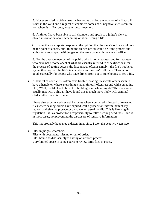5. Not every clerk's office uses the bar codes that log the location of a file, so if it is not in the vault and a request of chambers comes back negative, clerks can't tell you where it is: En route, another department etc.

6. At times I have been able to call chambers and speak to a judge's clerk to obtain information about scheduling or about seeing a file.

 7. I know that one reporter expressed the opinion that the clerk's office should not be the point of access, but I think the clerk's offices could be if the process and authority is revamped, with judges on the same page with the clerk's office.

 8. For the average member of the public who is not a reporter, and for reporters who have not become adept at what are casually referred to as 'extractions' for the process of getting access, the first answer often is simply, 'the file's not here, try another day' or 'the file's in chambers and we can't call there.' This is not good, especially for people who have driven from out of state hoping to see a file.

• A handful of court clerks often have trouble locating files while others seem to have a handle on where everything is at all times. I often respond with something like, "Well, the file has to be in this building somewhere, right?" The question is usually met with a shrug. I have found this is much more likely with criminal clerks rather than civil clerks.

I have also experienced several incidents where court clerks, instead of releasing files where sealing orders have expired, call a prosecutor, inform them of my request and give the prosecutor a chance to re-seal the file. This is likely against regulation – it is a prosecutor's responsibility to follow sealing deadlines – and is, in most cases, not preventing the disclosure of sensitive information.

This has probably happened a dozen times since I took the beat two years ago.

• Files in judges' chambers. Files with documents missing or out of order. Files bound so disassembly is a risky or arduous process. Very limited space in some courts to review large files in peace.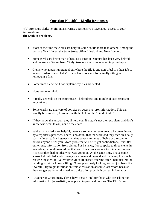# **Question No. 4(b) – Media Responses**

4(a) Are court clerks helpful in answering questions you have about access to court information?

## **(b) Explain problems.**

• Most of the time the clerks are helpful, some courts more than others. Among the best are New Haven, the State Street office, Hartford and New London.

\_\_\_\_\_\_\_\_\_\_\_\_\_\_\_\_\_\_\_\_\_\_\_\_\_

- Some clerks are better than others. Lou Pace in Danbury has been very helpful and courteous. So has been Cindy Rosato. Others seem to act imposed upon.
- Clerks who appear ignorant about where the file is and don't feel it's their job to locate it. Also, some clerks' offices have no space for actually sitting and reviewing a file.
- Sometimes clerks will not explain why files are sealed.
- None come to mind.
- It really depends on the courthouse helpfulness and morale of staff seems to vary widely.
- Some clerks are unaware of policies on access to juror information. This can usually be remedied, however, with the help of the "Field Guide."
- If they know the answer, they'll help you. If not, it's not their problem, and don't know who/what to ask; nor do they care.
- While many clerks are helpful, there are some who seem greatly inconvenienced by a reporter's presence. There is no doubt that the workload they face on a daily basis is intense. But it generally takes several minutes of being at the counter before anyone helps you. More problematic, I often get contradictory, if not flat out wrong, information from clerks. For instance, I once spoke to three clerks in Waterbury who all assured me that search warrants are not kept in courthouses. It's clear they had no idea what was going on. At the same time, I have come across helpful clerks who have gone above and beyond and made my life much easier. One clerk in Waterbury civil court chased after me after I had just left the building to let me know a filing *[I]* was previously looking for had just been filed. Overall, I try to get information from clerks as an absolute last resort, because they are generally uninformed and quite often provide incorrect information.
- At Superior Court, many clerks have distain (sic) for those who are asking for information for journalistic, as opposed to personal reasons. The Elm Street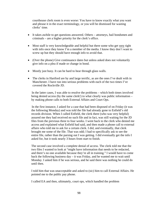courthouse clerk room is even worse: You have to know exactly what you want and phrase it in the exact terminology, or you will be dismissed for wasting clerks' time.

- It takes awhile to get questions answered. Others attorneys, bail bondsmen and criminals – are a higher priority for the clerk's office.
- Most staff is very knowledgeable and helpful but there some who get very tight with info once they know I'm a member of the media. I know they don't want to screw up but they should have enough info to avoid that.
- (Over the phone) Give continuance dates but unless asked does not voluntarily give info on a plea if made or change in bond.
- Mostly just busy. It can be hard to hear through glass walls.
- The clerks in Hartford are by and large terrific, as are the ones I've dealt with in Manchester. I have run into serious problems with each of the two times I've covered the Rockville JD.

 In the latter cases, I was able to resolve the problems – which both times involved being denied access (by the same clerk!) to what clearly was public information – by making phone calls to both External Affairs and Court Ops.

 In the first instance, I asked for a case that had been disposed of on Friday (it was the following Monday) and was told the file had already gone to Enfield's old records division. When I called Enfield, the clerk there (who was very helpful) assured me they had received no such file and in fact, was still waiting for the JD files from the previous three to four weeks. I went back to the clerk who denied me access and explained what Enfield had said, and then made a phone call to external affairs who told me to ask for a certain clerk. I did, and eventually, that clerk brought me some of the file. That was odd; I had to specifically ask to see the entire file, rather than the parsing out I was getting. I did eventually get the info I asked for, but it took nearly 3 hours from start to finish.

The second case involved a complete denial of access. The clerk told me that the two files I wanted to look at "might have information that needs to be redacted, and there's no one available because they're all in training." I would have to come back the following business day – it was Friday, and he wanted me to wait until Monday. I asked him if he was serious, and he said there was nothing he could do until then.

I told him that was unacceptable and asked to (sic) him to call External Affairs. He pointed me to the public pay phone.

I called EA and then, ultimately, court ops, which handled the problem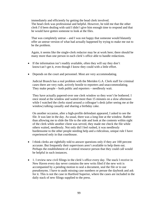immediately and efficiently by getting the head clerk involved. The head clerk was professional and helpful. However, he told me that the other clerk I'd been dealing with said I didn't give him enough time to respond and that he would have gotten someone to look at the files.

That was completely untrue – and I was not happy that someone would blatantly offer an untrue version of what had actually happened by trying to make me out to be the problem.

Again, it seems like the single-clerk redactor may be at work here; there should be many more than one person in each clerk's office able to handle redactions.

- If the information isn't readily available, often they will say they don't know/can't get it, even though I know they could with a little effort.
- Depends on the court and personnel. Most are very accommodating.

Judicial Branch has a real problem with the Meriden G.A. Clerk staff for criminal cases there are very rude, actively hostile to reporters and unaccommodating. They make people – both public and reporters – needlessly wait.

They have actually papered-over one clerk window so they won't be bothered. I once stood at the window and waited more than 15 minutes on a slow afternoon while I watched the clerks stand around a colleague's desk (after seeing me at the window) talking casually and sharing a birthday cake.

On another occasion, after a high-profile defendant appeared, I asked to see the file. It was late in the day. As usual, there was a long line at the window. Rather than allowing me to slide the file to the side and look at the contents within sight of the clerk while another client was served, they made me check the file while others waited, needlessly. Not only did I feel rushed, it was needlessly burdensome to the other people needing help and a ridiculous, unique rule I have experienced only in that courthouse.

- I think clerks are rightfully told to answer questions only if they are 100 percent accurate. But frequently their supervisors aren't available to help them out. Perhaps the establishment of a central resource person that they could call would be helpful in such instances.
- 1. I review new civil filings in the clerk's office every day. The stack I receive in New Haven every day never contains the new writs filed if the new writ is accompanied by a pending motion to seal a document, seal the file or to use pseudonyms. I have to audit missing case numbers or peruse the daybook and ask for it. This is not the case in Hartford Superior, where the cases are included in the daily stack of new filings supplied to the press.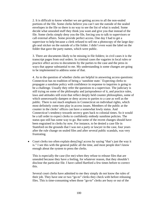2. It is difficult to know whether we are getting access to all the non-sealed portions of the file. Some clerks believe you can't see the outside of the sealed envelopes in the file so there is no way to see the list of what is sealed. Some decide what unsealed stuff they think you want and give you that instead of the file. Some clerks simply deny you the file, forcing you to talk to supervisors or call external affairs. Some provide perfect access. One day I had to get a supervisor to help because a clerk refused to sell me a photocopy of the large dayglo seal sticker on the outside of a file folder. I didn't even want the label on the folder that gave the party names, which were public.

3. There are documents likely to be missing in file folders; in civil cases it is the transcript pages from oral orders. In criminal cases the vagaries in local rules or practice affect access to documents by the parties to the case and the press in ways that appear substantial to me. My understanding is some changes are going to be implemented to address some of that.

4. As to the question of whether clerks are helpful in answering access questions: Connecticut has no tradition of being a 'sunshine state.' Expecting clerks to propagate a sunshine policy with confidence in response to inquiries is going to be a challenge. Usually they refer the questions to a supervisor. The judiciary is still trying on some of the philosophy and jurisprudence of it, and practice rules, laws and attitudes still exist that reflect deeply held counter philosophies, some of which unnecessarily dampen or deny access to parties to a case as well as the public. There is not much emphasis in Connecticut on individual rights, which most definitely come into play in access issues. Members of the public at the counter in the clerks' offices can have a somewhat lowly status. And Connecticut's tendency towards secrecy goes back to colonial times. So it would be a tall order to expect clerks to confidently embody sunshine policies. The status quo still has some way to go. But some of the recent changes should have been engrained in clerks by now. For instance, to be denied a case file in Stamford on the grounds that I was not a party or lawyer in the case, four years after the rule change on sealed files and after several public scandals, was very frustrating.

• Court clerks too often explain deny*[ing]* access by saying "that's just the way it is." I see this with the general public all the time, and most people don't know enough about the system to press the clerks.

This is especially the case (for me) when they refuse to release files that are unsealed because they have a feeling, for whatever reason, that they shouldn't disclose the particular file. I have called Hartford a few times before to correct this.

Several court clerks have admitted to me they simply do not know the rules of their job. They have one or two "go-to" clerks they check with before releasing files. This is time-consuming when those "go-to" clerks are busy or out of the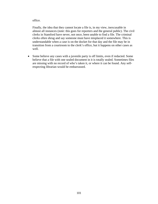## office.

Finally, the idea that they cannot locate a file is, in my view, inexcusable in almost all instances (note: this goes for reporters and the general public). The civil clerks in Stamford have never, not once, been unable to find a file. The criminal clerks often shrug and say someone must have misplaced it somewhere. This is understandable when a case is on the docket for that day and the file may be in transition from a courtroom to the clerk's office, but it happens on other cases as well.

• Some believe any cases with a juvenile party is off limits, even if redacted. Some believe that a file with one sealed document in it is totally sealed. Sometimes files are missing with no record of who's taken it, or where it can be found. Any selfrespecting librarian would be embarrassed.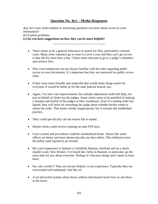# **Question No. 4(c) – Media Responses**

4(a) Are court clerks helpful in answering questions you have about access to court information?

(b) Explain problems.

**(c) Do you have suggestions on how they can be more helpful?** 

• There seems to be a general reluctance to search for files, particularly criminal cases. Many times reporters go to court to cover a case and then can't get access to that file for more than a day. Clerks seem reluctant to go to a judge's chambers and retrieve files.

\_\_\_\_\_\_\_\_\_\_\_\_\_\_\_\_\_\_\_\_\_\_\_\_\_\_\_\_\_

- New court employees are not always familiar with the rules regarding public access to court documents. It's important that they are instructed on public access rules.
- If they were more friendly and respectful that would make things easier for everyone. It would be better pr for the state judicial branch, too.
- Again, I've seen vast improvements, but attitude adjustment could still help, not just on behalf of clerks but the judges. Some clerks seem to be petrified of making a mistake and fearful of the judges at their courthouse. Even if a sealing order has lapsed, they will insist on consulting the judge about whether he/she wants to renew the order. This seems wholly inappropriate, but it remains the established practice.
- They could specifically cite the reason file is sealed.
- Maybe clerks could receive training on state FOI laws.
- Court system and procedures could be standardized better. Seems like some offices are better and more democratically run than others. This influences how the public (and reporters) are treated.
- My court experience is limited to Litchfield, Bantam, Hartford and on a much smaller scale, New Britain. I've found that clerks in Bantam, in particular, go the extra mile for just about everyone. Perhaps it's because things aren't quite as busy there.
- No, why would I? They are always helpful, in my experience. Typically they are overworked and underpaid. Just like us!
- A set hierarchal system where those without information know how to ask those in the know.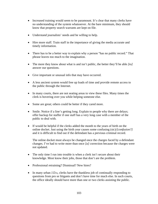- Increased training would seem to be paramount. It's clear that many clerks have no understanding of the system whatsoever. At the bare minimum, they should know that property search warrants are kept on file.
- Understand journalists' needs and be willing to help.
- Hire more staff. Train staff in the importance of giving the media accurate and timely information.
- There has to be a better way to explain why a person "has no public record." That phrase leaves too much to the imagination.
- The more they know about what is and isn't public, the better they'll be able *[to]*  answer our questions.
- Give important or unusual info that may have occurred.
- A less ancient system would free up loads of time and provide remote access to the public through the Internet.
- In many courts, there are not seating areas to view these files. Many times the clerk is hovering over you while helping someone else.
- Some are great; others could be better if they cared more.
- Smile. Notice if a line's getting long. Explain to people why there are delays; offer backup for staffer if one staff has a very long case with a member of the public to deal with.
- If would be helpful if the clerks added the month to the years of birth on the online docket. Just using the birth year causes some confusing (sic)/*[confusion?]*  and it is difficult to find out if the defendant has a previous criminal record.

The online docket must always be changed once the charges faced by a defendant changes. I've had to write more than once *[a]* correction because the charges were not updated.

- The only time I run into trouble is when a clerk isn't secure about their knowledge. Most know their jobs, those that don't are the problem.
- Professional retraining? Dismissal? New hires?
- In many urban J.D.s, clerks have the thankless job of continually responding to questions from pro se litigants and don't have time for much else. In such courts, the office ideally should have more than one or two clerks assisting the public.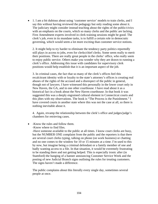• 1. I am a bit dubious about using 'customer service' models to train clerks, and I say this without having reviewed the pedagogy but only reading some about it. The judiciary might consider instead teaching about the rights of the public/civics with an emphasis on the courts, which so many clerks and the public are lacking. First Amendment experts involved in clerk training sessions might be good. The clerk's job, even in its mundane tasks, is to fulfill a certain role in democratic governing, which would seem a lot more exciting than customer service notions.

2. It might help to try harder to eliminate the tendency party politics reportedly still plays in access to jobs, even for clerks/chief clerks. Some seem really to merit their positions. There are really great people in the clerks' office, who really seem to enjoy public service. Others make you wonder why they are drawn to running a clerk's office. Addressing this issue with candidates for supervisory clerk positions would help establish that it is an important aspect of the job.

3. In criminal cases, the fact that so many of the clerk's offices feel this recalcitrant identity with or loyalty to the state's attorney's offices is creating real abuses of the rights of the accused and a disrespect of the public in general, though not of lawyers. I have witnessed this personally in the lower court only in New Haven, the GA, and in one other courthouse. I have read about it as a historical fact in a book about the New Haven courthouse. In that book it was suggested this was a deeply engrained cultural element in Connecticut courts and this jibes with my observations. The book is "The Process is the Punishment." I have covered courts in another state where this was not the case at all, so there is nothing inevitable about it.

4. Again, revamp the relationship between the clerk's office and judges/judge's chambers for retrieving cases.

- - Know the rules and follow them.
	- -Know where to find files.

-Have someone available to the public at all times. I know court clerks are busy, but the NUMBER ONE complaint from the public and the reporters is that there are several court clerks typing, talking on phone (on work business) or chatting and no one comes to the window for 10 or 15 minutes at a time. I'm used to this by now, but imagine being a criminal defendant or a family member of one and badly wanting access to a file. In that situation, it would be extremely frustrating to be standing there and not getting helped. This is especially ironic after (in Stamford) the hanging of a banner announcing Customer Service Week and the posting of new Judicial Branch signs outlining the rules for treating customers. The signs haven't made a difference.

The public complains about this literally every single day, sometimes several people at once.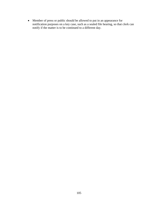• Member of press or public should be allowed to put in an appearance for notification purposes on a key case, such as a sealed file hearing, so that clerk can notify if the matter is to be continued to a different day.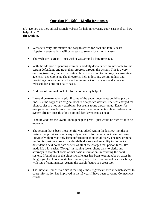# **Question No. 5(b) – Media Responses**

5(a) Do you use the Judicial Branch website for help in covering court cases? If so, how helpful is it?

\_\_\_\_\_\_\_\_\_\_\_\_\_\_\_\_\_\_\_\_\_\_

# **(b) Explain.**

- Website is very informative and easy to search for civil and family cases. Hopefully eventually it will be as easy to search for criminal cases.
- The Web site is great ... just wish it was around a long time ago.
- With the addition of pending criminal and daily dockets, we are now able to find certain defendants and track their progress through the system. This is a very exciting (overdue, but we understand how screwed up technology is across state agencies) development. The directories help in locating certain judges and providing contact numbers. I use the Supreme Court dockets and advanced released decisions on a daily basis.
- Addition of criminal docket information is very helpful.
- It would be extremely helpful if some of the paper documents could be put on line. EG: the copy of an original lawsuit or a police warrant. The fees charged for photocopies are not only exorbitant but seems to me unwarranted. Easier for everyone (and would save trees) to review these documents online. Federal court system already does this for a nominal fee (seven cents a page!)

I should add that the lawsuit lookup page is great – just would be nice for it to be expanded.

- The section that's been most helpful was added within the last few months, a feature that provides us – or anybody – basic information about criminal cases. Previously, there was only basic information about civil cases. The new criminal section is great because it provides daily dockets and an ability to find out a defendant's next court date as well as all of the charges that person faces. It's made life a lot easier. (Now), I'm making fewer phone calls to clerks and attorneys in search of some of that basic information. In covering the court system, I found one of the biggest challenges has been keeping tabs on cases in the geographical area courts like Bantam, where there are tons of cases each day with lots of continuances. Again, the search feature is a great tool.
- The Judicial Branch Web site is the single most significant area in which access to court information has improved in the 15 years I have been covering Connecticut courts.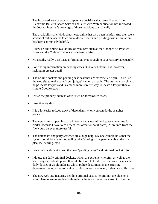The increased ease of access to appellate decisions that came first with the Electronic Bulletin Board Service and later with Web publication has increased the Journal Inquirer's coverage of those decisions dramatically.

The availability of civil docket sheets online has also been helpful. And the recent advent of online access to criminal docket sheets and pending-case information has been enormously helpful.

Likewise, the online availability of resources such as the Connecticut Practice Book and the Code of Evidence have been useful.

- No details, really. Just basic information. Not enough to cover a story adequately.
- For finding information on pending cases, it is very helpful. It is, however, lacking in greater detail.
- The on-line dockets and pending case searches are extremely helpful. I also use the web site to make sure I spell judges' names correctly. The attorney search also helps locate lawyers and is a much more surefire way to locate a lawyer than a simple Google search.
- I wish the property address were listed on foreclosure cases.
- I use it every day.
- It is a lot easier to keep track of defendants when you can do the searches yourself.
- The new criminal pending case information is useful (and saves some time for clerks, because I have to call them less often for court dates). More info from the file would be even more useful.
- The defendant and party searches are a huge help. My one complaint is that the system could do a better job telling what's going to happen on a given day (i.e. plea, PC hearing, etc.)
- Love the vocab section and the new "pending cases" and criminal docket info.
- I do use the daily criminal dockets, which are extremely helpful, as well as the search-by-defendant option. It would be more helpful if, on the same page as the daily docket, it would indicate which police department is the arresting department, as opposed to having to click on each and every defendant to find out.
- The new web site featuring pending criminal case is helpful not the old site. I would like to see more details though, including if there is a warrant in the file.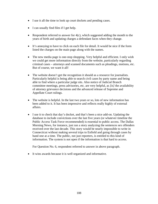- I use it all the time to look up court dockets and pending cases.
- I can usually find files if I get help.
- Respondent referred to answer for  $4(c)$ , which suggested adding the month to the years of birth and updating charges a defendant faces when they change.
- It's annoying to have to click on each file for detail. It would be nice if the form listed the charges on the main page along with the names.
- The new media page is one-stop shopping. Very helpful and efficient. I only wish we could get more information directly from the website, particularly regarding criminal cases – attorneys and scanned documents such as pleadings, motions, etc. But of course, we want it all!
- The website doesn't get the recognition it should as a resource for journalists. Particularly helpful is being able to search civil cases by party name and being able to find where a particular judge sits. Also notice of Judicial Branch committee meetings, press advisories, etc. are very helpful, as *[is]* the availability of attorney grievance decisions and the advanced release of Supreme and Appellate Court rulings.
- The website is helpful. In the last two years or so, lots of new information has been added to it. It has been impressive and reflects really highly of external affairs.
- I use it to check that day's docket, and that's been a nice add-on. Updating the database to include convictions over the last five years (or whatever timeline the Public Access Task Force recommended) is essential to public access. The Dallas Morning News, for instance, just ran a story analyzing the sentences sex offenders received over the last decade. This story would be nearly impossible to write in Connecticut without making several trips to Enfield and going through cases by hand one at a time. The public, not just reporters, is entitled to this kind of information. The system is not open if the information is that hard to access.

For Question No. 6, respondent referred to answer in above paragraph.

• It wins awards because it is well organized and informative.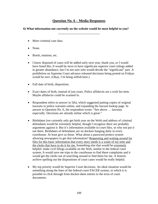# **Question No. 6 – Media Responses**

**6) What information not currently on the website would be most helpful to you?** 

- \_\_\_\_\_\_\_\_\_\_\_\_\_\_\_\_\_\_\_\_\_\_\_
- More criminal case data.
- None.
- Briefs, motions, etc.
- I know disposed of cases will be added early next year, thank you, or I would have listed this. It would be nicer to have significant superior court rulings added in greater abundance, but I'm not sure who would decide the "significant" part. A prohibition on Supreme Court advance released decisions being posted on Fridays would be nice. (Okay, I'm being selfish here.)
- Full date of birth, disposition.
- Exact dates of birth, instead of just years. Police affidavits are a wish list item. Maybe affidavits could be scanned in.
- Respondent refers to answer in  $5(b)$ , which suggested putting copies of original lawsuits or police warrants online, and expanding the lawsuit lookup page. In answer to Question No. 6, the respondent wrote: "See above … lawsuits especially. Decisions are already online which is great."
- Birthdates (we currently only get birth year on the Web) and address of criminal defendants would be extremely helpful, though I recognize there are probably arguments against it. But it's information available in court files, so why not put it out there. Birthdates of defendants are on dockets hanging daily in every courthouse. At least give us those. What about a password protect system allowing newspapers to get that information? Requesting and waiting around for files for this basic information that every story needs is a waste of my time and the clerks that have to do it for me. Something else that would be extremely helpful: make civil filings available on the Web, similar to the federal court system. It would save me trips to the courthouse to find these complaints and it would get the clerks out of searching around to find them for me. A historic archive spelling out the dispositions of court cases would be really helpful.
- My top priority would be Superior Court decisions. An ideal situation would be something along the lines of the federal-court PACER system, in which it is possible to click through from docket-sheet entries to the texts of court documents.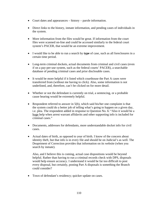- Court dates and appearances history parole information.
- Direct links to the history, inmate information, and pending cases of individuals in the system.
- More information from the files would be great. If information from the court files were scanned on-line and could be accessed similarly to the federal court system's PACER, that would be an extreme improvement.
- I would like to be able to run a search by **type** of case, such as all foreclosures in a certain time period.
- Long-term criminal dockets, actual documents from criminal and civil cases (even if on a pay-per-use system, such as the federal courts' PACER), a searchable database of pending criminal cases and prior disclosable cases.
- It would be more helpful if it listed which courthouse the Part A cases were transferred from (without me having to click). Also, some information is not underlined, and, therefore, can't be clicked on for more detail.
- Whether or not the defendant is currently on trial, a sentencing, or a probable cause hearing would be extremely helpful.
- Respondent referred to answer in  $5(b)$ , which said his/her one complaint is that the system could do a better job of telling what's going to happen on a given day, i.e. plea. The respondent added in response to Question No. 6: "Also it would be a huge help when arrest warrant affidavits and other supporting info is included for criminal cases."
- Documents, addresses for defendants, more understandable docket info for civil cases.
- Actual dates of birth, as opposed to year of birth. I know of the concern about identity theft, but that info is in every file and should be on Judicial's as well. The Deaprtment of Correction provides that information on its website (when you search by inmate).

Also, and I believe this is coming, actual case dispositions would be beyond helpful. Rather than having to run a criminal records check with DPS, disposals would help ensure accuracy. I understand it would be far too difficult to post every disposal, but certainly, posting Part A disposals is something the Branch could consider?

• Town of defendant's residency; quicker update on cases.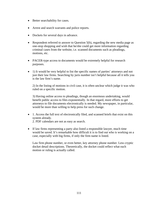- Better searchability for cases*.*
- Arrest and search warrants and police reports.
- Dockets for several days in advance.
- Respondent referred to answer to Question 5(b), regarding the new media page as one-stop shopping and wish that he/she could get more information regarding criminal cases from the website, i.e. scanned documents such as pleadings, motions, etc.
- PACER-type access to documents would be extremely helpful for research purposes.
- 1) It would be very helpful to list the specific names of parties' attorneys and not just their law firms. Searching by juris number isn't helpful because all it tells you is the law firm's name.

2) In the listing of motions in civil case, it is often unclear which judge it was who ruled on a specific motion.

3) Having online access to pleadings, though an enormous undertaking, would benefit public access to files exponentially. In that regard, more efforts to get attorneys to file documents electronically is needed. My newspaper, in particular, would be more than willing to help press for such change.

- 1. Access the full text of electronically filed, and scanned briefs that exist on this system already. 2. PDF calendars are not as easy as search.
- If law firms representing a party also listed a responsible lawyer, much time would be saved. It's remarkable how difficult it is to find out who is working on a case, especially with big firms, if only the firm name is listed.

Law firm phone number, or even better, key attorney phone number. Less cryptic docket detail descriptions. Theoretically, the docket could reflect what each motion or ruling is actually called.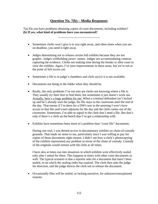## **Question No. 7(b) – Media Responses**

7(a) Do you have problems obtaining copies of court documents, including exhibits? **(b) If yes, what kind of problems have you encountered?** 

• Sometimes clerks won't give it to you right away, and often times when you are on deadline, you need it right away.

\_\_\_\_\_\_\_\_\_\_\_\_\_\_\_\_\_\_\_\_\_\_\_

- Judges determining not to release certain full exhibits because they are too graphic. Judges withholding jurors' names. Judges not accommodating cameras capturing the evidence. Clerks not making time during the breaks or after court to view the exhibits. Again, I've seen improvements in these areas, but we're not at the point of full access yet.
- Sometimes a file is in judge's chambers and clerk say*[s]* it is not available.
- Documents not being in the folder when they should be.
- Really, the only problems I've run into are clerks not knowing where a file is. They usually try their best to find them, but sometimes it just doesn't work out. Actually, here's a huge problem for me: When a criminal defendant isn't locked up and he's already seen the judge, his file stays in the courtroom until the end of the day. That means if I'm there for a DWI case in the morning I won't have access to that file until court adjourns for the day and the clerk comes out of the courtroom. Sometimes, I'm able to signal to the clerk that I need a file. But that's only if there's a clerk on the bench that I've got a relationship with.
- Exhibits have sometimes been more of a problem than "court file" documents.

During one trial, I was denied access to documentary exhibits on chain-of-custody grounds. That made no sense to me, particularly since I was willing to pay for copies of those documents sight unseen. I didn't see how a clerk's photocopying of the exhibits represented any problem in terms of the chain of custody. Custody of the originals would remain with the clerk at all times.

I have also at times run into situations in which exhibits were effectively sealed only after I asked for them. This happens at times with other court documents as well. The typical scenario is that a reporter asks for a document that hasn't been sealed, or on which the sealing order has expired. The clerk then asks the judge for direction, and the judge directs the clerk not to release the document.

• Occasionally files will be sealed, or lacking narrative, for unknown/unexplained reasons.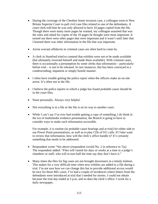- During the coverage of the Cheshire home invasion case, a colleague went to New Britain Superior Court to pull civil case files related to one of the defendants. A court clerk told him he was only allowed to have 10 pages copied from the file. Though there were many more pages he wanted, my colleague assumed that was the rules and asked for copies of the 10 pages he thought were most important. It turned out there were other pages that were important and it wasn't until later that I learned there was other information in the file that was important.
- Arrest warrant affidavits in criminal cases are often hard to come by.
- A clerk in Stamford tried to contend that exhibits were not to be made available (but ultimately reversed himself and made them available). With criminal cases, there is occasionally a presumption by some clerks that information – particularly before trial – is not to be released. In rare instances, this has been conveyed in a condescending, impatient or simply hostile manner.
- I often have trouble getting the police report when the officers make an on-site arrest. It's often not in the file.
- I believe the police reports in which a judge has found probable cause should be in the court files.
- None personally. Always very helpful.
- Not everything is in a file or the file is on its way to another court.
- While I can't say I've ever had trouble getting a copy of something, I do think in the era of multimedia evidence presentation, the Branch is going to have to consider ways to make such information accessible.

For example, it is routine (in probable cause hearings and at trial) for either side to use Power Point presentations, as well as to play CDs of 911 calls. If I later want to review that information, how will the clerk's office handle it? It's certainly something that needs to be addressed.

- Respondent wrote "See above (respondent circled No. 2 in reference to  $7(a)$ ) The respondent added: "Files will vanish for days or weeks at a time in a judge's chambers or staff, who will in turn half the time say they don't have it."
- Many times the files for big cases are not brought downstairs in a timely fashion. This makes for a very difficult time when new exhibits are added to a file during a trial. I'm not sure how we can change this but to provide additional access would be nice for those BIG cases. I've had a couple of incidences where letters from the defendants were introduced at trial that I needed for stories. I could not obtain because the trial day ended at 5 p.m. and so does the clerk's office. I work for a daily newspaper.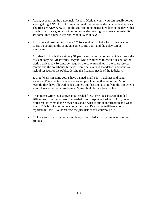- Again, depends on the personnel. If it is in Meriden court, you can usually forget about getting ANYTHING from a criminal file the same day a defendant appears. The files are ALWAYS still in the courtroom no matter how late in the day. Other courts usually are good about getting same day hearing documents but exhibits are sometimes a hassle, especially on busy trial days.
- 1. It seems almost unfair to mark "2" (respondent circled 2 for 7a) when some courts do copies on the spot, but some courts don't and the delay can be significant.

2. Related to this is the statutory \$1 per page charge for copies, which exceeds the costs of copying. Meanwhile, lawyers, who are allowed to check files out of the clerk's office, pay 10 cents per page on the copy machines in the court service centers and the courthouse libraries. Some believe it is scandalous and belies a lack of respect for the public, despite the financial needs of the judiciary.

3. Chief clerks in some courts have banned small copy machines and hand scanners. This affects document retrieval people more than reporters. More recently they have allowed hand scanners but that took action from the top when I would have expected no resistance. Some chief clerks allow copiers.

- Respondent wrote "See above about sealed files." Previous answers detailed difficulties in getting access to unsealed files. Respondent added: "Also, court clerks regularly make their own rules about what is public information and what is not. This is quite common among jury lists. I've had two different court reporters tell me, 'We don't disclose jury lists at this courthouse.'"
- No low-cost, DIY copying, as in library. Busy clerks, costly, time-consuming process.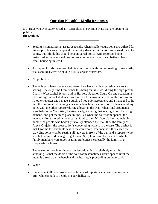# **Question No. 8(b) – Media Responses**

\_\_\_\_\_\_\_\_\_\_\_\_\_\_\_\_\_\_\_\_\_\_\_\_\_\_

8(a) Have you ever experienced any difficulties in covering trials that are open to the public?

### **(b) Explain.**

- Seating is sometimes an issue, especially when smaller courtrooms are utilized for higher profile cases. I applaud that most judges permit laptops to be used for notetaking, but I think this should be a universal policy, with reporters being instructed to mute any volume controls on the computer (dead battery bleeps, email bouncing in, etc.)
- A couple of trials have been held in courtrooms with limited seating. Newsworthy trials should always be held in a JD's largest courtroom.
- No problems.
- The only problems I have encountered here have involved physical access to seating. The only time I remember this being an issue was during the high-profile Chasity West capital-felony trial in Hartford Superior Court. On one occasion, a class of high school students took almost all the available seats in the courtroom. Another reporter and I made a quick, ad hoc pool agreement, and I managed to fit into the one small remaining space on a bench in the courtroom. I then shared my notes with the other reporter during a break in the trial. When final arguments were held in the West trial, I arrived early, knowing that seating would be in high demand, and got the third place in line. But when the courtroom opened, the marshals first ushered in the victims' family; then Ms. West's family, including a number of people who hadn't previously attended the trial; then the family of Alexis Grajales, the prosecution's cooperating witness in the case. The upshot is that I got the last available seat in the courtroom. The marshals then eased the crowding somewhat by seating all lawyers in front of the bar, and a reporter who was behind me did manage to get a seat. Still, I question the extent to which family members were given seating preferences, especially the family of a cooperating witness.

The one other problem I have experienced, which is relatively minor but annoying, is that the doors of the courtroom sometimes aren't opened until the judge is already on the bench and the hearing is proceeding on the record.

- Why?
- Cameras not allowed inside leaves broadcast reporters at a disadvantage versus print who can talk to people in court hallways.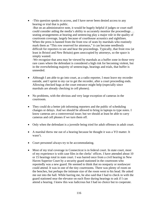• -This question speaks to access, and I have never been denied access to any hearing or trial that is public. -But on an administrative note, it would be hugely helpful if judges or court staff could consider aiding the media's ability to accurately monitor the proceedings … seating arrangements at hearing and sentencing play a major role in the quality of courtroom coverage, largely because of courthouse acoustics and sightlines. When the press is banned from the front row of seats by marshals who routinely mark them as "This row reserved for attorneys," it can become needlessly difficult for reporters to see and hear the proceedings. Typically, that front row (at least in Bristol and New Britain) goes unoccupied by attorneys, so the space is simply wasted.

-We recognize that area may be viewed by marshals as a buffer zone in those very rare cases where the defendant is considered a high risk for becoming violent, but in the overwhelming majority of sentencings, hearings and trials, that buffer is unneeded.

- Although I am able to go into court, as a radio reporter, I must leave my recorder outside, and I sprint to my car to get the recorder, after a court proceeding ends. Allowing checked bags at the court entrance might help (especially since marshals are already checking in cell phones).
- No problems, with the obvious and very large exception of cameras in the courtroom.
- They could do a better job informing reporters and the public of scheduling changes or delays. And we should be allowed to bring in laptops to type notes. I know cameras are a controversial issue; but we should at least be able to carry cameras and cell phones if we turn them off.
- Only when the defendant is a juvenile being tried for adult offenses in adult court.
- A marshal threw me out of a hearing because he thought it was a YO matter. It wasn't.
- Court personnel always try to be accommodating.
- Most of my trial coverage in Connecticut is in federal court. In state court, most of my experience is with case files in the clerks' offices. I have attended about 10 or 15 hearings total in state court. I was barred once from a civil hearing in New Haven Superior Court by a security guard stationed in the courtroom who reportedly was a new guard. He seemed to think that no nonparty or nonlawyer could attend. It was in one of the tiny courtrooms. There was plenty of room on the benches, but perhaps the intimate size of the room went to his head. He asked me out into the hall. While barring me, he also said that I had to check in with the guard stationed near the elevator on each floor during hearings to ask if I can attend a hearing. I knew this was ludicrous but I had no choice but to cooperate.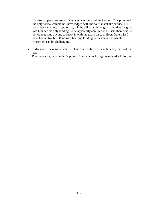He also happened to use profane language. I missed the hearing. This prompted the only formal complaint I have lodged with the court marshal's service. His boss later called me to apologize, said he talked with the guard and that the guard told him he was only kidding, so he apparently admitted it. He said there was no policy requiring anyone to check in with the guard on each floor. Otherwise I have had no trouble attending a hearing. Finding out when and in which courtroom can be challenging,

• Judges who make too much use of sidebar conferences can hide key parts of the trial.

Poor acoustics, even in the Supreme Court, can make argument harder to follow.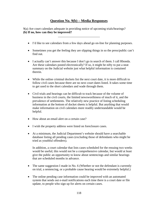### **Question No. 9(b) – Media Responses**

9(a) Are court calendars adequate in providing notice of upcoming trials/hearings? **(b) If no, how can they be improved?** 

• I'd like to see calendars from a few days ahead go on-line for planning purposes.

\_\_\_\_\_\_\_\_\_\_\_\_\_\_\_\_\_\_\_\_\_\_\_\_\_\_\_

- Sometimes you get the feeling they are slipping things in so the press/public can't find out.
- I actually can't answer this because I don't go in search of them. I call Rhonda. Are these calendars posted electronically? If so, it might be nifty to put a neat summary on the Judicial website just what helpful information is contained therein.
- While the online criminal dockets list the next court date, it is more difficult to follow civil cases because there are no next court dates listed. It takes some time to get used to the short calendars and wade through them.
- Civil trials and hearings can be difficult to track because of the volume of business in the civil courts, the limited newsworthiness of much of it, and the prevalence of settlements. The relatively new practice of listing scheduling information at the bottom of docket sheets is helpful. But anything that would make information on civil calendars more readily understandable would be helpful.
- How about an email alert on a certain case?
- I wish the property address were listed on foreclosure cases.
- At a minimum, the Judicial Department's website should have a searchable database listing all pending cases (excluding those of defendants who might be tried as youthful offenders).

In addition, a court calendar that lists cases scheduled for the ensuing two weeks would be useful; this would not be a comprehensive calendar, but would at least give the public an opportunity to know about sentencings and similar hearings that are scheduled months in advance.

- The same suggestion I made in No. 6 (Whether or not the defendant is currently on trial, a sentencing, or a probable cause hearing would be extremely helpful.)
- The online pending case information could be improved with an automated system that sends out e-mail notifications each time there is a court date or file update, to people who sign up for alerts on certain cases.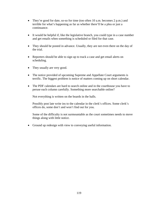- They're good for date, so-so for time (too often 10 a.m. becomes 2 p.m.) and terrible for what's happening as far as whether there'll be a plea or just a continuance.
- It would be helpful if, like the legislative branch, you could type in a case number and get emails when something is scheduled or filed for that case.
- They should be posted in advance. Usually, they are not even there on the day of the trial.
- Reporters should be able to sign up to track a case and get email alerts on scheduling.
- They usually are very good.
- The notice provided of upcoming Supreme and Appellate Court arguments is terrific. The biggest problem is notice of matters coming up on short calendar.
- The PDF calendars are hard to search online and in the courthouse you have to peruse each column carefully. Something more searchable online?

Not everything is written on the boards in the halls.

Possibly post late write ins to the calendar in the clerk's offices. Some clerk's offices do, some don't and won't find out for you.

Some of the difficulty is not surmountable as the court sometimes needs to move things along with little notice.

• Ground up redesign with view to conveying useful information.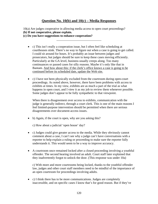## **Question No. 10(b) and 10(c) – Media Responses**

\_\_\_\_\_\_\_\_\_\_\_\_\_\_\_\_\_\_\_\_\_\_\_\_\_\_\_\_\_

10(a) Are judges cooperative in allowing media access to open court proceedings? **(b) If not cooperative, please explain.** 

**(c) Do you have suggestions to enhance cooperation?** 

- c) This isn't really a cooperation issue, but I often feel like scheduling at courthouses stink. There's no way to figure out when a case is going to get called. I could sit around for hours. It's probably an issue between judges and prosecutors, but judges should be sure to keep these cases moving efficiently. Particularly at the GA level, business usually creeps along. Too many continuances or passed cases for silly reasons. Maybe it's only like that in Bantam. And how about this: if the clerk's office knows a case is going to be continued before its scheduled date, update the Web site.
- c) I have not been physically excluded from the courtroom during open-court proceedings. As noted above, however, there have been problems with access to exhibits at times. In my view, exhibits are as much a part of the trial as what happens in open court, and I view it as my job to review them whenever possible. Some judges don't appear to be fully sympathetic to that viewpoint.

When there is disagreement over access to exhibits, communication with the judge is generally indirect, through a court clerk. This is one of the main reasons I feel limited-purpose intervention should be permitted when there are serious disagreements over document-access issues.

• b) Again, if the court is open, why are you asking this?

c) How about a judicial 'open house' day?

- c) Judges could give greater access to the media. While they obviously cannot comment about a case, I can't see why a judge can't have conversations with a reporter to help explain a ruling or proceeding to make sure the reporter fully understands it. This would seem to be a way to improve accuracy.
- A courtroom once remained locked after a closed proceeding involving a youthful offender. The second hearing involved an adult. Court staff later explained that they inadvertently forgot to unlock the door. (This response was under 10a)

c) With more and more courtrooms being locked, thanks to the youthful offender law, judges and other court staff members need to be mindful of the importance of an open courtroom for proceedings involving adults.

• c) I think there has to be more communications. Judges are completely inaccessible, and on specific cases I know that's for good reason. But if they've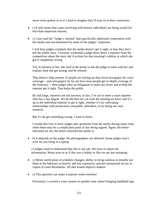never even spoken to us it's hard to imagine they'll trust us in their courtroom.

- c) It still seems that cases involving well-known individuals are being sealed for less-than-important reasons.
- c) I just read the "Judge's Journal" that specifically addressed cooperation with the media and was heartened by some of the judges' responses.

I will hear judges complain that the media doesn't get it right, or that they don't tell the whole story. I recently witnessed a judge dress down a reporter from the competition about the story she'd written for that morning's edition in which she got it completely wrong.

Yet, in fairness to her, she tried at the break to ask the judge to meet with her and explain what she got wrong, and he refused.

That doesn't help anyone. If people are relying on their local newspaper for court coverage – and newspapers by far are how most people get in-depth coverage of the Judiciary -- then judges have an obligation to point out errors and to help the reporter get it right. That helps the public.

By and large, reporters are not lawyers; in fact, I've yet to meet a court reporter who has a law degree. We do the best we can with the training we have, and it's up to the individual reporter to get it right, whether it's by cultivating relationships with prosecutors and public defenders, or by doing our own research.

But if I do get something wrong, I want to know.

I would also love to have judges take questions from the media during some trials, when there may be a complicated point of law being argued. Again, the better informed we are, the better informed the public is.

• b) It depends on the judge. No photographers are allowed. Some judges won't even let you bring in a laptop.

c) Judges need to understand that this is our job. We have to report the information. Many treat us as if this was a hobby or like we are just snooping.

- c) Better notification of schedule changes; ability to bring cameras in (maybe use them in the hallways at least?); and less expensive, quicker-turnaround access to copies of court documents. All that would improve matters.
- c) This question can make a reporter some enemies!

Previously I covered a court system in another state where bringing handheld tape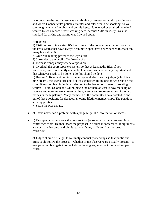recorders into the courthouse was a no-brainer, (cameras only with permission) and where Connecticut's policies, statutes and rules would be shocking, so you can imagine where I might stand on this issue. No one had ever asked me why I wanted to see a record before working here, because "idle curiosity" was the standard for asking and asking was frowned upon.

Here goes:

1) Visit real sunshine states. It's the culture of the court as much as or more than the laws. States that have always been more open have never needed to enact too many laws about it.

2) Give rule making power to the legislature.

3) Surrender to the public. You're one of us.

4) Increase transparency whenever possible.

5) Overhaul the court reporters system so that at least audio files, if not transcripts, are conveniently available. I believe this is extremely important and that whatever needs to be done to do this should be done.

6) Barring 100-percent publicly funded general elections for judges (which is a pipe dream), the legislature could at least consider giving one or two seats on the committees involved in judicial selection to the law school deans for rotating tenures – Yale, UConn and Quinnipiac. One of them at least is now made up of lawyers and non-lawyers chosen by the governor and representatives of the two parties in the legislature. Many members of the committees have rotated in and out of these positions for decades, enjoying lifetime memberships. The positions are very political.

7) Settle the FOI debate.

- c) I have never had a problem with a judge re: public information or access.
- b) Example: a judge allows the lawyers to adjourn to work out a proposal in a conference room. He then hears the proposal in a sidebar conference. If arguments are not made in court, audibly, it really isn't any different from a closed courtroom.

c) Judges should be taught to routinely conduct proceedings so that public and press could follow the process – whether or not observers are actually present – so everyone involved gets into the habit of having argument out loud and in open court.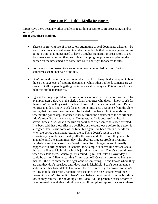# **Question No. 11(b) – Media Responses**

11(a) Have there been any other problems regarding access to court proceedings and/or records?

\_\_\_\_\_\_\_\_\_\_\_\_\_\_\_\_\_\_\_\_\_\_\_\_\_

### **(b) If yes, please explain.**

- There is a growing use of prosecutors attempting to seal documents whether it be search warrants or arrest warrants under the umbrella that the investigation is ongoing. I think that judges need to have a tougher standard for prosecutors to get documents sealed rather than just rubber stamping the process and placing the burden on the news media to come into court and fight for access to files.
- Police reports to prosecutors are often unavailable in clerk's files. Clerks sometimes seem uncertain of policy.
- Don't know if this is the appropriate place, but I've always had a complaint about the \$1 per page cost of copying documents, while other public documents are 25 cents. Not all the people getting copies are wealthy lawyers. This is more from a help-the-public perspective.
- I guess the biggest problem I've run into has to do with files. Search warrants, for example, aren't always in the clerk's file. A reporter who doesn't know to ask for them won't know they exist. I've been burned like that a couple of times. But a reporter that does know to ask for them sometimes gets a response from the clerk saying that the search warrant can't be located. I've been told it depends on whether the police dept. that used it has returned the document to the courthouse. I don't know if that's accurate, but I'm guess*[ing]* it is because I've heard it several times. Also, what's the rule on court files after someone's been arrested? I've been told that those files are available at the courthouse before the person is arraigned. That's true some of the time, but again I've been told it depends on when the police department returns them. There doesn't seem to be any consistency, sometimes it's a day after the arrest and other times they won't be available until the arraignment day. The absolute biggest problem I run into regularly is tracking cases transferred from a GA to bigger courts. It usually happens with arraignments. In Bantam, for example, it seems like marshals take those case files to Litchfield, which is just down the street. There's no set time on when they take them. Generally, it's around 3 p.m., but if it's a slower day it could be earlier. I live in fear that I'll miss cut off. Once they are in the hands of marshals the files enter the Twilight Zone or something; no one knows where they are and they don't resurface until days later in Litchfield. I can't get someone's address or other basic details I get about the case unless I get a prosecutor who's willing to talk. That rarely happens because once the case is transferred the GA prosecutors won't discuss it. It hasn't been before the prosecutors in the big show yet, so they can't tell me anything either. Also, I'd like probable cause reports to be more readily available. I think a new public act gives reporters access to these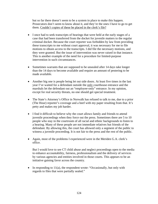but so far there doesn't seem to be a system in place to make this happen. Prosecutors don't seem to know about it, and they're the ones I have to go to get them. Couldn't copies of these be placed in the clerk's file?

- I once had to seek transcripts of hearings that were held at the early stages of a case that had been transferred from the docket for juvenile matters to the regular criminal docket. Because the court reporter was forbidden by law from providing these transcripts to me without court approval, it was necessary for me to file motions to obtain access to the transcripts. I did file the necessary motions, and they were granted. But the issue of intervention was never raised in that instance. This is another example of the need for a procedure for limited-purpose intervention in such circumstances.
- Sometimes warrants that are supposed to be unsealed after 14 days take longer than the 14 days to become available and require an amount of pestering to be made available.
- Another big one is people being let out side doors. At least five times in the last year I've waited for a defendant outside the only courthouse entrance and the marshals let the defendant out an "employee-only" entrance. In my opinion, except for real security threats, no one should get special treatment.
- The State's Attorney's Office in Norwalk has refused to talk to me, due to a prior (The Hour) reporter's coverage and a beef with my paper resulting from that. It's petty and makes my job harder.
- I find it difficult to believe why the court allows family and friends to attend juvenile proceedings when they force out the press. Sometimes there are 5 to 10 people who stay in the courtroom of all racial and ethnic backgrounds to listen to a hearing. Many of these people are not immediate relatives but friends of the defendant. By allowing this, the court has allowed only a segment of the public to witness a juvenile proceeding. It is not fair to the press and the rest of the public.
- Again, most of the problems I experienced were in the Meriden G.A. clerk's office.

But I would love to see CT child abuse and neglect proceedings open to the media to enhance accountability, fairness, professionalism and the delivery of services by various agencies and entities involved in those courts. This appears to be an initiative gaining favor across the country.

• In responding to 11(a), the respondent wrote: "Occasionally, but only with regards to files that were partially sealed."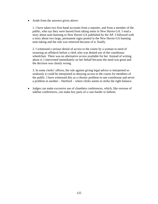• Aside from the answers given above:

1. I have taken two first-hand accounts from a reporter, and from a member of the public, who say they were barred from taking notes in New Haven GA. I read a story about note-banning in New Haven GA published by the AP. I followed with a story about two large, permanent signs posted in the New Haven GA banning note-taking and the rule was removed because of it, finally.

2. I witnessed a serious denial of access to the courts by a woman in need of swearing an affidavit before a clerk who was denied use of the courthouse wheelchair. There was no alternative access available for her. Instead of writing about it, I intervened immediately on her behalf because the need was great and the decision was clearly wrong.

3. In some clerks' offices, the rule against giving legal advice is interpreted so zealously it could be interpreted as denying access to the courts for members of the public. I have witnessed this as a chronic problem in one courthouse and never a problem in another – Hartford – where clerks seems to strike the right balance.

• Judges can make excessive use of chambers conferences, which, like overuse of sidebar conferences, can make key parts of a case harder to fathom.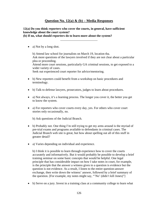## **Question No. 12(a) & (b) – Media Responses**

\_\_\_\_\_\_\_\_\_\_\_\_\_\_\_\_\_\_\_\_\_\_\_\_

**12(a) Do you think reporters who cover the courts, in general, have sufficient knowledge about the court system?** 

**(b) If no, what should reporters do to learn more about the system?** 

• a) Not by a long shot.

b) Attend law school for journalists on March 19, location tba. Ask more questions of the lawyers involved if they are not clear about a particular plea or proceeding. Attend more court sessions, particularly GA criminal sessions, to get exposed to a wider variety of cases. Seek out experienced court reporter for advice/mentoring.

- b) New reporters could benefit from a workshop on basic procedures and terminology.
- b) Talk to defense lawyers, prosecutors, judges to learn about procedures.
- a) Not always, it's a learning process. The longer you cover it, the better you get to know the system.
- a) For reporters who cover courts every day, yes. For others who cover court stories only occasionally, no.

b) Ask questions of the Judicial Branch.

- b) Probably not. One thing I'm still trying to get my arms around is the myriad of pre-trial exams and programs available to defendants in criminal cases. The Judicial Branch web site is great, but how about spelling out all of this stuff in greater detail?
- a) Varies depending on individual and experience.

b) I think it is possible to learn through experience how to cover the courts accurately and informatively. But it would probably be possible to develop a brief training seminar on some basic concepts that would be helpful. One legal principle that has considerable impact on how I take notes in court, for example, is the principle that the answer a witness gives to a question is evidence but the question is not evidence. As a result, I listen to the entire question-answer exchange, then write down the witness' answer, followed by a brief summary of the question. [For example, my notes might say, "'No' (didn't kill Jones)"]

• b) Serve on a jury. Invest in a training class at a community college to learn what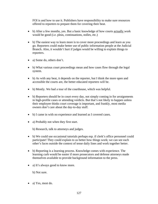FOI is and how to use it. Publishers have responsibility to make sure resources offered to reporters to prepare them for covering their beat.

- b) After a few months, yes. But a basic knowledge of how courts actually work would be good (i.e. pleas, continuations, nolles, etc.)
- b) The easiest way to learn more is to cover more proceedings and learn as you go. Reporters could make better use of public information people at the Judicial Branch. Also, it wouldn't hurt if judges would be willing to explain things to reporters.
- a) Some do, others don't.
- b) What various court proceedings mean and how cases flow through the legal system.
- b) As with any beat, it depends on the reporter, but I think the more open and accessible the courts are, the better educated reporters will be.
- b) Mostly. We had a tour of the courthouse, which was helpful.
- b) Reporters should be in court every day, not simply coming in for arraignments in high-profile cases or attending verdicts. But that's not likely to happen unless their employee thinks court coverage is important, and frankly, most media owners don't care about the day-to-day stuff.
- b) I came in with no experience and learned as I covered cases.
- a) Probably not when they first start.

b) Research, talk to attorneys and judges.

- b) We could use occasional tutorials perhaps esp. if clerk's office personnel could participate! They could explain to us better how things work; we can see each other's faces outside the context of tense daily lines and work together better.
- b) Reporting is a learning process. Knowledge comes with experience. The learning curb would be easier if more prosecutors and defense attorneys made themselves available to provide background information to the press.
- a) It's always good to know more.

b) Not sure.

• a) Yes, most do.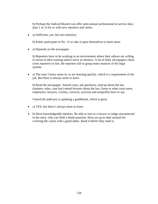b) Perhaps the Judicial Branch can offer semi-annual professional in-service days (just 1 or 2) for or with new reporters and clerks.

- a) Sufficient, yes, but not extensive.
	- b) Either participate in No. 13 or take it upon themselves to learn more.
- a) Depends on the newspaper.

b) Reporters have to be working in an environment where their editors are willing to invest in their training and/or serve as mentors. A lot of daily newspapers churn court reporters so fast, the reporters fail to grasp many nuances of the legal system.

• a) The ones I know seem to, or are learning quickly, which is a requirement of the job. But there is always more to learn.

b) Read the newspaper. Attend court, ask questions, read up about the law (statutes, rules, case law) attend lectures about the law, listen to what court users, employees, lawyers, victims, convicts, activists and nonprofits have to say.

I heard the judiciary is updating a guidebook, which is great.

- a) YES, but there's always more to learn.
- b) Have knowledgeable mentors. Be able to turn to a lawyer or judge unconnected to the story, who can field a dumb question. Have an up-to-date manual for covering the courts with a good index. Read it before they need it.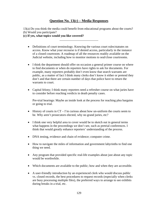# **Question No. 13(c) – Media Responses**

13(a) Do you think the media could benefit from educational programs about the courts? (b) Would you participate?

\_\_\_\_\_\_\_\_\_\_\_\_\_\_\_\_\_\_\_\_\_\_\_\_\_

**(c) If yes, what topics would you like covered?** 

- Definitions of court terminology. Knowing the various court rules/statutes on access. Know what your recourse is if denied access, particularly in the instance of a closed courtroom. A roadmap of all the resources readily available on the Judicial website, including how to monitor motions to seal/close courtrooms.
- I think the department should offer on occasion a general primer course on where to find documents or when do reporters have rights to ask for documents. For example, many reporters probably don't even know that search warrants are public, as a matter of fact I think many clerks don't know it either or pretend they don't and that there are certain number of days that police have to return the warrants to court.
- Capital felony; I think many reporters need a refresher course on what juries have to consider before reaching verdicts in death penalty cases.

Pre-trial hearings: Maybe an inside look at the process for reaching plea bargains or going to trial.

- History of courts in  $CT I'm$  curious about how un-uniform the courts seem to be. Why aren't prosecutors elected, why no grand juries, etc?
- I think one very helpful area to cover would be to sketch out in general terms what happens in the proceedings we don't see, such as pretrial conferences. I think that would greatly enhance reporters' understanding of the process.
- DNA testing, evidence and chain of evidence; computer crime.
- How to navigate the miles of information and government labyrinths to find one thing we need.
- Any program that provided specific real-life examples about just about any topic would be worthwhile.
- Which documents are available to the public; how and when they are accessible.
- A user-friendly introduction by an experienced clerk who would discuss public vs. closed records, the best procedures to request records (especially when clerks are busy processing multiple files), the preferred ways to arrange to see exhibits during breaks in a trial, etc.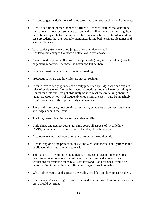- I'd love to get the definitions of some terms that are used, such as the Latin ones.
- A basic definition of the Connecticut Rules of Practice, statutes that determine such things as how long someone can be held in jail without a bail hearing, how much time elapses before certain other hearings must be held, etc. Also, certain case precedents that are routinely mentioned during bail hearings, pleadings and sentence hearings.
- What topics *[d]*o lawyers and judges think are misreported? Has terrorism changed Connecticut state law in this decade?
- Even something simple like how a case proceeds (plea, PC, pretrial, etc) would help many reporters. The more the better and I'll be there!
- What's accessible, what's not. Sealing/unsealing.
- Prosecution, where and how files are stored, sealing.
- I would love to see programs specifically presented by judges who can explain rules of evidence, etc. I often hear about exceptions, and the Pinkerton ruling, or Courchesne, etc and I've got absolutely no idea what they're talking about. A judge-prepared synopsis of frequently cited criminal cases would be amazingly helpful – as long as the reporter truly understands it.
- Time limits on cases; how continuances work; what goes on between attorneys and judges behind the scenes.
- Tracking cases, obtaining transcripts, viewing files.
- Child abuse and neglect courts, juvenile court, all aspects of juvenile law FWSN, delinquency, serious juvenile offender, etc. – family court.
- A comprehensive crash course on the court system would be ideal.
- A panel exploring the protection of victims versus the media's obligations to the public would be a good one to start with.
- This is hard  $-- I$  would like the judiciary to suggest topics it thinks the press needs to know more about. I would attend talks. I know the court offers workshops for various groups (ex. Elder law) and I look for ones I would be interested in. Some of the ones offered to lawyers look interesting.
- What public records and statistics are readily available and how to access them.
- Court insiders' views of great stories the media is missing. Common mistakes the press should get right.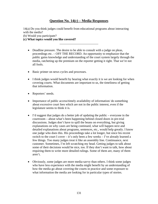# **Question No. 14(c) – Media Responses**

\_\_\_\_\_\_\_\_\_\_\_\_\_\_\_\_\_\_\_\_\_\_\_\_\_

14(a) Do you think judges could benefit from educational programs about interacting with the media?

(b) Would you participate?

**(c) What topics would you like covered?** 

- Deadline pressure. The desire to be able to consult with a judge on pleas, proceedings etc. – OFF THE RECORD. An opportunity to emphasize that the public gains knowledge and understanding of the court system largely through the media, ratcheting up the premium on the reporter getting it right. That we're not all fools.
- Basic primer on news cycles and processes.
- I think judges would benefit by hearing what exactly it is we are looking for when covering courts. What documents are important to us, the timeliness of getting that information.
- Reporters' needs.
- Importance of public access/timely availability of information/ do something about excessive court fees which are not in the public interest, even if the legislature seems to think it is.
- I'd suggest that judges do a better job of updating the public everyone in the courtroom – about what's been happening behind closed doors in pre-trial discussions. Judges don't have to spill the beans on everything, but giving explanations on why cases are being continued, what will happen next and detailed explanations about programs, sentences, etc., would help greatly. I know one judge who does this. His proceedings take a lot longer, but since his recent switch to the court I cover – it's only been a few weeks – I've already learned a few things. Too many judges treat it like an assembly line. Continuance, next customer. Sometimes, I'm left scratching my head. Getting judges to talk about some of their decisions would be nice, too. If they don't want to talk, how about requiring them to write more detailed rulings. Some of them are, many of them aren't.
- Obviously, some judges are more media-savvy than others. I think some judges who have less experience with the media might benefit by an understanding of how the media go about covering the courts in practice and some exposure to what information the media are looking for in particular types of stories.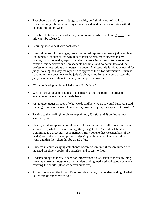- That should be left up to the judge to decide, but I think a tour of the local newsroom might be welcomed by all concerned, and perhaps a meeting with the top editor might be wise.
- How best to tell reporters what they want to know, while explaining why certain info can't be released.
- Learning how to deal with each other.
- It would be useful to younger, less experienced reporters to hear a judge explain (in layman's language) just why judges must be extremely discreet in any dealings with the media, especially when a case is in progress. Some reporters consider this secretive and unreasonable behavior, and do not understand the professional restrictions that judges are under. And certainly it might be useful for judges to suggest a way for reporters to approach them for information – such as handing written questions to the judge's clerk, an option that would protect the judge's interests while not freezing out the press altogether.
- "Communicating With the Media: We Don't Bite."
- What information and/or items can be made part of the public record and available to the media on a timely basis.
- Just to give judges an idea of what we do and how we do it would help. As I said, if a judge has never spoken to a reporter, how can a judge be expected to trust us?
- Talking to the media (interview), explaining *[??rationale??]* behind rulings, sentences, etc.
- Ideally, a judge-reporter committee could meet monthly to talk about how cases are reported, whether the media is getting it right, etc. The Judicial-Media Committee is a great start; as a member I truly believe that we (members of the media) were able to open up some judges' eyes about what it is we need and want, and that they shouldn't be afraid of us.
- Cameras in court, carrying cell phones or cameras in even if they're turned off; the need for timely copies of transcripts and access to files.
- Understanding the media's need for information; a discussion of media training (how we make our judgment calls), understanding media ethical standards when covering the courts. (How we screen ourselves)
- A crash course similar to No. 13 to provide a better, truer understanding of what journalists do and why we do it.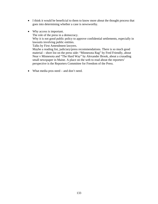- I think it would be beneficial to them to know more about the thought process that goes into determining whether a case is newsworthy.
- Why access is important. The role of the press in a democracy. Why it is not good public policy to approve confidential settlements, especially in lawsuits involving public entities. Talks by First Amendment lawyers. Maybe a reading list, judiciary/press recommendations. There is so much good material – short list on the press side: "Minnesota Rag" by Fred Friendly, about
	- Near v Minnesota and "The Hard Way" by Alexander Brook, about a crusading small newspaper in Maine. A place on the web to read about the reporters' perspective is the Reporters Committee for Freedom of the Press.
- What media pros need and don't need.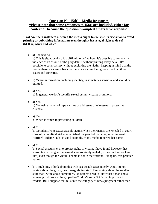# **Question No. 15(b) – Media Responses \*Please note that some responses to 15(a) are included, either for context or because the question prompted a narrative response**

**15(a) Are there instances in which the media ought to exercise its discretion to avoid printing or publicizing information even though it has a legal right to do so? (b) If so, when and why?** 

\_\_\_\_\_\_\_\_\_\_\_\_\_\_\_\_\_\_\_\_\_\_\_\_

• a) I believe so.

b) This is situational, so it's difficult to define here. It's possible to convey the violence of an assault or the gory details without printing every detail. It's possible to cover a story without exploiting the victim, keeping in mind that the reason there is a case is because there is a victim. Being sensitive to children's issues and concerns.

- b) Victim information, including identity, is sometimes sensitive and should be omitted.
- a) Yes. b) In general we don't identify sexual assault victims or minors.
- a) Yes. b) Not using names of rape victims or addresses of witnesses in protective custody.
- a) Yes. b) When it comes to protecting children.
- a) Yes. b) Not identifying sexual assault victims when their names are revealed in court. Case of Bloomfield girl who vanished for year before being found in West Hartford (Adam Gault) is good example. Many media reported her name.
- a) Yes.

b) Sexual assaults, etc. to protect rights of victim. I have found however that warrants involving sexual assaults are routinely sealed (in the courthouses I go into) even though the victim's name is not in the warrant. But again, this practice varies.

• b) Tough one. I think about this with sex assault cases mostly. And I'm not talking about the grisly, headline-grabbing stuff. I'm talking about the smaller stuff that I write about sometimes. Do readers need to know that a man and a woman got drunk and he groped her? I don't know if it's that important to readers. But I suppose that falls into the category of news judgment rather than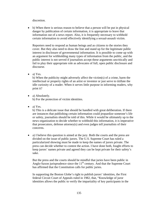discretion.

• b) When there is serious reason to believe that a person will be put in physical danger by publication of certain information, it is appropriate to leave that information out of a news report. Also, it is frequently necessary to withhold certain information to avoid effectively identifying a sexual-assault victim.

Reporters need to respond as human beings and as citizens to the stories they cover. But they also need to draw the line and stand up for the legitimate public interest in disclosure of governmental information. It is possible to come up with an argument for withholding many types of information from the public, and the public interest is not served if journalists accept these arguments uncritically and fail to play their appropriate role as advocates of full, open public disclosure and discourse.

• a) Yes.

b) When the publicity might adversely affect the victim(s) of a crime, harm the intellectual or property rights of an artist or inventor or just serve to titillate the idle curiosity of a reader. When it serves little purpose in informing readers, why print it?

• a) Absolutely.

b) For the protection of victim identities.

• a) Yes.

b) This is a delicate issue that should be handled with great deliberation. If there are instances that publishing certain information could jeopardize someone's life or safety, journalists should be told of this. While it would be ultimately up to the news organization to decide whether to withhold this information, it is imperative that prosecutors, defense attorney(s) and even judges tell journalists of their concerns.

• a) I believe this question is aimed at the jury. Both the courts and the press are divided on the issue of public jurors. The U.S. Supreme Court has ruled a particularized showing must be made to keep the names of jurors private. The press can decide whether to contest the action. I have done both, fought efforts to keep jurors' names private and agreed they can be kept private for their safety's sake.

But the press and the courts should be mindful that juries have been public in Anglo-Saxon jurisprudence since the  $11<sup>th</sup>$  century. And that the Supreme Court has affirmed that the Constitution calls for public juries.

In supporting the Boston Globe's right to publish jurors' identities, the First federal Circuit Court of Appeals ruled in 1982, that, "Knowledge of juror identities allows the public to verify the impartiality of key participants in the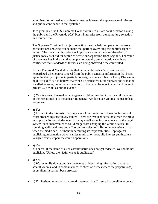administration of justice, and thereby insures fairness, the appearance of fairness and public confidence in that system."

Two years later the U.S. Supreme Court overturned a state court decision barring the public and the Riverside (CA) Press-Enterprise from attending jury selection in a murder trial.

The Supreme Court held that jury selection must be held in open court unless a particularized showing can be made that permits overriding the public's right to know. "The open trial thus plays as important a role in the administration of justice today as it did for centuries before our separation from England. The value of openness lies in the fact that people not actually attending trials can have confidence that standards of fairness are being observed," the court ruled.

Justice Thurgood Marshall wrote that defendants' rights "are most severely jeopardized when courts conceal from the public sensitive information that bears upon the ability of jurors impartially to weigh evidence." Justice Harry Blackmun held, "It is difficult to believe that when a prospective juror receives notice that he is called to serve, he has an expectation … that what he says in court will be kept private … a trial is a public event."

- b) Yes, in cases of sexual assault against children, we don't use the child's name or their relationship to the abuser. In general, we don't use victims' names unless necessary.
- a) Yes.

b) It is not in the interests of society – or of our readers – to have the fairness of court proceedings needlessly tainted. There are frequent occasions when the press must pursue its own duties even if it may entail some inconvenience for the legal system (such inconvenience could range from changing the venue of a trial to spending additional time and effort on jury selection). But other occasions arise when the media can – without undermining its responsibilities – opt against publishing information which carries minimal or no public interest yet threatens to significantly impair the court's operations.

• a) Yes.

b) For ex., if the name of a sex assault victim does not get redacted, we should not publish it. (Unless the victim wants it publicized.)

• a) Yes.

b) We generally do not publish the names or identifying information about sex assault victims, and in some instances victims of crimes where the perpetrator(s) or assailant(s) has not been arrested.

• b) I'm hesitant to answer as a broad statement, but I'm sure it's possible to create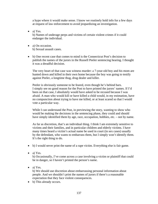a hypo where it would make sense. I know we routinely hold info for a few days at request of law enforcement to avoid jeopardizing an investigation.

- a) Yes. b) Names of underage perps and victims of certain violent crimes if it could endanger the individual.
- a) On occasion. b) Sexual assault cases.
- b) One recent case that comes to mind is the Connecticut Post's decision to publish the names of the jurors in the Russell Peeler sentencing hearing. I thought it was a dreadful decision.

The very heart of that case was witness murder: a 7-year-old boy and his mom are hunted down and killed in their own home because the boy was going to testify against Peeler, a longtime thug, drug dealer and killer.

Peeler is obviously someone to be feared, even though he's behind bars. I simply see no good reason for the Post to have printed the jurors' names. If I'd been on that case, I absolutely would have asked to be recused because I was afraid. A man who would kill or have killed a child would, in my estimation, have no compunction about trying to have me killed, or at least scared so that I would vote a particular way.

While I can understand the Post, in previewing the story, wanting to show who would be making the decisions in the sentencing phase, they could and should have simply identified them by age, race, occupation, hobbies, etc. – not by name.

As far as discretion, that's an individual thing. I think I am extremely sensitive to victims and their families, and in particular children and elderly victims. I have many times heard a victim's actual name be used in court (in sex cases) usually by the defendant, who wants to embarrass them, but I simply won't identify them. It's the right thing to do.

- b) I would never print the name of a rape victim. Everything else is fair game.
- a) Yes.

b) Occasionally, I've come across a case involving a victim or plaintiff that could be in danger, so I haven't printed the person's name.

• a) Yes.

b) We should use discretion about embarrassing personal information about people. And we shouldn't print the names of jurors if there's a reasonable expectation that they face violent consequences.

• b) This already occurs.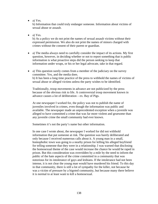• a) Yes.

b) Information that could truly endanger someone. Information about victims of sexual abuse or assault.

 $\bullet$  a) Yes.

b) As a policy we do not print the names of sexual assault victims without their expressed permission. We also do not print the names of minors charged with crimes without the consent of their parent or guardian.

- a) The media always need to carefully consider the impact of its actions. My first question, however, in deciding whether or not to report something that is public information is what proactive steps did the person seeking to keep that information under wraps, or his or her legal advocate, take in that regard.
- a) This question surely comes from a member of the judiciary on the survey committee. Yes, and the media does. b) It has been a long time practice of the press to withhold the names of victims of sexual abuse or alleged victims unless the party wishes to be identified.

Traditionally, troop movements in advance are not publicized by the press because of the obvious risk to life. A controversial troop movement known in advance causes a lot of deliberation – ex. Bay of Pigs.

At one newspaper I worked for, the policy was not to publish the name of juveniles involved in crimes, even though the information was public and available. The newspaper made an unprecedented exception when a juvenile was alleged to have committed a crime that was far more violent and gruesome than any juvenile crime the small community had ever known.

Sometimes it's not the party's name but other information.

In one case I wrote about, the newspaper I worked for did not withhold information that put someone at risk. The question was barely deliberated and only because I received numerous calls about it. A young man in a small, homophobic town was going to a nearby prison for killing his alleged boyfriend for telling someone that they were in a relationship. I was warned that disclosing the homosexual theme of the case would increase the chance he would be raped in prison. But this consideration was overridden by a mile by the need to inform the public of the hate aspects of the crime committed in a community that was notorious for its intolerance of gays and lesbians. If the intolerance had not been intense, it is not clear the young man would have murdered his friend. To this day in that community, there is still a lot of sympathy for the killer, not because he was a victim of pressure by a bigoted community, but because many there believe it is normal to at least want to kill a homosexual.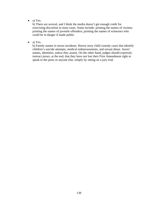• a) Yes.

b) There are several, and I think the media doesn't get enough credit for exercising discretion in most cases. Some include: printing the names of victims; printing the names of juvenile offenders; printing the names of witnesses who could be in danger if made public.

• a) Yes.

b) Family names in incest incidents. Horror story child custody cases that identify children's suicide attempts, medical embarrassments, and sexual abuse. Jurors' names, identities, unless they assent. On the other hand, judges should expressly instruct jurors, at the end, that they have not lost their First Amendment right to speak to the press or anyone else, simply by sitting on a jury trial.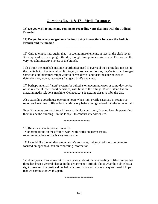### **Questions No. 16 & 17 – Media Responses**

**16) Do you wish to make any comments regarding your dealings with the Judicial Branch?** 

**17) Do you have any suggestions for improving interactions between the Judicial Branch and the media?** 

 **\_\_\_\_\_\_\_\_\_\_\_\_\_\_\_\_\_\_\_\_\_\_** 

16) Only to emphasize, again, that I'm seeing improvements, at least at the clerk level. It's very hard to assess judge attitudes, though I'm optimistic given what I've seen at the very top administrative levels of the branch.

I also think the marshals in some courthouses need to overhaul their attitudes, not just to the media but to the general public. Again, in some courthouses, they're terrific. I suggest some top administrators might want to "dress down" and visit the courthouses as defendants or, worse, reporters (!) to get a bird's eye view.

17) Perhaps an email "alert" system for bulletins on upcoming cases or same-day notice of the release of lower court decisions, with links to the rulings. Rhode Island has an amazing media relations machine. Connecticut's is getting closer to it by the day.

Also extending courthouse operating hours when high profile cases are in session so reporters have time to file at least a brief story before being ordered into the snow or rain.

Even if cameras are not allowed into a particular courtroom, I see no harm in permitting them inside the building – in the lobby – to conduct interviews, etc.

### \*\*\*\*\*\*\*\*\*\*\*\*\*\*\*\*\*

16) Relations have improved recently.

--Congratulations on the effort to work with clerks on access issues.

--Communications office is very responsive.

17) I would like the mindset among state's attorneys, judges, clerks, etc. to be more focused on openness than on concealing information.

### \*\*\*\*\*\*\*\*\*\*\*\*\*\*\*\*\*\*

17) After years of super-secret divorce cases and cart blanche sealing of files I sense that there has been a general change in the department's attitude about what the public has a right to see and that justice done behind closed doors will always be questioned. I hope that we continue down this path.

\*\*\*\*\*\*\*\*\*\*\*\*\*\*\*\*\*\*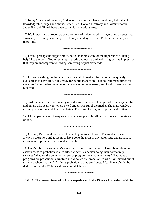16) In my 28 years of covering Bridgeport state courts I have found very helpful and knowledgeable judges and clerks. Chief Clerk Donald Mastrony and Administrative Judge Richard Gilardi have been particularly helpful to me.

17) It's important that reporters ask questions of judges, clerks, lawyers and prosecutors. I'm always learning new things about our judicial system and it's because I always ask questions.

\*\*\*\*\*\*\*\*\*\*\*\*\*\*\*\*\*\*\*

17) I think perhaps the support staff should be more aware of the importance of being helpful to the press. Too often, they are rude and not helpful and that gives the impression that they are incompetent or hiding something or just plain rude.

\*\*\*\*\*\*\*\*\*\*\*\*\*\*\*\*\*\*

16) I think one thing the Judicial Branch can do to make information more quickly available is to have all its files ready for public inspection. I had to wait many times for clerks to find out what documents can and cannot be released, and for documents to be redacted.

### \*\*\*\*\*\*\*\*\*\*\*\*\*\*\*\*\*\*

16) Just that my experience is very mixed – some wonderful people who are very helpful and others who seem very overworked and distrustful of the media. The glass windows are very off-putting and depersonalizing. That's my feeling as a reporter and a citizen.

17) More openness and transparency, whenever possible, allow documents to be viewed online.

### \*\*\*\*\*\*\*\*\*\*\*\*\*\*\*\*\*\*\*

16) Overall, I've found the Judicial Branch great to work with. The media reps are always a great help and it seems to have done the most of any other state department to create a Web presence that's media friendly.

17) Here's a big one (maybe it's there and I don't know about it): How about giving us easier access to probation-related files? Where is a person doing their community service? What are the community service programs available to them? What types of programs are probationers involved in? Who are the probationers who have moved out of state and where are they? As far as probation-related stuff goes, I feel like we're in the dark. How about a Web-based probation database?

### \*\*\*\*\*\*\*\*\*\*\*\*\*\*\*\*\*\*\*

16 & 17) The greatest frustration I have experienced in the 15 years I have dealt with the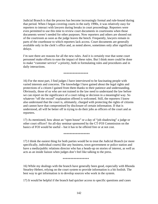Judicial Branch is that the process has become increasingly formal and rule-bound during that period. When I began covering courts in the early 1990s, it was relatively easy for reporters to interact with lawyers during breaks in court proceedings. Reporters were even permitted to use this time to review court documents in courtrooms when those documents weren't needed for other purposes. Now reporters and others are shooed out of the courtroom as soon as the judge leaves the bench. Frequently, lawyers remain in parts of the courthouse to which reporters lack access. Court documents are generally available only in the clerk's office and, as noted above, sometimes only after significant delays.

I'm sure there are reasons for all the new rules. And it is certainly true that some court personnel make efforts to ease the impact of these rules. But I think more could be done to make "customer service" a priority, both in formulating rules and procedures and in daily interactions.

\*\*\*\*\*\*\*\*\*\*\*\*\*\*\*\*

16) For the most part, I find judges I have interviewed to be fascinating people with varied interests and concerns. The knowledge I have gained about the legal rights and protections of a citizen I gained from them thanks to their patience and understanding. Obviously, those of us who are not trained in the law need to understand the law before we can report on the significance of a court ruling or decision in a meaningful way. So whatever "off the record" explanation offered is welcomed. Still, the reporters I know also understand that the court is, ultimately, charged with protecting the rights of citizens and cannot have that compromised by disclosure of certain information. If that is understood, all will be better off in trying to do their jobs as officers of the court and as reporters.

17) As mentioned, how about an "open house" or a day of "job shadowing" a judge or other court officer? An all-day seminar sponsored by the CT-FOI Commission on the basics of FOI would be useful – but it has to be offered free or at not cost.

\*\*\*\*\*\*\*\*\*\*\*\*\*\*\*\*\*

17) I think the easiest thing for both parties would be to treat the Judicial Branch (or more specifically, individual courts) like any business, town government or police station and have a media/public relations director who has a heads-up on stories of interest, as well as acts as an inside liaison when judges don't feel like talking to the press.

#### \*\*\*\*\*\*\*\*\*\*\*\*\*\*\*\*\*

16) While my dealings with the branch have generally been good, especially with Rhonda Stearley-Hebert, relying on the court system to provide information is a bit foolish. The best way to get information is to develop sources who work in the system.

17) It would be helpful if the branch had quicker access to specific questions and cases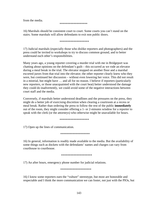from the media.

#### \*\*\*\*\*\*\*\*\*\*\*\*\*\*\*\*\*\*

16) Marshals should be consistent court to court. Some courts you can't stand on the stairs. Some marshals will allow defendants to exit non public doors.

#### \*\*\*\*\*\*\*\*\*\*\*\*\*\*\*\*\*\*\*

17) Judicial marshals (especially those who dislike reporters and photographers) and the press could be invited to workshops to try to discuss common ground, and to better understand each other's responsibilities.

Many years ago, a young reporter covering a murder trial with me in Bridgeport was chatting about opinions on the defendant's guilt – this occurred as we rode an elevator during a meal break in the trial. The elevator stopped on another floor and a marshal escorted jurors from that trial into the elevator; the other reporter clearly knew who they were, but continued her discussion – without even lowering her voice. This did not result in a mistrial, but might have … and all for no reason. I believe if reporters (particularly new reporters, or those unacquainted with the court beat) better understood the damage they could do inadvertently, we could avoid some of the negative interactions between court staff and the media.

Conversely, if marshals better understood deadlines and the pressures on the press, they might do a better job of exercising discretion when clearing a courtroom at a recess or meal break. Rather than ordering the press to follow the rest of the public **immediately**  out of the room, they might consider offering a 1- or 2-minutes window for a reporter to speak with the clerk (or the attorneys) who otherwise might be unavailable for hours.

#### \*\*\*\*\*\*\*\*\*\*\*\*\*\*\*\*\*\*\*

17) Open up the lines of communication.

### \*\*\*\*\*\*\*\*\*\*\*\*\*\*\*\*\*\*\*

16) In general, information is readily made available to the media. But the availability of some things such as dockets with the defendants' names and charges can vary from courthouse to courthouse.

#### \*\*\*\*\*\*\*\*\*\*\*\*\*\*\*\*\*\*\*\*

17) An after hours, emergency phone number for judicial relations.

\*\*\*\*\*\*\*\*\*\*\*\*\*\*\*\*\*\*\*\*

16) I know some reporters earn the "vulture" stereotype, but most are honorable and respectable and I think the more communication we can foster, not just with the PIOs, but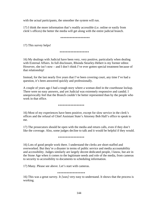with the actual participants, the smoother the system will run.

17) I think the more information that's readily accessible (i.e. online or easily from clerk's offices) the better the media will get along with the entire judicial branch.

#### \*\*\*\*\*\*\*\*\*\*\*\*\*\*\*\*\*\*\*

17) This survey helps!

### \*\*\*\*\*\*\*\*\*\*\*\*\*\*\*\*\*\*\*

16) My dealings with Judicial have been very, very positive, particularly when dealing with External Affairs. In full disclosure, Rhonda Stearley-Hebert is my former editor. However, she isn't now – and I don't think I've ever gotten special treatment because of that relationship!

Instead, for the last nearly five years that I've been covering court, any time I've had a question, it's been answered quickly and professionally.

A couple of years ago I had a tough story where a woman died in the courthouse lockup. There were no easy answers, and yet Judicial was extremely responsive and candid. I unequivocally feel that the Branch couldn't be better represented than by the people who work in that office.

\*\*\*\*\*\*\*\*\*\*\*\*\*\*\*\*

16) Most of my experiences have been positive, except for slow service in the clerk's offices and the refusal of Chief Assistant State's Attorney Bob Hall's office to speak to me.

17) The prosecutors should be open with the media and return calls, even if they don't like the coverage. Also, some judges decline to talk and it would be helpful if they would.

\*\*\*\*\*\*\*\*\*\*\*\*\*\*\*\*\*

16) Lots of good people work there. I understand the clerks are short-staffed and overworked. But they're a disaster in terms of public service and media accountability and accessibility. Judges similarly are largely decent dedicated people, I know, but are in the Stone Age when it comes to the legitimate needs and role of the media, from cameras to security to accessibility to documents to scheduling information.

17) Many. Please see above. Let's start with cameras.

\*\*\*\*\*\*\*\*\*\*\*\*\*\*\*\*\*\*

16) This was a great survey. It *[was]* very easy to understand. It shows that the process is working.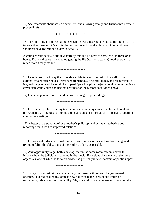17) See comments about sealed documents; and allowing family and friends into juvenile proceeding*[s].*

\*\*\*\*\*\*\*\*\*\*\*\*\*\*\*\*\*\*\*\*

16) The one thing I find frustrating is when I cover a hearing, then go to the clerk's office to view it and am told it's still in the courtroom and that the clerk can't go get it. We shouldn't have to wait half a day to get a file.

A couple weeks back a clerk in Waterbury told me I'd have to come back in three or so hours. That's ridiculous. I ended up getting the file (warrant actually) another way in a much more timely manner.

\*\*\*\*\*\*\*\*\*\*\*\*\*\*\*\*\*\*

16) I would just like to say that Rhonda and Melissa and the rest of the staff in the external affairs office have always been tremendously helpful, quick, and resourceful. It is greatly appreciated. I would like to participate in a pilot project allowing news media to cover state child abuse and neglect hearings for the reasons mentioned above.

17) Open the juvenile courts' child abuse and neglect proceedings.

\*\*\*\*\*\*\*\*\*\*\*\*\*\*\*\*\*\*

16) I've had no problems in my interactions, and in many cases, I've been pleased with the Branch's willingness to provide ample amounts of information – especially regarding committee meetings.

17) A better understanding of one another's philosophy about news gathering and reporting would lead to improved relations.

\*\*\*\*\*\*\*\*\*\*\*\*\*\*\*\*\*\*\*

16) I think most judges and most journalists are conscientious and well-meaning, and trying to fulfill the obligations of their roles as fairly as possible.

17) Any opportunity to get both sides together in the same room can only serve to improve how the judiciary is covered in the media. Both sides share many of the same objectives, one of which is to fairly advise the general public on matters of public import.

\*\*\*\*\*\*\*\*\*\*\*\*\*\*\*\*\*\*

16) Today its sternest critics are genuinely impressed with recent changes toward openness, but big challenges loom as new policy is made to reconcile issues of technology, privacy and accountability. Vigilance will always be needed to counter the